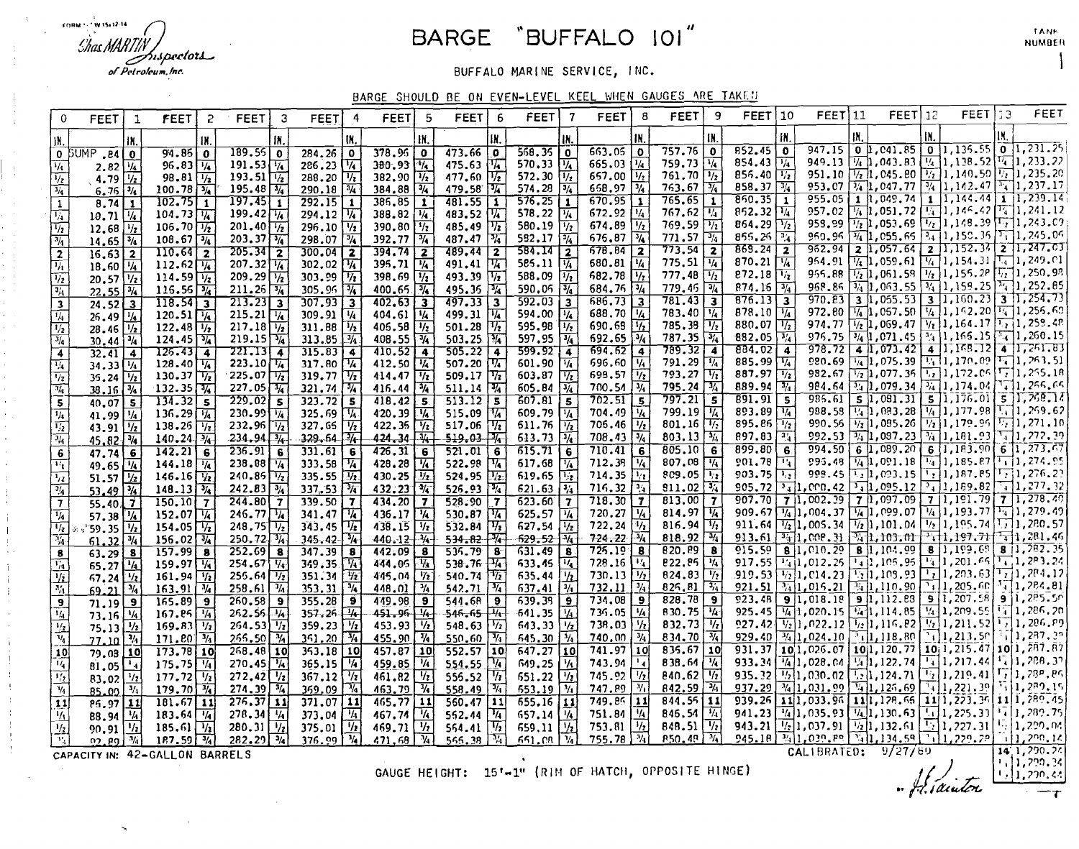FORM 1-TW 15x12-14 'Shas MARTH hispectors of Petroleum, Inc.

# BARGE "BUFFALO 101"

BUFFALO MARINE SERVICE, INC.

BARGE SHOULD BE ON EVEN-LEVEL KEEL WHEN GAUGES ARE TAKED

| IN.<br>₩.<br>IN<br>IN.<br>IN.<br>IX.<br>IN,<br>IN.<br>IN<br>IX.<br>1N<br>IN.<br>$\boxed{0}$ [1, 041.85] $\boxed{0}$ [1, 135.55] $\boxed{0}$ [1, 231.25]<br>852.45<br>947.15<br>$757.76$ 0<br>663.05<br>$\overline{\mathbf{0}}$<br>$\bullet$<br>$378.96$ 0<br>568.35<br>$189.55$ 0<br>$284.26$ 0<br>473.66<br>$\overline{\mathbf{0}}$<br>$\mathbf 0$<br>$94.86$ 0<br>$0$ $50MP$ . $84$ $0$<br>949.13 $\sqrt{4}$ 1,043.83 $\sqrt{4}$ 1,138.52 $\sqrt{4}$ 1,233.22<br>854.43 $\sqrt{4}$<br>$286.23\sqrt{74}$<br>$570.33$ $\frac{1}{4}$<br>665.03<br>$\frac{1}{4}$<br>759.73 $\sqrt{16}$<br>191.53 $\frac{1}{1/2}$<br>193.51 $\frac{1}{1/2}$<br>380.93<br>475.63<br>$\frac{1}{1/2}$<br>$96.83\sqrt{1/4}$<br>$\frac{1}{4}$<br>$\frac{1}{4}$<br>2.82<br>951.10 $\boxed{1/2}$ 1, 045.80 $\boxed{1/2}$ 1, 140.50 $\boxed{1/2}$ 1, 235.20<br>856.40 $\sqrt{1/2}$<br>572.30 $\frac{1}{2}$<br>657.00 $\frac{1}{2}$<br>668.97 $\frac{3}{4}$<br>$761.70$ $\frac{1}{2}$<br>$288.20$ $\frac{1}{2}$<br>477.60<br>98.81 $\sqrt{1/2}$<br>382.90 $\frac{1}{2}$<br>384.88 $\frac{3}{4}$<br>$\sqrt{1/2}$<br>$\overline{V_z}$<br>4.79<br>$\lceil \frac{1}{4} \rceil$ 1,237.17<br>858.37 $\frac{1}{4}$<br>953.07 $\boxed{3/4}$ 1,047.77 $\boxed{3/4}$ 1,142.47<br>$763.67$ $\frac{1}{4}$<br>$195.48\sqrt{3/4}$<br>$574.28$ $\sqrt{3}/4$<br>$290.18$ $\frac{3}{4}$<br>479.58 14<br>$100.78\sqrt{3/4}$<br>$\frac{1}{4}$<br>$6.761^{3}/4$<br>$1$ , 144.44 $1$ , 239.14<br>1 1,049.74 <br>850.35<br>955.05<br>670.95<br>$765.65$ 1<br>$\overline{292.15}$ 1<br>576.25<br>$\overline{1}$<br>$197.45$ 1<br>$386, 85$ 1<br>481.55<br>$102.75$ 1<br>$\mathbf{I}$<br>$\mathbf{1}$<br>$\mathbf{1}$<br>8.741<br>$\mathbf{1}$<br>$\boxed{1/4}$ 1, 051, 72 $\boxed{1/4}$ 1, 146, 42 $\boxed{1/4}$ 1, 241, 12<br>$852.32\sqrt{14}$<br>957.02<br>$672.92$ $\sqrt{1/4}$<br>767.62 $\sqrt{14}$<br>$199.42\sqrt{1/4}$<br>578.22 $\sqrt{1/4}$<br>$104.73\sqrt{1/4}$<br>$294.12$ $\sqrt{4}$<br>$\begin{array}{ c c c }\n 388.82 & \frac{1}{4} \\  390.80 & \frac{1}{2} \\  \hline\n 392.77 & \frac{3}{4}\n \end{array}$<br>483.52 $\sqrt{4}$<br>$10.71$ $\frac{1}{4}$<br>$\overline{1/4}$<br>958.99 $\frac{1}{2}$ , 053.69 $\frac{1}{2}$ 1, 148.39 $\left[\frac{1}{2}\right]$ 1, 243.09<br>$\overline{V_2}$<br>864.29 $\sqrt{1/2}$<br>674.89<br>769.59 $\sqrt{1/2}$<br>580.19<br>$\overline{\frac{1}{2}}$<br>$201.40 \frac{1}{2}$<br>296.10 $\sqrt{1/2}$<br>$\overline{\eta_i}$<br>$106.70$ $\frac{1}{2}$<br>485.49<br>$\overline{\frac{1}{2}}$<br>$12.68 \frac{1}{2}$<br>950.96 $\boxed{4}$ 1,055.65 $\boxed{3}$ 1,150.35 $\boxed{1}$ 1,245.06<br>855.26<br>$\overline{14}$<br>676.87<br>$\overline{\frac{3}{4}}$<br>$771.57$ $\sqrt{34}$<br>487.47 $\frac{1}{4}$<br>582.17<br>$\overline{\frac{3}{4}}$<br>$203.37\sqrt[3]{4}$<br>$298.07$ $\sqrt{4}$<br>$108.67\sqrt{3/4}$<br>$\overline{\frac{3}{4}}$<br>$14.65\sqrt{3/4}$<br>$\frac{1}{2}$ 1,152.34 $\frac{1}{2}$ 1,247.03<br>$962.94$ 2 1,057.64<br>773.54<br>869.24<br>678.84<br>$\sqrt{2}$<br>$\overline{2}$<br>$\begin{array}{ c c c }\n\hline\n394.74 & \underline{2} \\ 395.71 & \underline{16}\n\end{array}$<br>584.14 2<br>585.11 $\frac{2}{\frac{1}{4}}$<br>$\begin{array}{ c c c c }\n\hline\n680.81 & \frac{1}{4}\n\end{array}$<br>110.64 2<br>$\begin{array}{ c c c }\n\hline\n205.34 & \overline{2} \\ 207.32 & \overline{14}\n\end{array}$<br>$300.04$ 2<br>$\begin{array}{ c c c }\n\hline\n489.44 & 2 \\ 491.41 & \hline\n\end{array}$<br>$16.63$ 2<br>$\overline{2}$<br>954.91 $\boxed{1/4}$ 1,059.61 $\boxed{1/4}$ 1,154.31 $\boxed{1/4}$ 1,249.01<br>870.21 $\sqrt{4}$<br>775.51 $\sqrt{1/4}$<br>302.02 $\frac{1}{1/2}$<br>303.99 $\frac{1}{1/2}$<br>$112.62\sqrt{14}$<br>$\overline{\mathcal{H}}$<br>$18.60\frac{1}{4}$<br>$\frac{1}{2}$ 1,250.98<br>955.88 $\frac{1}{2}$ 1,061.58 $\frac{1}{2}$ 1,155.2P<br>$\overline{v_i}$<br>682.78<br>$272.18\sqrt{17}$<br>777.48<br>209.29 $\frac{1}{211.26}$<br>398.69 $\frac{1}{2}$<br>588.09<br>114.59 $\sqrt{1/2}$<br>493.39<br>$\overline{\mathcal{H}}$<br>$\sqrt[n]{\bar{r}}$<br>$\overline{\frac{1}{2}}$<br>$20.57$ $\frac{1}{2}$<br>968.86 $\boxed{3/4}$ 1,063.55 $\boxed{3/4}$ 1,159.25 $\boxed{3/4}$ 1,252.85<br>$684.76\sqrt{3}/4$<br>$779.46$ $\sqrt{34}$<br>874.16<br>$\frac{3}{4}$<br>305.96 34<br>400.65<br>590.05 $\frac{3}{4}$<br>$116.56\sqrt{3}/4$<br>495.36<br>$\frac{1}{4}$<br>$\overline{\frac{3/4}{2}}$<br>$22.55\sqrt{3}/4$<br>$\boxed{3}$ $\boxed{1,055.53}$ $\boxed{3}$ $\boxed{1,160.23}$ $\boxed{3}$ $\boxed{1,254.73}$<br>$\overline{876.13}$ 3<br>970.83<br>$781.43$ 3<br>$\begin{array}{r} \hline 686.73 \hline 3 \\ 688.70 \hline 14 \\ 690.68 \hline 11 \\ 692.65 \hline 14 \\ \hline \end{array}$<br>$213.23$ 3<br>$592.03$ 3<br>$118.54$ 3<br>$307.93$ 3<br>$402.63$ 3<br>497.33<br>$\overline{\mathbf{3}}$<br>$\overline{\mathbf{3}}$<br>$24.52$ $\overline{)3}$<br>972.80 $\boxed{1/4}$ 1,057.50 $\boxed{1/4}$ 1,152.20 $\boxed{1/4}$ 1,255.60<br>878.10<br>$\overline{V_4}$<br>783.40 14<br>$\overline{V_4}$<br>120.51 $\frac{1}{4}$<br>122.48 $\frac{1}{4}$<br>$215.21\overline{14}$<br>$\begin{array}{ c c c }\n 309.91 & \underline{V_4} \\  311.88 & \underline{V_2}\n \end{array}$<br>404.61 $\frac{1}{4}$<br>405.58 $\frac{1}{2}$<br>408.55 $\frac{3}{4}$<br>499.31<br>594.00 $\frac{1}{4}$<br>$\frac{1}{4}$<br>$26.49\frac{1}{4}$<br>974.77 $\boxed{1/2}$ 1,069.47 $\boxed{1/2}$ 1,164.17 $\boxed{1/2}$ 1,259.48<br>785.38 $\sqrt{1/2}$<br>880.07<br>$\frac{1}{2}$<br>217.18 $\frac{1}{\frac{1}{2}}$<br>219.15 $\frac{3}{4}$<br>$\frac{1}{2}$<br>595.98 $\frac{1}{2}$<br>501.28<br>$\overline{\frac{1}{2}}$<br>$28.46$ $\frac{1}{2}$<br>976.75 $\frac{3}{4}$ 1,071.45 $\frac{3}{4}$ 1,165.15 $\frac{1}{4}$ 1,260.15<br>$787.35\sqrt{3}/4$<br>882.05 $\sqrt{3}/4$<br>597.95 $\frac{1}{4}$<br>$313.85$ $\sqrt{34}$<br>503.25<br>$\frac{1}{4}$<br>$30.44\sqrt{^{3}/4}$<br>$124.45\overline{34}$<br>$\frac{1}{4}$<br>$978.72$ 4 1, 073.42 4 1, 168.12 4 1, 261.83<br>789.32   4<br>884.02<br>$694.62$ 4<br>$\sqrt{4}$<br>315.8374<br>$410.52$ $4$<br>505.22<br>$599.92$ 4<br>$125.43$ $4$<br>$\begin{array}{ c c c }\n\hline\n221.13 & 4 \\ 223.10 & V_4 \\ 225.07 & V_2\n\end{array}$<br>$\overline{4}$<br>$\overline{\mathbf{4}}$<br>$32.41$   4<br>980.69 41,075.39 41,170.09 41, 263.51<br>885.99 14<br>$128.40\frac{1}{4}$<br>317.80<br>দ<br>696.60<br>$\overline{V_4}$<br>791.29 $\sqrt{1/4}$<br>412.50 $\frac{1}{4}$<br>414.47 $\frac{1}{2}$<br>507.20<br>601.90 $\sqrt{1/4}$<br>$\frac{1}{4}$<br>$34.33 V_4 $<br>$\overline{\overline{\nu_i}}$<br>982.67 1, 077.36 1, 172.06 1, 1, 255.18<br>$\frac{1}{2}$<br>887.97<br>699.57<br>793.27 $\sqrt{V_1}$<br>509.17 $\sqrt{12}$<br>603.87 $\sqrt{1/2}$<br>$\overline{V_2}$<br>130.37 $\sqrt{1/2}$<br>$35.24$ $\frac{1}{2}$<br>700.54<br>吭<br>$\sqrt{34}$ 1,079.34 $\sqrt{34}$ 1,174.04 $\sqrt{4}$ 1,255.65<br>$795.24 \overline{34}$<br>889.94<br>$\overline{\mathbb{F}_q}$<br>984.64<br>$\overline{V_4}$<br>$605.84$ $\sqrt{34}$<br>$\frac{\overline{37}}{5}$<br>$132.35\sqrt{3/4}$<br>$227.05\sqrt{14}$<br>$321.74$ $\sqrt{4}$<br>416.44 $\sqrt[3]{4}$<br>511.14<br>$38.16\sqrt{3/4}$<br>$5[1,176.01]$ $5[1,768.1]$<br>$797.21$ 5<br>$\frac{691.91}{ }$<br>935.61<br>5 1,091,31 <br>$702.51$ 5<br>$\overline{\mathbf{5}}$<br>$134.32 - 5$<br>$\frac{229.02}{5}$<br>323.725<br>$418.42$ 5<br>513.12<br>607.815<br>डि<br>$40.07$ 5<br>799.19 $\sqrt{4}$<br>893.89 $\sqrt{1/4}$<br>988.58 $\boxed{1/1}$ , 083.28 $\boxed{1/1}$ , 177.98 $\boxed{1/1}$ , 269.62<br>704.49<br>$\frac{1}{4}$<br>325.69 $\sqrt{4}$<br>$\overline{V_A}$<br>609.79 $\sqrt{1/4}$<br>$136.29\sqrt{4}$<br>$230.99\sqrt{4}$<br>420.39 $\frac{1}{4}$<br>515.09<br>$\overline{\frac{1}{4}}$<br>$V_{4}$<br>41.99<br>895.86<br>$\boxed{1/2}$ 1,085.26 $\boxed{1/2}$ 1,179.96 $\boxed{1/2}$ 1,271.10<br>705.46<br>801.16 $\sqrt{1/2}$<br>990.56<br>611.76<br>$\sqrt{2}$<br>327.65 $\sqrt{1/2}$<br>422.35 $\frac{1}{2}$<br>$517.06$ $\frac{1}{2}$<br>519.03 $\frac{1}{2}$<br>$\overline{V_2}$<br>138.26 $\sqrt{12}$<br>$232.96\sqrt{1/2}$<br>$\overline{V_2}$<br>43.91 $\frac{1}{2}$<br>$708.43\sqrt{3}/4$<br>992.53 4 1,087.23 4 1,181.93 1, 272.39<br>803.13 $\frac{5}{4}$<br>$897.83$ $\frac{3}{4}$<br>$-329.64 - 4$<br>$424.34 - \frac{3}{4}$<br>$\overline{\frac{1}{2}}$<br>$234.94$ $\frac{3}{4}$<br>613.73<br>$140.24 - \frac{3}{4}$<br>$\frac{3\mathcal{U}_4}{2}$<br>$45,82 - \frac{3}{4}$<br>994.50<br>6[1, 183.90] 6[1, 273.67]<br>$899.80$ 6<br>6 1,089,20 <br>710.41<br>$805.10$ 6<br>236.916<br>331.616<br>$426.31$ 6<br>615.71<br>$\sqrt{6}$<br>142.216<br>521.01<br>6<br>6<br>$47.74$ 6<br>6<br>$\boxed{14}1,091.18\boxed{14}1,185.87\boxed{11}1,274.95$<br>712.38<br>807.08 $\sqrt{4}$<br>901.78<br>口氣<br>995.48<br>$\overline{V_4}$<br>428.28 $\frac{1}{4}$<br>617.68 $\sqrt{4}$<br>$238.08\sqrt{4}$<br>333.58 $\sqrt{4}$<br>522.98<br>$\Pi_{\bullet}$<br>$\overline{v_i}$<br>144.18 $\frac{1}{4}$<br>49.65 $\sqrt{14}$<br>714.35 $\frac{1}{12}$<br>809.05 $\sqrt{1/2}$<br>903.75<br>998.45 $\sqrt{1/2}$ 093.15<br>$\lceil \cdot \rceil$ 1, 187, 85 $\lceil \cdot \rceil$ 1, 276, 23<br>$\overline{\phantom{a}}$<br>335.55 $\frac{1}{2}$<br>240.85 $\frac{1}{2}$<br>430.25 $\frac{1}{2}$<br>524.95<br>$\overline{\eta_{2}}$<br>619.65<br>啞<br>$\frac{1}{2}$<br>$146.16\sqrt[4]{2}$<br>51.57 $\frac{1}{2}$<br>242.83 $\frac{1}{34}$<br>$\overline{\mathbf{3}_4}$<br>905.72 $\sqrt{3}$ 1,000.42<br>$\lceil \frac{1}{3} \rceil$ 1,095.12 $\lceil \frac{3}{4} \rceil$ 1,189.82<br>$\lceil \cdot \rceil$ 1, 277, 32<br>$337.53$ $\sqrt{4}$<br>$\overline{\mathcal{H}}$<br>716.32<br>$911.02\sqrt{34}$<br>432.23 $\frac{3}{4}$<br>621.63 $\sqrt{3/4}$<br>526.93<br>$148.13\sqrt{34}$<br>$\frac{3}{4}$<br>53.49 $\sqrt[3]{4}$<br>71,097.09<br>$\overline{7}$ 1, 191.79<br>$7\sqrt{1,278.40}$<br>718,30<br>813,00<br>907.70<br>71,002.39<br>$\overline{7}$<br>$244.80$ 7<br>$339.50$ $7$<br>$434.20$ 7<br>528.90<br>623.60<br>$\mathbf{7}$<br>$150.10$ 7<br>$\overline{\boldsymbol{J}}$<br>$\overline{7}$<br>55.40.7<br>$\overline{\mathbf{z}}$<br>$\boxed{1/4}$ 1,099.07 $\boxed{1/4}$ 1,193.77 $\boxed{1/4}$ 1,279.49<br>$\overline{V_4}$<br>814.97 $\sqrt{14}$<br>909.67 $\lceil \frac{1}{4} \rceil$ ,004.37<br>246.77<br>$436.17$ $\sqrt{4}$<br>720.27<br>341.47 $\frac{1}{4}$<br>343.45 $\frac{1}{4}$<br>प्र-<br>625.57 $\sqrt{14}$<br>530.87<br>152.07 $\sqrt{14}$<br>$\overline{\frac{1}{4}}$<br>57.38 $\sqrt{1/4}$<br>722.24<br>$\overline{\psi_i}$<br>911, 64 $\frac{1}{2}$ 1, 005.34 $\frac{1}{2}$ 1, 101.04 $\frac{1}{2}$ 1, 195.74<br><b>1, 1, 280.57</b><br>816.94 $\sqrt{1/2}$<br>$438.15$ $\sqrt{2}$<br>532.84 $\frac{1}{2}$<br>534.82 $\frac{1}{4}$<br>627.54 $\sqrt{1/2}$<br>248.75 $\frac{1}{2}$<br>250.72 $\frac{3}{4}$<br>154.05 $\sqrt{1/2}$<br>$\frac{1}{2}$<br>$\overline{1}/2$<br>35.35<br>$\overline{H}$<br>$\frac{13.11}{1.008}$ , 31 $\frac{13.11}{1.103}$ , 01 $\frac{13.11}{1.197}$ , 71 $\frac{13.11}{1.11}$ , 281, 46<br>913.61<br>724.22<br>$818.92\frac{1}{4}$<br>$156.02 \overline{34}$<br>$345.42 - 74$<br>$440 - 12 - 4$<br>$-629.52$ $\sqrt{34}$<br>陌<br>$\overline{v_4}$<br>61.32<br>$8 \overline{)1,199,69}$<br>811, 782, 35<br>8 1,010,29<br>8 1,104.99 <br>$725.19$ 8<br>820.89<br>915.59<br>252.69<br>$\frac{347.39}{349.35}$<br>$442.09$ 8<br>535.79<br>$631.49$ 8<br>8<br>$157.99$ 8<br>$\overline{\mathbf{a}}$<br>$\mathbf{B}$<br>$\overline{\mathbf{s}}$<br>8<br>63.29<br>$728.16$ $\sqrt{4}$<br>917.55 $\boxed{1,012.25}$ $\boxed{1,1,06.95}$ $\boxed{1,1,201.65}$<br>$T_{\bullet}$ 1, 283, 24<br>$P22.86\sqrt{14}$<br>444.05 7<br>$\Psi$<br>633.45 $\frac{1}{4}$<br>$254.67\frac{V_4}{V_2}$<br>538.76<br>$159.97\sqrt{14}$<br>65.27 $\sqrt{1/4}$<br>$\overline{V_{11}}$<br>$.919.53$ $\boxed{1/2}$ 1, $014.23$ $\boxed{1/2}$ 1, $105.93$ $\boxed{1/2}$ 1, $203.63$ $\boxed{1/2}$ 1, $204.12$<br>$351.31$ $\frac{1}{22}$<br>730.13 $\frac{1}{2}$<br>732.11 $\frac{3}{4}$<br>734.08 9<br>824.83 $\frac{1}{2}$<br>825.81 $\frac{3}{4}$<br>161.94 $\frac{1}{12}$<br>540.74<br>$\overline{\eta_i}$<br>635.44 $\frac{1}{2}$<br>$\frac{V_{\lambda}}{V_{\lambda}}$<br>$67.24$ $\sqrt{12}$<br>$445.04$ $\sqrt{2}$<br>$921.51$ $\frac{1}{14}$ 1, 015.21<br>$\frac{1}{4}$ 1, 110, 90 $\frac{1}{1}$ 1, 205, 60 $\frac{1}{4}$ 1, 284, 81<br>$69.21$ $\frac{11}{4}$<br>$\overline{\mathcal{H}}$<br>$353.31$ $\frac{1}{4}$<br>$\frac{1}{4}$<br>$\overline{\mathcal{H}}$<br>$448.01$ $\frac{1}{4}$<br>$163.91$ $\frac{1}{4}$<br>258.61<br>542.71<br>637.41<br>9 1,112.83 9 1,207.58<br>91, 285.50<br>$923.48$ 9 1,018.18<br>$355.28$ 9<br>$828.78$ 9<br>639.39<br>260.58<br>$\overline{\mathbf{9}}$<br>165.8999<br>$\overline{9}$<br>449.98 9<br>544.68<br>9.<br>$71.19$ 9<br>9<br>925.45 4.020.15 41, 114.85 41, 209.55 41, 286.20<br>$736.05$ $4$<br>$830.75$ $\frac{1}{4}$<br>$262.56 - 1/4$<br>$357.26 \frac{1}{4}$<br>$451.96$ $1/4$<br>$\overline{\mu_{\star}}$<br>$641.35$ $4$<br>167.85 $\frac{1}{4}$<br>$-546 - 65$<br>$\frac{1}{4}$<br>$73.16$ $\frac{1}{4}$<br>927.42 1, 022.12 1, 116.82 1, 11, 211.52 1, 206.89<br>$\frac{1}{2}$<br>738.03<br>$\overline{V_{\bm{i}}}$<br>$264.53\sqrt{11}$<br>359.23 $\sqrt{1/2}$<br>453.93 $\sqrt{12}$<br>$\frac{1}{2}$<br>832.73<br>548.63<br>$\overline{V_2}$<br>643.33<br>$75.13$ $\frac{1}{2}$<br>$\frac{1/2}{1/4}$<br>$169.83$   $\frac{1}{2}$<br>$\lceil \cdot \rceil$ 1, 213.50<br>[1]1,287,39<br>$\overline{v_4}$<br>929.40 $\sqrt[3]{1}$ 024.10<br>$T_{11,118,80}$<br>$\overline{\mathcal{H}}$<br>$361.20$ $\sqrt{4}$<br>$645.30\ \frac{1}{4}$<br>740.00<br>834.70<br>$171.80$ $\frac{3}{4}$<br>255,50<br>$455.90$ $\sqrt{34}$<br>$\frac{1}{2}$<br>$77.10^{34}$<br>550.60<br>931.37 10,1,026.07 10,1,120.77 10,1,215.47 10,1,287.87<br>741.97 10<br>$835.67$ 10<br>$268.48$ 10<br>$353.18$ 10<br>$457.87$ 10<br>552.57<br>10<br>$647.27$ 10<br>$\overline{173.78110}$<br>$\frac{10}{\frac{1}{4}}$<br>79.08 10<br>933.34 [4] 1,028.04 [4] 1,122.74 [4] 1,217.44 [4] 1,208.37<br>$\frac{1}{\sqrt{2}}$<br>$\overline{\mathbf{E}}$<br>838.64 $\sqrt{1/4}$<br>743.94<br>$365.15$ $\sqrt{4}$<br>$459.85$ $4$<br>$649.25\sqrt{14}$<br>$175.75\sqrt{4}$<br>270.45<br>554.55<br>₩<br>$\mathbf{L}_1$<br>81.05<br>$\boxed{12}$ 1, 124. 71 $\boxed{12}$ 1, 219. 41<br>$[T_2]1,28P,86$<br>$\frac{1}{2}$<br>$\sqrt{1/2}$ 1,030.02<br>$272.42$<br>$274.39$<br>$34$<br>$\overline{\mathcal{H}}$<br>840.62 $\sqrt{1/2}$<br>935.32<br>$\overline{1/2}$<br>$461.82$ $\frac{1}{2}$<br>555.52<br>$\overline{v_2}$<br>$367.12$ $\frac{1}{2}$<br>651.22<br>177.72<br>$^{1/2}$<br>83.02<br>$747.89$ $\frac{1}{11}$<br>$\frac{1}{3}$ 1, 126, 69 $\frac{1}{3}$ 1, 221, 39 $\frac{1}{3}$ 1, 2 <sup>8</sup> 2, 15<br>$359.09$ $\frac{1}{4}$<br>$842.59$ $\sqrt{34}$<br>$937.29$ $\sqrt[3]{4}$ 1,031.99<br>$-463.79$ $-34$<br>$\frac{1}{4}$<br>$\overline{\mathcal{H}}$<br>$179.70$ $\frac{1}{4}$<br>558.49<br>653, 19<br>$\mathcal{V}_1$<br>$\eta_4$<br>85.00<br>939.26 11 1,033.96 11 1, 128.66 11 1, 223. 36<br>$\frac{1}{276.37}$ 11<br>$749.86$ 11<br>11 1, 289, 45<br>465.77 11<br>$844.55$ 11<br>$181.67$ 11<br>$371.07$ 11<br>560.47<br>$\overline{11}$<br>$655.16$ [11]<br>$\overline{11}$<br>  1 1 <br>PG.97<br>751.84<br>753.81<br>755.78<br>$\boxed{V_4}$ 1,035.93 $\boxed{V_4}$ 1,130.63 $\boxed{V_4}$ 1,225.33 $\boxed{ }$<br>$\lceil \cdot \rceil$ 1, 289.75<br>846.54 $\sqrt{V_4}$<br>941.23<br>$278.34$ $\frac{1}{4}$<br>$467.74$ $4$<br>$183.64$ $\frac{1}{4}$<br>373.04 $\frac{1}{4}$<br>552.44<br>$\overline{\mathcal{H}}$<br>657.14 $\frac{1}{4}$<br>$\frac{1}{4}$<br>$88.94$ $\sqrt{4}$<br>943.21 $\frac{1}{2}$ 1, 037.91 $\frac{1}{2}$ 1, 132.61 $\frac{1}{2}$ 1, 227.31<br>945.18 $\frac{3}{4}$ 1, 039.89 $\frac{1}{4}$ 1, 334.59 $\frac{1}{4}$ 1, 229.29<br>$848.51$ $\frac{1}{\frac{1}{2}}$<br>$850.48$ $\frac{3}{4}$<br>$U_1$ 1, 200, 04<br>280.31 $\frac{1}{282.29}$<br>375.01 $\sqrt{V_1}$<br>$469.71$ $\frac{1}{2}$<br>$\frac{\overline{V_2}}{\overline{V_4}}$<br>659.11 $\frac{1}{\frac{1}{2}}$<br>$\frac{1}{2}$<br>$90.91$ $\boxed{1/2}$<br>185.61 $\sqrt{1/2}$<br>554.41<br>$\frac{1}{2}$ 1, 134, 59 $\frac{1}{2}$ 1, 229, 29 $\frac{1}{2}$ 1, 200, 14<br>$376.99$ $\sqrt[3]{4}$<br>$471, 68$ $\sqrt{4}$<br>Ъ,<br>$v_i$<br>$187.59$ $\sqrt{4}$<br>566.38<br>02.AQ<br>CALIBRATED: 9/27/80<br>$\frac{14}{127/60}$<br>$\frac{14}{1,290.26}$<br>$\frac{1}{1,1290.36}$<br>$\frac{1}{1,1290.66}$<br>CAPACITY IN: 42-GALLON BARRELS<br>GAUGE HEIGHT: 15'-1" (RIM OF HATCH, OPPOSITE HINGE) | <b>FEET</b><br>0 | -1 | FEET | 2 | FEET | 3 | FEET | 4 | FEET | 5 | <b>FEET</b> | 6 | FEET | -7 | FEET | 8 | <b>FEET</b> | 9 | FEET 10 | FEET]11 | $FEET$ 12 | $FEET$ 3 | FEET |
|------------------------------------------------------------------------------------------------------------------------------------------------------------------------------------------------------------------------------------------------------------------------------------------------------------------------------------------------------------------------------------------------------------------------------------------------------------------------------------------------------------------------------------------------------------------------------------------------------------------------------------------------------------------------------------------------------------------------------------------------------------------------------------------------------------------------------------------------------------------------------------------------------------------------------------------------------------------------------------------------------------------------------------------------------------------------------------------------------------------------------------------------------------------------------------------------------------------------------------------------------------------------------------------------------------------------------------------------------------------------------------------------------------------------------------------------------------------------------------------------------------------------------------------------------------------------------------------------------------------------------------------------------------------------------------------------------------------------------------------------------------------------------------------------------------------------------------------------------------------------------------------------------------------------------------------------------------------------------------------------------------------------------------------------------------------------------------------------------------------------------------------------------------------------------------------------------------------------------------------------------------------------------------------------------------------------------------------------------------------------------------------------------------------------------------------------------------------------------------------------------------------------------------------------------------------------------------------------------------------------------------------------------------------------------------------------------------------------------------------------------------------------------------------------------------------------------------------------------------------------------------------------------------------------------------------------------------------------------------------------------------------------------------------------------------------------------------------------------------------------------------------------------------------------------------------------------------------------------------------------------------------------------------------------------------------------------------------------------------------------------------------------------------------------------------------------------------------------------------------------------------------------------------------------------------------------------------------------------------------------------------------------------------------------------------------------------------------------------------------------------------------------------------------------------------------------------------------------------------------------------------------------------------------------------------------------------------------------------------------------------------------------------------------------------------------------------------------------------------------------------------------------------------------------------------------------------------------------------------------------------------------------------------------------------------------------------------------------------------------------------------------------------------------------------------------------------------------------------------------------------------------------------------------------------------------------------------------------------------------------------------------------------------------------------------------------------------------------------------------------------------------------------------------------------------------------------------------------------------------------------------------------------------------------------------------------------------------------------------------------------------------------------------------------------------------------------------------------------------------------------------------------------------------------------------------------------------------------------------------------------------------------------------------------------------------------------------------------------------------------------------------------------------------------------------------------------------------------------------------------------------------------------------------------------------------------------------------------------------------------------------------------------------------------------------------------------------------------------------------------------------------------------------------------------------------------------------------------------------------------------------------------------------------------------------------------------------------------------------------------------------------------------------------------------------------------------------------------------------------------------------------------------------------------------------------------------------------------------------------------------------------------------------------------------------------------------------------------------------------------------------------------------------------------------------------------------------------------------------------------------------------------------------------------------------------------------------------------------------------------------------------------------------------------------------------------------------------------------------------------------------------------------------------------------------------------------------------------------------------------------------------------------------------------------------------------------------------------------------------------------------------------------------------------------------------------------------------------------------------------------------------------------------------------------------------------------------------------------------------------------------------------------------------------------------------------------------------------------------------------------------------------------------------------------------------------------------------------------------------------------------------------------------------------------------------------------------------------------------------------------------------------------------------------------------------------------------------------------------------------------------------------------------------------------------------------------------------------------------------------------------------------------------------------------------------------------------------------------------------------------------------------------------------------------------------------------------------------------------------------------------------------------------------------------------------------------------------------------------------------------------------------------------------------------------------------------------------------------------------------------------------------------------------------------------------------------------------------------------------------------------------------------------------------------------------------------------------------------------------------------------------------------------------------------------------------------------------------------------------------------------------------------------------------------------------------------------------------------------------------------------------------------------------------------------------------------------------------------------------------------------------------------------------------------------------------------------------------------------------------------------------------------------------------------------------------------------------------------------------------------------------------------------------------------------------------------------------------------------------------------------------------------------------------------------------------------------------------------------------------------------------------------------------------------------------------------------------------------------------------------------------------------------------------------------------------------------------------------------------------------------------------------------------------------------------------------------------------------------------------------------------------------------------------------------------------------------------------------------------------------------------------------------------------------------------------------------------------------------------------------------------------------------------------------------------------------------------------------------------------------------------------------------------------------------------------------------------------------------------------------------------------------------------------------------------------------------------------------------------------------------------------------------------------------------------------------------------------------------------------------------------------------------------------------------------------------------------------------------------------------------------------------------------------------------------------------------------------------------------------------------------------------------------------------------------------------------------------------------------------------------------------------------------------------------------------------------------------------------------------------------------------------------------------------------------------------------------------------------------------------------------------------------------------------------------------------------------------------------------------------------------------------------------------------------------------------------------------------------------------------------------------------------------------------------------------------------------------------------------------------------------------------------------------------------------------------------------------------------------------------------------------------------------------------------------------------------------------------------------------------------------------------------------------------------------------------------------------------------------------------------------------------------------------------------------------------------------------------------------------------------------------------------------------------------------------------------------------------------------------------------------------------------------------------------------------------------------------------------------------------------------------------------------------------------------------------------------------------------------------------------------------------------------------------------------------------------------------------------------------------------------------------------------------------------------------------------------------------------------------------------------------------------------------------------------------------------------------------------------------------------------------------------------------------------------------------------------------------------------------------------------------------------------------------------------------------------------------------------------------------------------------------------------------------------------------------------------------------------------------------------------------------------------------------------------------------------------------------------------------------------------------------------------------------------------------------------------------------------------------------------------------------------------------------------------------------------------------------------------------------------------------------------------------------------------------------------------------------------------------------------------------------------------------------------------------------------------------------------------------------------------------------------------------------------------------------------------------------------------------------------------------------------------------------------------------------------------------------------------------------------------------------------------------------------------------------------------------------------------------------------------------------------------------------------------------------------------------------------------------------------------------------------------------------------------------------------------------------------------------------------------------------------------------------------------------------------------------------------------------------------------------------------------------------------------------------------------------------------------------------------------------------------------------------------------------------------------------------------------------------------------------------------------------------------------------------------------------------------------------------------------------------------------------------------------------------------------------------------------------------------------------------------------------------------------------------------------------------------------------------------------------------------------------------------------------------------------------------------------------------------------------------------------------------------------------------------------------------------------------------------------------------------------------------------------------------------------------------------------------------------------------------------------------------------------------------------------------------------------------------------------------------------------------------------------------------------------------------------------------------------------------------------------------------------------------------------------------------------------------------------------------------------------------------------------------------------------------------------------------------------------------------------------------------------------------------------------------------------------------------------------------------------------------------------------------------------------------------------------------------------------------------------------------------------------------------------------------------------------------------------------------|------------------|----|------|---|------|---|------|---|------|---|-------------|---|------|----|------|---|-------------|---|---------|---------|-----------|----------|------|
|                                                                                                                                                                                                                                                                                                                                                                                                                                                                                                                                                                                                                                                                                                                                                                                                                                                                                                                                                                                                                                                                                                                                                                                                                                                                                                                                                                                                                                                                                                                                                                                                                                                                                                                                                                                                                                                                                                                                                                                                                                                                                                                                                                                                                                                                                                                                                                                                                                                                                                                                                                                                                                                                                                                                                                                                                                                                                                                                                                                                                                                                                                                                                                                                                                                                                                                                                                                                                                                                                                                                                                                                                                                                                                                                                                                                                                                                                                                                                                                                                                                                                                                                                                                                                                                                                                                                                                                                                                                                                                                                                                                                                                                                                                                                                                                                                                                                                                                                                                                                                                                                                                                                                                                                                                                                                                                                                                                                                                                                                                                                                                                                                                                                                                                                                                                                                                                                                                                                                                                                                                                                                                                                                                                                                                                                                                                                                                                                                                                                                                                                                                                                                                                                                                                                                                                                                                                                                                                                                                                                                                                                                                                                                                                                                                                                                                                                                                                                                                                                                                                                                                                                                                                                                                                                                                                                                                                                                                                                                                                                                                                                                                                                                                                                                                                                                                                                                                                                                                                                                                                                                                                                                                                                                                                                                                                                                                                                                                                                                                                                                                                                                                                                                                                                                                                                                                                                                                                                                                                                                                                                                                                                                                                                                                                                                                                                                                                                                                                                                                                                                                                                                                                                                                                                                                                                                                                                                                                                                                                                                                                                                                                                                                                                                                                                                                                                                                                                                                                                                                                                                                                                                                                                                                                                                                                                                                                                                                                                                                                                                                                                                                                                                                                                                                                                                                                                                                                                                                                                                                                                                                                                                                                                                                                                                                                                                                                                                                                                                                                                                                                                                                                                                                                                                                                                                                                                                                                                                                                                                                                                                                                                                                                                                                                                                                                                                                                                                                                                                                                                                                                                                                                                                                                                                                                                                                                                                                                                                                                                                                                                                                                                                                                                                                                                                                                                                                                                                                                                                                                                                                                                                                                                                                                                                                                                                                                                                                                                                                                                                                                                                                                                                                                                                                                                                                                                                                                                                                                                                                                                                                                                                                                                                                                                                                                                                                                                                                                                                                                                                                                                                                                                                                                                                                                                                                                                                                                                                                                                                                                                                                                        |                  |    |      |   |      |   |      |   |      |   |             |   |      |    |      |   |             |   |         |         |           |          |      |
|                                                                                                                                                                                                                                                                                                                                                                                                                                                                                                                                                                                                                                                                                                                                                                                                                                                                                                                                                                                                                                                                                                                                                                                                                                                                                                                                                                                                                                                                                                                                                                                                                                                                                                                                                                                                                                                                                                                                                                                                                                                                                                                                                                                                                                                                                                                                                                                                                                                                                                                                                                                                                                                                                                                                                                                                                                                                                                                                                                                                                                                                                                                                                                                                                                                                                                                                                                                                                                                                                                                                                                                                                                                                                                                                                                                                                                                                                                                                                                                                                                                                                                                                                                                                                                                                                                                                                                                                                                                                                                                                                                                                                                                                                                                                                                                                                                                                                                                                                                                                                                                                                                                                                                                                                                                                                                                                                                                                                                                                                                                                                                                                                                                                                                                                                                                                                                                                                                                                                                                                                                                                                                                                                                                                                                                                                                                                                                                                                                                                                                                                                                                                                                                                                                                                                                                                                                                                                                                                                                                                                                                                                                                                                                                                                                                                                                                                                                                                                                                                                                                                                                                                                                                                                                                                                                                                                                                                                                                                                                                                                                                                                                                                                                                                                                                                                                                                                                                                                                                                                                                                                                                                                                                                                                                                                                                                                                                                                                                                                                                                                                                                                                                                                                                                                                                                                                                                                                                                                                                                                                                                                                                                                                                                                                                                                                                                                                                                                                                                                                                                                                                                                                                                                                                                                                                                                                                                                                                                                                                                                                                                                                                                                                                                                                                                                                                                                                                                                                                                                                                                                                                                                                                                                                                                                                                                                                                                                                                                                                                                                                                                                                                                                                                                                                                                                                                                                                                                                                                                                                                                                                                                                                                                                                                                                                                                                                                                                                                                                                                                                                                                                                                                                                                                                                                                                                                                                                                                                                                                                                                                                                                                                                                                                                                                                                                                                                                                                                                                                                                                                                                                                                                                                                                                                                                                                                                                                                                                                                                                                                                                                                                                                                                                                                                                                                                                                                                                                                                                                                                                                                                                                                                                                                                                                                                                                                                                                                                                                                                                                                                                                                                                                                                                                                                                                                                                                                                                                                                                                                                                                                                                                                                                                                                                                                                                                                                                                                                                                                                                                                                                                                                                                                                                                                                                                                                                                                                                                                                                                                                                                                                        |                  |    |      |   |      |   |      |   |      |   |             |   |      |    |      |   |             |   |         |         |           |          |      |
|                                                                                                                                                                                                                                                                                                                                                                                                                                                                                                                                                                                                                                                                                                                                                                                                                                                                                                                                                                                                                                                                                                                                                                                                                                                                                                                                                                                                                                                                                                                                                                                                                                                                                                                                                                                                                                                                                                                                                                                                                                                                                                                                                                                                                                                                                                                                                                                                                                                                                                                                                                                                                                                                                                                                                                                                                                                                                                                                                                                                                                                                                                                                                                                                                                                                                                                                                                                                                                                                                                                                                                                                                                                                                                                                                                                                                                                                                                                                                                                                                                                                                                                                                                                                                                                                                                                                                                                                                                                                                                                                                                                                                                                                                                                                                                                                                                                                                                                                                                                                                                                                                                                                                                                                                                                                                                                                                                                                                                                                                                                                                                                                                                                                                                                                                                                                                                                                                                                                                                                                                                                                                                                                                                                                                                                                                                                                                                                                                                                                                                                                                                                                                                                                                                                                                                                                                                                                                                                                                                                                                                                                                                                                                                                                                                                                                                                                                                                                                                                                                                                                                                                                                                                                                                                                                                                                                                                                                                                                                                                                                                                                                                                                                                                                                                                                                                                                                                                                                                                                                                                                                                                                                                                                                                                                                                                                                                                                                                                                                                                                                                                                                                                                                                                                                                                                                                                                                                                                                                                                                                                                                                                                                                                                                                                                                                                                                                                                                                                                                                                                                                                                                                                                                                                                                                                                                                                                                                                                                                                                                                                                                                                                                                                                                                                                                                                                                                                                                                                                                                                                                                                                                                                                                                                                                                                                                                                                                                                                                                                                                                                                                                                                                                                                                                                                                                                                                                                                                                                                                                                                                                                                                                                                                                                                                                                                                                                                                                                                                                                                                                                                                                                                                                                                                                                                                                                                                                                                                                                                                                                                                                                                                                                                                                                                                                                                                                                                                                                                                                                                                                                                                                                                                                                                                                                                                                                                                                                                                                                                                                                                                                                                                                                                                                                                                                                                                                                                                                                                                                                                                                                                                                                                                                                                                                                                                                                                                                                                                                                                                                                                                                                                                                                                                                                                                                                                                                                                                                                                                                                                                                                                                                                                                                                                                                                                                                                                                                                                                                                                                                                                                                                                                                                                                                                                                                                                                                                                                                                                                                                                                                                        |                  |    |      |   |      |   |      |   |      |   |             |   |      |    |      |   |             |   |         |         |           |          |      |
|                                                                                                                                                                                                                                                                                                                                                                                                                                                                                                                                                                                                                                                                                                                                                                                                                                                                                                                                                                                                                                                                                                                                                                                                                                                                                                                                                                                                                                                                                                                                                                                                                                                                                                                                                                                                                                                                                                                                                                                                                                                                                                                                                                                                                                                                                                                                                                                                                                                                                                                                                                                                                                                                                                                                                                                                                                                                                                                                                                                                                                                                                                                                                                                                                                                                                                                                                                                                                                                                                                                                                                                                                                                                                                                                                                                                                                                                                                                                                                                                                                                                                                                                                                                                                                                                                                                                                                                                                                                                                                                                                                                                                                                                                                                                                                                                                                                                                                                                                                                                                                                                                                                                                                                                                                                                                                                                                                                                                                                                                                                                                                                                                                                                                                                                                                                                                                                                                                                                                                                                                                                                                                                                                                                                                                                                                                                                                                                                                                                                                                                                                                                                                                                                                                                                                                                                                                                                                                                                                                                                                                                                                                                                                                                                                                                                                                                                                                                                                                                                                                                                                                                                                                                                                                                                                                                                                                                                                                                                                                                                                                                                                                                                                                                                                                                                                                                                                                                                                                                                                                                                                                                                                                                                                                                                                                                                                                                                                                                                                                                                                                                                                                                                                                                                                                                                                                                                                                                                                                                                                                                                                                                                                                                                                                                                                                                                                                                                                                                                                                                                                                                                                                                                                                                                                                                                                                                                                                                                                                                                                                                                                                                                                                                                                                                                                                                                                                                                                                                                                                                                                                                                                                                                                                                                                                                                                                                                                                                                                                                                                                                                                                                                                                                                                                                                                                                                                                                                                                                                                                                                                                                                                                                                                                                                                                                                                                                                                                                                                                                                                                                                                                                                                                                                                                                                                                                                                                                                                                                                                                                                                                                                                                                                                                                                                                                                                                                                                                                                                                                                                                                                                                                                                                                                                                                                                                                                                                                                                                                                                                                                                                                                                                                                                                                                                                                                                                                                                                                                                                                                                                                                                                                                                                                                                                                                                                                                                                                                                                                                                                                                                                                                                                                                                                                                                                                                                                                                                                                                                                                                                                                                                                                                                                                                                                                                                                                                                                                                                                                                                                                                                                                                                                                                                                                                                                                                                                                                                                                                                                                                                                                        |                  |    |      |   |      |   |      |   |      |   |             |   |      |    |      |   |             |   |         |         |           |          |      |
|                                                                                                                                                                                                                                                                                                                                                                                                                                                                                                                                                                                                                                                                                                                                                                                                                                                                                                                                                                                                                                                                                                                                                                                                                                                                                                                                                                                                                                                                                                                                                                                                                                                                                                                                                                                                                                                                                                                                                                                                                                                                                                                                                                                                                                                                                                                                                                                                                                                                                                                                                                                                                                                                                                                                                                                                                                                                                                                                                                                                                                                                                                                                                                                                                                                                                                                                                                                                                                                                                                                                                                                                                                                                                                                                                                                                                                                                                                                                                                                                                                                                                                                                                                                                                                                                                                                                                                                                                                                                                                                                                                                                                                                                                                                                                                                                                                                                                                                                                                                                                                                                                                                                                                                                                                                                                                                                                                                                                                                                                                                                                                                                                                                                                                                                                                                                                                                                                                                                                                                                                                                                                                                                                                                                                                                                                                                                                                                                                                                                                                                                                                                                                                                                                                                                                                                                                                                                                                                                                                                                                                                                                                                                                                                                                                                                                                                                                                                                                                                                                                                                                                                                                                                                                                                                                                                                                                                                                                                                                                                                                                                                                                                                                                                                                                                                                                                                                                                                                                                                                                                                                                                                                                                                                                                                                                                                                                                                                                                                                                                                                                                                                                                                                                                                                                                                                                                                                                                                                                                                                                                                                                                                                                                                                                                                                                                                                                                                                                                                                                                                                                                                                                                                                                                                                                                                                                                                                                                                                                                                                                                                                                                                                                                                                                                                                                                                                                                                                                                                                                                                                                                                                                                                                                                                                                                                                                                                                                                                                                                                                                                                                                                                                                                                                                                                                                                                                                                                                                                                                                                                                                                                                                                                                                                                                                                                                                                                                                                                                                                                                                                                                                                                                                                                                                                                                                                                                                                                                                                                                                                                                                                                                                                                                                                                                                                                                                                                                                                                                                                                                                                                                                                                                                                                                                                                                                                                                                                                                                                                                                                                                                                                                                                                                                                                                                                                                                                                                                                                                                                                                                                                                                                                                                                                                                                                                                                                                                                                                                                                                                                                                                                                                                                                                                                                                                                                                                                                                                                                                                                                                                                                                                                                                                                                                                                                                                                                                                                                                                                                                                                                                                                                                                                                                                                                                                                                                                                                                                                                                                                                                                                        |                  |    |      |   |      |   |      |   |      |   |             |   |      |    |      |   |             |   |         |         |           |          |      |
|                                                                                                                                                                                                                                                                                                                                                                                                                                                                                                                                                                                                                                                                                                                                                                                                                                                                                                                                                                                                                                                                                                                                                                                                                                                                                                                                                                                                                                                                                                                                                                                                                                                                                                                                                                                                                                                                                                                                                                                                                                                                                                                                                                                                                                                                                                                                                                                                                                                                                                                                                                                                                                                                                                                                                                                                                                                                                                                                                                                                                                                                                                                                                                                                                                                                                                                                                                                                                                                                                                                                                                                                                                                                                                                                                                                                                                                                                                                                                                                                                                                                                                                                                                                                                                                                                                                                                                                                                                                                                                                                                                                                                                                                                                                                                                                                                                                                                                                                                                                                                                                                                                                                                                                                                                                                                                                                                                                                                                                                                                                                                                                                                                                                                                                                                                                                                                                                                                                                                                                                                                                                                                                                                                                                                                                                                                                                                                                                                                                                                                                                                                                                                                                                                                                                                                                                                                                                                                                                                                                                                                                                                                                                                                                                                                                                                                                                                                                                                                                                                                                                                                                                                                                                                                                                                                                                                                                                                                                                                                                                                                                                                                                                                                                                                                                                                                                                                                                                                                                                                                                                                                                                                                                                                                                                                                                                                                                                                                                                                                                                                                                                                                                                                                                                                                                                                                                                                                                                                                                                                                                                                                                                                                                                                                                                                                                                                                                                                                                                                                                                                                                                                                                                                                                                                                                                                                                                                                                                                                                                                                                                                                                                                                                                                                                                                                                                                                                                                                                                                                                                                                                                                                                                                                                                                                                                                                                                                                                                                                                                                                                                                                                                                                                                                                                                                                                                                                                                                                                                                                                                                                                                                                                                                                                                                                                                                                                                                                                                                                                                                                                                                                                                                                                                                                                                                                                                                                                                                                                                                                                                                                                                                                                                                                                                                                                                                                                                                                                                                                                                                                                                                                                                                                                                                                                                                                                                                                                                                                                                                                                                                                                                                                                                                                                                                                                                                                                                                                                                                                                                                                                                                                                                                                                                                                                                                                                                                                                                                                                                                                                                                                                                                                                                                                                                                                                                                                                                                                                                                                                                                                                                                                                                                                                                                                                                                                                                                                                                                                                                                                                                                                                                                                                                                                                                                                                                                                                                                                                                                                                                                                                        |                  |    |      |   |      |   |      |   |      |   |             |   |      |    |      |   |             |   |         |         |           |          |      |
|                                                                                                                                                                                                                                                                                                                                                                                                                                                                                                                                                                                                                                                                                                                                                                                                                                                                                                                                                                                                                                                                                                                                                                                                                                                                                                                                                                                                                                                                                                                                                                                                                                                                                                                                                                                                                                                                                                                                                                                                                                                                                                                                                                                                                                                                                                                                                                                                                                                                                                                                                                                                                                                                                                                                                                                                                                                                                                                                                                                                                                                                                                                                                                                                                                                                                                                                                                                                                                                                                                                                                                                                                                                                                                                                                                                                                                                                                                                                                                                                                                                                                                                                                                                                                                                                                                                                                                                                                                                                                                                                                                                                                                                                                                                                                                                                                                                                                                                                                                                                                                                                                                                                                                                                                                                                                                                                                                                                                                                                                                                                                                                                                                                                                                                                                                                                                                                                                                                                                                                                                                                                                                                                                                                                                                                                                                                                                                                                                                                                                                                                                                                                                                                                                                                                                                                                                                                                                                                                                                                                                                                                                                                                                                                                                                                                                                                                                                                                                                                                                                                                                                                                                                                                                                                                                                                                                                                                                                                                                                                                                                                                                                                                                                                                                                                                                                                                                                                                                                                                                                                                                                                                                                                                                                                                                                                                                                                                                                                                                                                                                                                                                                                                                                                                                                                                                                                                                                                                                                                                                                                                                                                                                                                                                                                                                                                                                                                                                                                                                                                                                                                                                                                                                                                                                                                                                                                                                                                                                                                                                                                                                                                                                                                                                                                                                                                                                                                                                                                                                                                                                                                                                                                                                                                                                                                                                                                                                                                                                                                                                                                                                                                                                                                                                                                                                                                                                                                                                                                                                                                                                                                                                                                                                                                                                                                                                                                                                                                                                                                                                                                                                                                                                                                                                                                                                                                                                                                                                                                                                                                                                                                                                                                                                                                                                                                                                                                                                                                                                                                                                                                                                                                                                                                                                                                                                                                                                                                                                                                                                                                                                                                                                                                                                                                                                                                                                                                                                                                                                                                                                                                                                                                                                                                                                                                                                                                                                                                                                                                                                                                                                                                                                                                                                                                                                                                                                                                                                                                                                                                                                                                                                                                                                                                                                                                                                                                                                                                                                                                                                                                                                                                                                                                                                                                                                                                                                                                                                                                                                                                                                                                        |                  |    |      |   |      |   |      |   |      |   |             |   |      |    |      |   |             |   |         |         |           |          |      |
|                                                                                                                                                                                                                                                                                                                                                                                                                                                                                                                                                                                                                                                                                                                                                                                                                                                                                                                                                                                                                                                                                                                                                                                                                                                                                                                                                                                                                                                                                                                                                                                                                                                                                                                                                                                                                                                                                                                                                                                                                                                                                                                                                                                                                                                                                                                                                                                                                                                                                                                                                                                                                                                                                                                                                                                                                                                                                                                                                                                                                                                                                                                                                                                                                                                                                                                                                                                                                                                                                                                                                                                                                                                                                                                                                                                                                                                                                                                                                                                                                                                                                                                                                                                                                                                                                                                                                                                                                                                                                                                                                                                                                                                                                                                                                                                                                                                                                                                                                                                                                                                                                                                                                                                                                                                                                                                                                                                                                                                                                                                                                                                                                                                                                                                                                                                                                                                                                                                                                                                                                                                                                                                                                                                                                                                                                                                                                                                                                                                                                                                                                                                                                                                                                                                                                                                                                                                                                                                                                                                                                                                                                                                                                                                                                                                                                                                                                                                                                                                                                                                                                                                                                                                                                                                                                                                                                                                                                                                                                                                                                                                                                                                                                                                                                                                                                                                                                                                                                                                                                                                                                                                                                                                                                                                                                                                                                                                                                                                                                                                                                                                                                                                                                                                                                                                                                                                                                                                                                                                                                                                                                                                                                                                                                                                                                                                                                                                                                                                                                                                                                                                                                                                                                                                                                                                                                                                                                                                                                                                                                                                                                                                                                                                                                                                                                                                                                                                                                                                                                                                                                                                                                                                                                                                                                                                                                                                                                                                                                                                                                                                                                                                                                                                                                                                                                                                                                                                                                                                                                                                                                                                                                                                                                                                                                                                                                                                                                                                                                                                                                                                                                                                                                                                                                                                                                                                                                                                                                                                                                                                                                                                                                                                                                                                                                                                                                                                                                                                                                                                                                                                                                                                                                                                                                                                                                                                                                                                                                                                                                                                                                                                                                                                                                                                                                                                                                                                                                                                                                                                                                                                                                                                                                                                                                                                                                                                                                                                                                                                                                                                                                                                                                                                                                                                                                                                                                                                                                                                                                                                                                                                                                                                                                                                                                                                                                                                                                                                                                                                                                                                                                                                                                                                                                                                                                                                                                                                                                                                                                                                                                                                        |                  |    |      |   |      |   |      |   |      |   |             |   |      |    |      |   |             |   |         |         |           |          |      |
|                                                                                                                                                                                                                                                                                                                                                                                                                                                                                                                                                                                                                                                                                                                                                                                                                                                                                                                                                                                                                                                                                                                                                                                                                                                                                                                                                                                                                                                                                                                                                                                                                                                                                                                                                                                                                                                                                                                                                                                                                                                                                                                                                                                                                                                                                                                                                                                                                                                                                                                                                                                                                                                                                                                                                                                                                                                                                                                                                                                                                                                                                                                                                                                                                                                                                                                                                                                                                                                                                                                                                                                                                                                                                                                                                                                                                                                                                                                                                                                                                                                                                                                                                                                                                                                                                                                                                                                                                                                                                                                                                                                                                                                                                                                                                                                                                                                                                                                                                                                                                                                                                                                                                                                                                                                                                                                                                                                                                                                                                                                                                                                                                                                                                                                                                                                                                                                                                                                                                                                                                                                                                                                                                                                                                                                                                                                                                                                                                                                                                                                                                                                                                                                                                                                                                                                                                                                                                                                                                                                                                                                                                                                                                                                                                                                                                                                                                                                                                                                                                                                                                                                                                                                                                                                                                                                                                                                                                                                                                                                                                                                                                                                                                                                                                                                                                                                                                                                                                                                                                                                                                                                                                                                                                                                                                                                                                                                                                                                                                                                                                                                                                                                                                                                                                                                                                                                                                                                                                                                                                                                                                                                                                                                                                                                                                                                                                                                                                                                                                                                                                                                                                                                                                                                                                                                                                                                                                                                                                                                                                                                                                                                                                                                                                                                                                                                                                                                                                                                                                                                                                                                                                                                                                                                                                                                                                                                                                                                                                                                                                                                                                                                                                                                                                                                                                                                                                                                                                                                                                                                                                                                                                                                                                                                                                                                                                                                                                                                                                                                                                                                                                                                                                                                                                                                                                                                                                                                                                                                                                                                                                                                                                                                                                                                                                                                                                                                                                                                                                                                                                                                                                                                                                                                                                                                                                                                                                                                                                                                                                                                                                                                                                                                                                                                                                                                                                                                                                                                                                                                                                                                                                                                                                                                                                                                                                                                                                                                                                                                                                                                                                                                                                                                                                                                                                                                                                                                                                                                                                                                                                                                                                                                                                                                                                                                                                                                                                                                                                                                                                                                                                                                                                                                                                                                                                                                                                                                                                                                                                                                                                                                        |                  |    |      |   |      |   |      |   |      |   |             |   |      |    |      |   |             |   |         |         |           |          |      |
|                                                                                                                                                                                                                                                                                                                                                                                                                                                                                                                                                                                                                                                                                                                                                                                                                                                                                                                                                                                                                                                                                                                                                                                                                                                                                                                                                                                                                                                                                                                                                                                                                                                                                                                                                                                                                                                                                                                                                                                                                                                                                                                                                                                                                                                                                                                                                                                                                                                                                                                                                                                                                                                                                                                                                                                                                                                                                                                                                                                                                                                                                                                                                                                                                                                                                                                                                                                                                                                                                                                                                                                                                                                                                                                                                                                                                                                                                                                                                                                                                                                                                                                                                                                                                                                                                                                                                                                                                                                                                                                                                                                                                                                                                                                                                                                                                                                                                                                                                                                                                                                                                                                                                                                                                                                                                                                                                                                                                                                                                                                                                                                                                                                                                                                                                                                                                                                                                                                                                                                                                                                                                                                                                                                                                                                                                                                                                                                                                                                                                                                                                                                                                                                                                                                                                                                                                                                                                                                                                                                                                                                                                                                                                                                                                                                                                                                                                                                                                                                                                                                                                                                                                                                                                                                                                                                                                                                                                                                                                                                                                                                                                                                                                                                                                                                                                                                                                                                                                                                                                                                                                                                                                                                                                                                                                                                                                                                                                                                                                                                                                                                                                                                                                                                                                                                                                                                                                                                                                                                                                                                                                                                                                                                                                                                                                                                                                                                                                                                                                                                                                                                                                                                                                                                                                                                                                                                                                                                                                                                                                                                                                                                                                                                                                                                                                                                                                                                                                                                                                                                                                                                                                                                                                                                                                                                                                                                                                                                                                                                                                                                                                                                                                                                                                                                                                                                                                                                                                                                                                                                                                                                                                                                                                                                                                                                                                                                                                                                                                                                                                                                                                                                                                                                                                                                                                                                                                                                                                                                                                                                                                                                                                                                                                                                                                                                                                                                                                                                                                                                                                                                                                                                                                                                                                                                                                                                                                                                                                                                                                                                                                                                                                                                                                                                                                                                                                                                                                                                                                                                                                                                                                                                                                                                                                                                                                                                                                                                                                                                                                                                                                                                                                                                                                                                                                                                                                                                                                                                                                                                                                                                                                                                                                                                                                                                                                                                                                                                                                                                                                                                                                                                                                                                                                                                                                                                                                                                                                                                                                                                                                                                        |                  |    |      |   |      |   |      |   |      |   |             |   |      |    |      |   |             |   |         |         |           |          |      |
|                                                                                                                                                                                                                                                                                                                                                                                                                                                                                                                                                                                                                                                                                                                                                                                                                                                                                                                                                                                                                                                                                                                                                                                                                                                                                                                                                                                                                                                                                                                                                                                                                                                                                                                                                                                                                                                                                                                                                                                                                                                                                                                                                                                                                                                                                                                                                                                                                                                                                                                                                                                                                                                                                                                                                                                                                                                                                                                                                                                                                                                                                                                                                                                                                                                                                                                                                                                                                                                                                                                                                                                                                                                                                                                                                                                                                                                                                                                                                                                                                                                                                                                                                                                                                                                                                                                                                                                                                                                                                                                                                                                                                                                                                                                                                                                                                                                                                                                                                                                                                                                                                                                                                                                                                                                                                                                                                                                                                                                                                                                                                                                                                                                                                                                                                                                                                                                                                                                                                                                                                                                                                                                                                                                                                                                                                                                                                                                                                                                                                                                                                                                                                                                                                                                                                                                                                                                                                                                                                                                                                                                                                                                                                                                                                                                                                                                                                                                                                                                                                                                                                                                                                                                                                                                                                                                                                                                                                                                                                                                                                                                                                                                                                                                                                                                                                                                                                                                                                                                                                                                                                                                                                                                                                                                                                                                                                                                                                                                                                                                                                                                                                                                                                                                                                                                                                                                                                                                                                                                                                                                                                                                                                                                                                                                                                                                                                                                                                                                                                                                                                                                                                                                                                                                                                                                                                                                                                                                                                                                                                                                                                                                                                                                                                                                                                                                                                                                                                                                                                                                                                                                                                                                                                                                                                                                                                                                                                                                                                                                                                                                                                                                                                                                                                                                                                                                                                                                                                                                                                                                                                                                                                                                                                                                                                                                                                                                                                                                                                                                                                                                                                                                                                                                                                                                                                                                                                                                                                                                                                                                                                                                                                                                                                                                                                                                                                                                                                                                                                                                                                                                                                                                                                                                                                                                                                                                                                                                                                                                                                                                                                                                                                                                                                                                                                                                                                                                                                                                                                                                                                                                                                                                                                                                                                                                                                                                                                                                                                                                                                                                                                                                                                                                                                                                                                                                                                                                                                                                                                                                                                                                                                                                                                                                                                                                                                                                                                                                                                                                                                                                                                                                                                                                                                                                                                                                                                                                                                                                                                                                                                                                        |                  |    |      |   |      |   |      |   |      |   |             |   |      |    |      |   |             |   |         |         |           |          |      |
|                                                                                                                                                                                                                                                                                                                                                                                                                                                                                                                                                                                                                                                                                                                                                                                                                                                                                                                                                                                                                                                                                                                                                                                                                                                                                                                                                                                                                                                                                                                                                                                                                                                                                                                                                                                                                                                                                                                                                                                                                                                                                                                                                                                                                                                                                                                                                                                                                                                                                                                                                                                                                                                                                                                                                                                                                                                                                                                                                                                                                                                                                                                                                                                                                                                                                                                                                                                                                                                                                                                                                                                                                                                                                                                                                                                                                                                                                                                                                                                                                                                                                                                                                                                                                                                                                                                                                                                                                                                                                                                                                                                                                                                                                                                                                                                                                                                                                                                                                                                                                                                                                                                                                                                                                                                                                                                                                                                                                                                                                                                                                                                                                                                                                                                                                                                                                                                                                                                                                                                                                                                                                                                                                                                                                                                                                                                                                                                                                                                                                                                                                                                                                                                                                                                                                                                                                                                                                                                                                                                                                                                                                                                                                                                                                                                                                                                                                                                                                                                                                                                                                                                                                                                                                                                                                                                                                                                                                                                                                                                                                                                                                                                                                                                                                                                                                                                                                                                                                                                                                                                                                                                                                                                                                                                                                                                                                                                                                                                                                                                                                                                                                                                                                                                                                                                                                                                                                                                                                                                                                                                                                                                                                                                                                                                                                                                                                                                                                                                                                                                                                                                                                                                                                                                                                                                                                                                                                                                                                                                                                                                                                                                                                                                                                                                                                                                                                                                                                                                                                                                                                                                                                                                                                                                                                                                                                                                                                                                                                                                                                                                                                                                                                                                                                                                                                                                                                                                                                                                                                                                                                                                                                                                                                                                                                                                                                                                                                                                                                                                                                                                                                                                                                                                                                                                                                                                                                                                                                                                                                                                                                                                                                                                                                                                                                                                                                                                                                                                                                                                                                                                                                                                                                                                                                                                                                                                                                                                                                                                                                                                                                                                                                                                                                                                                                                                                                                                                                                                                                                                                                                                                                                                                                                                                                                                                                                                                                                                                                                                                                                                                                                                                                                                                                                                                                                                                                                                                                                                                                                                                                                                                                                                                                                                                                                                                                                                                                                                                                                                                                                                                                                                                                                                                                                                                                                                                                                                                                                                                                                                                                                                        |                  |    |      |   |      |   |      |   |      |   |             |   |      |    |      |   |             |   |         |         |           |          |      |
|                                                                                                                                                                                                                                                                                                                                                                                                                                                                                                                                                                                                                                                                                                                                                                                                                                                                                                                                                                                                                                                                                                                                                                                                                                                                                                                                                                                                                                                                                                                                                                                                                                                                                                                                                                                                                                                                                                                                                                                                                                                                                                                                                                                                                                                                                                                                                                                                                                                                                                                                                                                                                                                                                                                                                                                                                                                                                                                                                                                                                                                                                                                                                                                                                                                                                                                                                                                                                                                                                                                                                                                                                                                                                                                                                                                                                                                                                                                                                                                                                                                                                                                                                                                                                                                                                                                                                                                                                                                                                                                                                                                                                                                                                                                                                                                                                                                                                                                                                                                                                                                                                                                                                                                                                                                                                                                                                                                                                                                                                                                                                                                                                                                                                                                                                                                                                                                                                                                                                                                                                                                                                                                                                                                                                                                                                                                                                                                                                                                                                                                                                                                                                                                                                                                                                                                                                                                                                                                                                                                                                                                                                                                                                                                                                                                                                                                                                                                                                                                                                                                                                                                                                                                                                                                                                                                                                                                                                                                                                                                                                                                                                                                                                                                                                                                                                                                                                                                                                                                                                                                                                                                                                                                                                                                                                                                                                                                                                                                                                                                                                                                                                                                                                                                                                                                                                                                                                                                                                                                                                                                                                                                                                                                                                                                                                                                                                                                                                                                                                                                                                                                                                                                                                                                                                                                                                                                                                                                                                                                                                                                                                                                                                                                                                                                                                                                                                                                                                                                                                                                                                                                                                                                                                                                                                                                                                                                                                                                                                                                                                                                                                                                                                                                                                                                                                                                                                                                                                                                                                                                                                                                                                                                                                                                                                                                                                                                                                                                                                                                                                                                                                                                                                                                                                                                                                                                                                                                                                                                                                                                                                                                                                                                                                                                                                                                                                                                                                                                                                                                                                                                                                                                                                                                                                                                                                                                                                                                                                                                                                                                                                                                                                                                                                                                                                                                                                                                                                                                                                                                                                                                                                                                                                                                                                                                                                                                                                                                                                                                                                                                                                                                                                                                                                                                                                                                                                                                                                                                                                                                                                                                                                                                                                                                                                                                                                                                                                                                                                                                                                                                                                                                                                                                                                                                                                                                                                                                                                                                                                                                                                                                        |                  |    |      |   |      |   |      |   |      |   |             |   |      |    |      |   |             |   |         |         |           |          |      |
|                                                                                                                                                                                                                                                                                                                                                                                                                                                                                                                                                                                                                                                                                                                                                                                                                                                                                                                                                                                                                                                                                                                                                                                                                                                                                                                                                                                                                                                                                                                                                                                                                                                                                                                                                                                                                                                                                                                                                                                                                                                                                                                                                                                                                                                                                                                                                                                                                                                                                                                                                                                                                                                                                                                                                                                                                                                                                                                                                                                                                                                                                                                                                                                                                                                                                                                                                                                                                                                                                                                                                                                                                                                                                                                                                                                                                                                                                                                                                                                                                                                                                                                                                                                                                                                                                                                                                                                                                                                                                                                                                                                                                                                                                                                                                                                                                                                                                                                                                                                                                                                                                                                                                                                                                                                                                                                                                                                                                                                                                                                                                                                                                                                                                                                                                                                                                                                                                                                                                                                                                                                                                                                                                                                                                                                                                                                                                                                                                                                                                                                                                                                                                                                                                                                                                                                                                                                                                                                                                                                                                                                                                                                                                                                                                                                                                                                                                                                                                                                                                                                                                                                                                                                                                                                                                                                                                                                                                                                                                                                                                                                                                                                                                                                                                                                                                                                                                                                                                                                                                                                                                                                                                                                                                                                                                                                                                                                                                                                                                                                                                                                                                                                                                                                                                                                                                                                                                                                                                                                                                                                                                                                                                                                                                                                                                                                                                                                                                                                                                                                                                                                                                                                                                                                                                                                                                                                                                                                                                                                                                                                                                                                                                                                                                                                                                                                                                                                                                                                                                                                                                                                                                                                                                                                                                                                                                                                                                                                                                                                                                                                                                                                                                                                                                                                                                                                                                                                                                                                                                                                                                                                                                                                                                                                                                                                                                                                                                                                                                                                                                                                                                                                                                                                                                                                                                                                                                                                                                                                                                                                                                                                                                                                                                                                                                                                                                                                                                                                                                                                                                                                                                                                                                                                                                                                                                                                                                                                                                                                                                                                                                                                                                                                                                                                                                                                                                                                                                                                                                                                                                                                                                                                                                                                                                                                                                                                                                                                                                                                                                                                                                                                                                                                                                                                                                                                                                                                                                                                                                                                                                                                                                                                                                                                                                                                                                                                                                                                                                                                                                                                                                                                                                                                                                                                                                                                                                                                                                                                                                                                                                                                        |                  |    |      |   |      |   |      |   |      |   |             |   |      |    |      |   |             |   |         |         |           |          |      |
|                                                                                                                                                                                                                                                                                                                                                                                                                                                                                                                                                                                                                                                                                                                                                                                                                                                                                                                                                                                                                                                                                                                                                                                                                                                                                                                                                                                                                                                                                                                                                                                                                                                                                                                                                                                                                                                                                                                                                                                                                                                                                                                                                                                                                                                                                                                                                                                                                                                                                                                                                                                                                                                                                                                                                                                                                                                                                                                                                                                                                                                                                                                                                                                                                                                                                                                                                                                                                                                                                                                                                                                                                                                                                                                                                                                                                                                                                                                                                                                                                                                                                                                                                                                                                                                                                                                                                                                                                                                                                                                                                                                                                                                                                                                                                                                                                                                                                                                                                                                                                                                                                                                                                                                                                                                                                                                                                                                                                                                                                                                                                                                                                                                                                                                                                                                                                                                                                                                                                                                                                                                                                                                                                                                                                                                                                                                                                                                                                                                                                                                                                                                                                                                                                                                                                                                                                                                                                                                                                                                                                                                                                                                                                                                                                                                                                                                                                                                                                                                                                                                                                                                                                                                                                                                                                                                                                                                                                                                                                                                                                                                                                                                                                                                                                                                                                                                                                                                                                                                                                                                                                                                                                                                                                                                                                                                                                                                                                                                                                                                                                                                                                                                                                                                                                                                                                                                                                                                                                                                                                                                                                                                                                                                                                                                                                                                                                                                                                                                                                                                                                                                                                                                                                                                                                                                                                                                                                                                                                                                                                                                                                                                                                                                                                                                                                                                                                                                                                                                                                                                                                                                                                                                                                                                                                                                                                                                                                                                                                                                                                                                                                                                                                                                                                                                                                                                                                                                                                                                                                                                                                                                                                                                                                                                                                                                                                                                                                                                                                                                                                                                                                                                                                                                                                                                                                                                                                                                                                                                                                                                                                                                                                                                                                                                                                                                                                                                                                                                                                                                                                                                                                                                                                                                                                                                                                                                                                                                                                                                                                                                                                                                                                                                                                                                                                                                                                                                                                                                                                                                                                                                                                                                                                                                                                                                                                                                                                                                                                                                                                                                                                                                                                                                                                                                                                                                                                                                                                                                                                                                                                                                                                                                                                                                                                                                                                                                                                                                                                                                                                                                                                                                                                                                                                                                                                                                                                                                                                                                                                                                                                                                        |                  |    |      |   |      |   |      |   |      |   |             |   |      |    |      |   |             |   |         |         |           |          |      |
|                                                                                                                                                                                                                                                                                                                                                                                                                                                                                                                                                                                                                                                                                                                                                                                                                                                                                                                                                                                                                                                                                                                                                                                                                                                                                                                                                                                                                                                                                                                                                                                                                                                                                                                                                                                                                                                                                                                                                                                                                                                                                                                                                                                                                                                                                                                                                                                                                                                                                                                                                                                                                                                                                                                                                                                                                                                                                                                                                                                                                                                                                                                                                                                                                                                                                                                                                                                                                                                                                                                                                                                                                                                                                                                                                                                                                                                                                                                                                                                                                                                                                                                                                                                                                                                                                                                                                                                                                                                                                                                                                                                                                                                                                                                                                                                                                                                                                                                                                                                                                                                                                                                                                                                                                                                                                                                                                                                                                                                                                                                                                                                                                                                                                                                                                                                                                                                                                                                                                                                                                                                                                                                                                                                                                                                                                                                                                                                                                                                                                                                                                                                                                                                                                                                                                                                                                                                                                                                                                                                                                                                                                                                                                                                                                                                                                                                                                                                                                                                                                                                                                                                                                                                                                                                                                                                                                                                                                                                                                                                                                                                                                                                                                                                                                                                                                                                                                                                                                                                                                                                                                                                                                                                                                                                                                                                                                                                                                                                                                                                                                                                                                                                                                                                                                                                                                                                                                                                                                                                                                                                                                                                                                                                                                                                                                                                                                                                                                                                                                                                                                                                                                                                                                                                                                                                                                                                                                                                                                                                                                                                                                                                                                                                                                                                                                                                                                                                                                                                                                                                                                                                                                                                                                                                                                                                                                                                                                                                                                                                                                                                                                                                                                                                                                                                                                                                                                                                                                                                                                                                                                                                                                                                                                                                                                                                                                                                                                                                                                                                                                                                                                                                                                                                                                                                                                                                                                                                                                                                                                                                                                                                                                                                                                                                                                                                                                                                                                                                                                                                                                                                                                                                                                                                                                                                                                                                                                                                                                                                                                                                                                                                                                                                                                                                                                                                                                                                                                                                                                                                                                                                                                                                                                                                                                                                                                                                                                                                                                                                                                                                                                                                                                                                                                                                                                                                                                                                                                                                                                                                                                                                                                                                                                                                                                                                                                                                                                                                                                                                                                                                                                                                                                                                                                                                                                                                                                                                                                                                                                                                                                                                        |                  |    |      |   |      |   |      |   |      |   |             |   |      |    |      |   |             |   |         |         |           |          |      |
|                                                                                                                                                                                                                                                                                                                                                                                                                                                                                                                                                                                                                                                                                                                                                                                                                                                                                                                                                                                                                                                                                                                                                                                                                                                                                                                                                                                                                                                                                                                                                                                                                                                                                                                                                                                                                                                                                                                                                                                                                                                                                                                                                                                                                                                                                                                                                                                                                                                                                                                                                                                                                                                                                                                                                                                                                                                                                                                                                                                                                                                                                                                                                                                                                                                                                                                                                                                                                                                                                                                                                                                                                                                                                                                                                                                                                                                                                                                                                                                                                                                                                                                                                                                                                                                                                                                                                                                                                                                                                                                                                                                                                                                                                                                                                                                                                                                                                                                                                                                                                                                                                                                                                                                                                                                                                                                                                                                                                                                                                                                                                                                                                                                                                                                                                                                                                                                                                                                                                                                                                                                                                                                                                                                                                                                                                                                                                                                                                                                                                                                                                                                                                                                                                                                                                                                                                                                                                                                                                                                                                                                                                                                                                                                                                                                                                                                                                                                                                                                                                                                                                                                                                                                                                                                                                                                                                                                                                                                                                                                                                                                                                                                                                                                                                                                                                                                                                                                                                                                                                                                                                                                                                                                                                                                                                                                                                                                                                                                                                                                                                                                                                                                                                                                                                                                                                                                                                                                                                                                                                                                                                                                                                                                                                                                                                                                                                                                                                                                                                                                                                                                                                                                                                                                                                                                                                                                                                                                                                                                                                                                                                                                                                                                                                                                                                                                                                                                                                                                                                                                                                                                                                                                                                                                                                                                                                                                                                                                                                                                                                                                                                                                                                                                                                                                                                                                                                                                                                                                                                                                                                                                                                                                                                                                                                                                                                                                                                                                                                                                                                                                                                                                                                                                                                                                                                                                                                                                                                                                                                                                                                                                                                                                                                                                                                                                                                                                                                                                                                                                                                                                                                                                                                                                                                                                                                                                                                                                                                                                                                                                                                                                                                                                                                                                                                                                                                                                                                                                                                                                                                                                                                                                                                                                                                                                                                                                                                                                                                                                                                                                                                                                                                                                                                                                                                                                                                                                                                                                                                                                                                                                                                                                                                                                                                                                                                                                                                                                                                                                                                                                                                                                                                                                                                                                                                                                                                                                                                                                                                                                                                                                        |                  |    |      |   |      |   |      |   |      |   |             |   |      |    |      |   |             |   |         |         |           |          |      |
|                                                                                                                                                                                                                                                                                                                                                                                                                                                                                                                                                                                                                                                                                                                                                                                                                                                                                                                                                                                                                                                                                                                                                                                                                                                                                                                                                                                                                                                                                                                                                                                                                                                                                                                                                                                                                                                                                                                                                                                                                                                                                                                                                                                                                                                                                                                                                                                                                                                                                                                                                                                                                                                                                                                                                                                                                                                                                                                                                                                                                                                                                                                                                                                                                                                                                                                                                                                                                                                                                                                                                                                                                                                                                                                                                                                                                                                                                                                                                                                                                                                                                                                                                                                                                                                                                                                                                                                                                                                                                                                                                                                                                                                                                                                                                                                                                                                                                                                                                                                                                                                                                                                                                                                                                                                                                                                                                                                                                                                                                                                                                                                                                                                                                                                                                                                                                                                                                                                                                                                                                                                                                                                                                                                                                                                                                                                                                                                                                                                                                                                                                                                                                                                                                                                                                                                                                                                                                                                                                                                                                                                                                                                                                                                                                                                                                                                                                                                                                                                                                                                                                                                                                                                                                                                                                                                                                                                                                                                                                                                                                                                                                                                                                                                                                                                                                                                                                                                                                                                                                                                                                                                                                                                                                                                                                                                                                                                                                                                                                                                                                                                                                                                                                                                                                                                                                                                                                                                                                                                                                                                                                                                                                                                                                                                                                                                                                                                                                                                                                                                                                                                                                                                                                                                                                                                                                                                                                                                                                                                                                                                                                                                                                                                                                                                                                                                                                                                                                                                                                                                                                                                                                                                                                                                                                                                                                                                                                                                                                                                                                                                                                                                                                                                                                                                                                                                                                                                                                                                                                                                                                                                                                                                                                                                                                                                                                                                                                                                                                                                                                                                                                                                                                                                                                                                                                                                                                                                                                                                                                                                                                                                                                                                                                                                                                                                                                                                                                                                                                                                                                                                                                                                                                                                                                                                                                                                                                                                                                                                                                                                                                                                                                                                                                                                                                                                                                                                                                                                                                                                                                                                                                                                                                                                                                                                                                                                                                                                                                                                                                                                                                                                                                                                                                                                                                                                                                                                                                                                                                                                                                                                                                                                                                                                                                                                                                                                                                                                                                                                                                                                                                                                                                                                                                                                                                                                                                                                                                                                                                                                                                                                        |                  |    |      |   |      |   |      |   |      |   |             |   |      |    |      |   |             |   |         |         |           |          |      |
|                                                                                                                                                                                                                                                                                                                                                                                                                                                                                                                                                                                                                                                                                                                                                                                                                                                                                                                                                                                                                                                                                                                                                                                                                                                                                                                                                                                                                                                                                                                                                                                                                                                                                                                                                                                                                                                                                                                                                                                                                                                                                                                                                                                                                                                                                                                                                                                                                                                                                                                                                                                                                                                                                                                                                                                                                                                                                                                                                                                                                                                                                                                                                                                                                                                                                                                                                                                                                                                                                                                                                                                                                                                                                                                                                                                                                                                                                                                                                                                                                                                                                                                                                                                                                                                                                                                                                                                                                                                                                                                                                                                                                                                                                                                                                                                                                                                                                                                                                                                                                                                                                                                                                                                                                                                                                                                                                                                                                                                                                                                                                                                                                                                                                                                                                                                                                                                                                                                                                                                                                                                                                                                                                                                                                                                                                                                                                                                                                                                                                                                                                                                                                                                                                                                                                                                                                                                                                                                                                                                                                                                                                                                                                                                                                                                                                                                                                                                                                                                                                                                                                                                                                                                                                                                                                                                                                                                                                                                                                                                                                                                                                                                                                                                                                                                                                                                                                                                                                                                                                                                                                                                                                                                                                                                                                                                                                                                                                                                                                                                                                                                                                                                                                                                                                                                                                                                                                                                                                                                                                                                                                                                                                                                                                                                                                                                                                                                                                                                                                                                                                                                                                                                                                                                                                                                                                                                                                                                                                                                                                                                                                                                                                                                                                                                                                                                                                                                                                                                                                                                                                                                                                                                                                                                                                                                                                                                                                                                                                                                                                                                                                                                                                                                                                                                                                                                                                                                                                                                                                                                                                                                                                                                                                                                                                                                                                                                                                                                                                                                                                                                                                                                                                                                                                                                                                                                                                                                                                                                                                                                                                                                                                                                                                                                                                                                                                                                                                                                                                                                                                                                                                                                                                                                                                                                                                                                                                                                                                                                                                                                                                                                                                                                                                                                                                                                                                                                                                                                                                                                                                                                                                                                                                                                                                                                                                                                                                                                                                                                                                                                                                                                                                                                                                                                                                                                                                                                                                                                                                                                                                                                                                                                                                                                                                                                                                                                                                                                                                                                                                                                                                                                                                                                                                                                                                                                                                                                                                                                                                                                                                                                        |                  |    |      |   |      |   |      |   |      |   |             |   |      |    |      |   |             |   |         |         |           |          |      |
|                                                                                                                                                                                                                                                                                                                                                                                                                                                                                                                                                                                                                                                                                                                                                                                                                                                                                                                                                                                                                                                                                                                                                                                                                                                                                                                                                                                                                                                                                                                                                                                                                                                                                                                                                                                                                                                                                                                                                                                                                                                                                                                                                                                                                                                                                                                                                                                                                                                                                                                                                                                                                                                                                                                                                                                                                                                                                                                                                                                                                                                                                                                                                                                                                                                                                                                                                                                                                                                                                                                                                                                                                                                                                                                                                                                                                                                                                                                                                                                                                                                                                                                                                                                                                                                                                                                                                                                                                                                                                                                                                                                                                                                                                                                                                                                                                                                                                                                                                                                                                                                                                                                                                                                                                                                                                                                                                                                                                                                                                                                                                                                                                                                                                                                                                                                                                                                                                                                                                                                                                                                                                                                                                                                                                                                                                                                                                                                                                                                                                                                                                                                                                                                                                                                                                                                                                                                                                                                                                                                                                                                                                                                                                                                                                                                                                                                                                                                                                                                                                                                                                                                                                                                                                                                                                                                                                                                                                                                                                                                                                                                                                                                                                                                                                                                                                                                                                                                                                                                                                                                                                                                                                                                                                                                                                                                                                                                                                                                                                                                                                                                                                                                                                                                                                                                                                                                                                                                                                                                                                                                                                                                                                                                                                                                                                                                                                                                                                                                                                                                                                                                                                                                                                                                                                                                                                                                                                                                                                                                                                                                                                                                                                                                                                                                                                                                                                                                                                                                                                                                                                                                                                                                                                                                                                                                                                                                                                                                                                                                                                                                                                                                                                                                                                                                                                                                                                                                                                                                                                                                                                                                                                                                                                                                                                                                                                                                                                                                                                                                                                                                                                                                                                                                                                                                                                                                                                                                                                                                                                                                                                                                                                                                                                                                                                                                                                                                                                                                                                                                                                                                                                                                                                                                                                                                                                                                                                                                                                                                                                                                                                                                                                                                                                                                                                                                                                                                                                                                                                                                                                                                                                                                                                                                                                                                                                                                                                                                                                                                                                                                                                                                                                                                                                                                                                                                                                                                                                                                                                                                                                                                                                                                                                                                                                                                                                                                                                                                                                                                                                                                                                                                                                                                                                                                                                                                                                                                                                                                                                                                                                                                        |                  |    |      |   |      |   |      |   |      |   |             |   |      |    |      |   |             |   |         |         |           |          |      |
|                                                                                                                                                                                                                                                                                                                                                                                                                                                                                                                                                                                                                                                                                                                                                                                                                                                                                                                                                                                                                                                                                                                                                                                                                                                                                                                                                                                                                                                                                                                                                                                                                                                                                                                                                                                                                                                                                                                                                                                                                                                                                                                                                                                                                                                                                                                                                                                                                                                                                                                                                                                                                                                                                                                                                                                                                                                                                                                                                                                                                                                                                                                                                                                                                                                                                                                                                                                                                                                                                                                                                                                                                                                                                                                                                                                                                                                                                                                                                                                                                                                                                                                                                                                                                                                                                                                                                                                                                                                                                                                                                                                                                                                                                                                                                                                                                                                                                                                                                                                                                                                                                                                                                                                                                                                                                                                                                                                                                                                                                                                                                                                                                                                                                                                                                                                                                                                                                                                                                                                                                                                                                                                                                                                                                                                                                                                                                                                                                                                                                                                                                                                                                                                                                                                                                                                                                                                                                                                                                                                                                                                                                                                                                                                                                                                                                                                                                                                                                                                                                                                                                                                                                                                                                                                                                                                                                                                                                                                                                                                                                                                                                                                                                                                                                                                                                                                                                                                                                                                                                                                                                                                                                                                                                                                                                                                                                                                                                                                                                                                                                                                                                                                                                                                                                                                                                                                                                                                                                                                                                                                                                                                                                                                                                                                                                                                                                                                                                                                                                                                                                                                                                                                                                                                                                                                                                                                                                                                                                                                                                                                                                                                                                                                                                                                                                                                                                                                                                                                                                                                                                                                                                                                                                                                                                                                                                                                                                                                                                                                                                                                                                                                                                                                                                                                                                                                                                                                                                                                                                                                                                                                                                                                                                                                                                                                                                                                                                                                                                                                                                                                                                                                                                                                                                                                                                                                                                                                                                                                                                                                                                                                                                                                                                                                                                                                                                                                                                                                                                                                                                                                                                                                                                                                                                                                                                                                                                                                                                                                                                                                                                                                                                                                                                                                                                                                                                                                                                                                                                                                                                                                                                                                                                                                                                                                                                                                                                                                                                                                                                                                                                                                                                                                                                                                                                                                                                                                                                                                                                                                                                                                                                                                                                                                                                                                                                                                                                                                                                                                                                                                                                                                                                                                                                                                                                                                                                                                                                                                                                                                                                                                        |                  |    |      |   |      |   |      |   |      |   |             |   |      |    |      |   |             |   |         |         |           |          |      |
|                                                                                                                                                                                                                                                                                                                                                                                                                                                                                                                                                                                                                                                                                                                                                                                                                                                                                                                                                                                                                                                                                                                                                                                                                                                                                                                                                                                                                                                                                                                                                                                                                                                                                                                                                                                                                                                                                                                                                                                                                                                                                                                                                                                                                                                                                                                                                                                                                                                                                                                                                                                                                                                                                                                                                                                                                                                                                                                                                                                                                                                                                                                                                                                                                                                                                                                                                                                                                                                                                                                                                                                                                                                                                                                                                                                                                                                                                                                                                                                                                                                                                                                                                                                                                                                                                                                                                                                                                                                                                                                                                                                                                                                                                                                                                                                                                                                                                                                                                                                                                                                                                                                                                                                                                                                                                                                                                                                                                                                                                                                                                                                                                                                                                                                                                                                                                                                                                                                                                                                                                                                                                                                                                                                                                                                                                                                                                                                                                                                                                                                                                                                                                                                                                                                                                                                                                                                                                                                                                                                                                                                                                                                                                                                                                                                                                                                                                                                                                                                                                                                                                                                                                                                                                                                                                                                                                                                                                                                                                                                                                                                                                                                                                                                                                                                                                                                                                                                                                                                                                                                                                                                                                                                                                                                                                                                                                                                                                                                                                                                                                                                                                                                                                                                                                                                                                                                                                                                                                                                                                                                                                                                                                                                                                                                                                                                                                                                                                                                                                                                                                                                                                                                                                                                                                                                                                                                                                                                                                                                                                                                                                                                                                                                                                                                                                                                                                                                                                                                                                                                                                                                                                                                                                                                                                                                                                                                                                                                                                                                                                                                                                                                                                                                                                                                                                                                                                                                                                                                                                                                                                                                                                                                                                                                                                                                                                                                                                                                                                                                                                                                                                                                                                                                                                                                                                                                                                                                                                                                                                                                                                                                                                                                                                                                                                                                                                                                                                                                                                                                                                                                                                                                                                                                                                                                                                                                                                                                                                                                                                                                                                                                                                                                                                                                                                                                                                                                                                                                                                                                                                                                                                                                                                                                                                                                                                                                                                                                                                                                                                                                                                                                                                                                                                                                                                                                                                                                                                                                                                                                                                                                                                                                                                                                                                                                                                                                                                                                                                                                                                                                                                                                                                                                                                                                                                                                                                                                                                                                                                                                                                                                        |                  |    |      |   |      |   |      |   |      |   |             |   |      |    |      |   |             |   |         |         |           |          |      |
|                                                                                                                                                                                                                                                                                                                                                                                                                                                                                                                                                                                                                                                                                                                                                                                                                                                                                                                                                                                                                                                                                                                                                                                                                                                                                                                                                                                                                                                                                                                                                                                                                                                                                                                                                                                                                                                                                                                                                                                                                                                                                                                                                                                                                                                                                                                                                                                                                                                                                                                                                                                                                                                                                                                                                                                                                                                                                                                                                                                                                                                                                                                                                                                                                                                                                                                                                                                                                                                                                                                                                                                                                                                                                                                                                                                                                                                                                                                                                                                                                                                                                                                                                                                                                                                                                                                                                                                                                                                                                                                                                                                                                                                                                                                                                                                                                                                                                                                                                                                                                                                                                                                                                                                                                                                                                                                                                                                                                                                                                                                                                                                                                                                                                                                                                                                                                                                                                                                                                                                                                                                                                                                                                                                                                                                                                                                                                                                                                                                                                                                                                                                                                                                                                                                                                                                                                                                                                                                                                                                                                                                                                                                                                                                                                                                                                                                                                                                                                                                                                                                                                                                                                                                                                                                                                                                                                                                                                                                                                                                                                                                                                                                                                                                                                                                                                                                                                                                                                                                                                                                                                                                                                                                                                                                                                                                                                                                                                                                                                                                                                                                                                                                                                                                                                                                                                                                                                                                                                                                                                                                                                                                                                                                                                                                                                                                                                                                                                                                                                                                                                                                                                                                                                                                                                                                                                                                                                                                                                                                                                                                                                                                                                                                                                                                                                                                                                                                                                                                                                                                                                                                                                                                                                                                                                                                                                                                                                                                                                                                                                                                                                                                                                                                                                                                                                                                                                                                                                                                                                                                                                                                                                                                                                                                                                                                                                                                                                                                                                                                                                                                                                                                                                                                                                                                                                                                                                                                                                                                                                                                                                                                                                                                                                                                                                                                                                                                                                                                                                                                                                                                                                                                                                                                                                                                                                                                                                                                                                                                                                                                                                                                                                                                                                                                                                                                                                                                                                                                                                                                                                                                                                                                                                                                                                                                                                                                                                                                                                                                                                                                                                                                                                                                                                                                                                                                                                                                                                                                                                                                                                                                                                                                                                                                                                                                                                                                                                                                                                                                                                                                                                                                                                                                                                                                                                                                                                                                                                                                                                                                                                                                        |                  |    |      |   |      |   |      |   |      |   |             |   |      |    |      |   |             |   |         |         |           |          |      |
|                                                                                                                                                                                                                                                                                                                                                                                                                                                                                                                                                                                                                                                                                                                                                                                                                                                                                                                                                                                                                                                                                                                                                                                                                                                                                                                                                                                                                                                                                                                                                                                                                                                                                                                                                                                                                                                                                                                                                                                                                                                                                                                                                                                                                                                                                                                                                                                                                                                                                                                                                                                                                                                                                                                                                                                                                                                                                                                                                                                                                                                                                                                                                                                                                                                                                                                                                                                                                                                                                                                                                                                                                                                                                                                                                                                                                                                                                                                                                                                                                                                                                                                                                                                                                                                                                                                                                                                                                                                                                                                                                                                                                                                                                                                                                                                                                                                                                                                                                                                                                                                                                                                                                                                                                                                                                                                                                                                                                                                                                                                                                                                                                                                                                                                                                                                                                                                                                                                                                                                                                                                                                                                                                                                                                                                                                                                                                                                                                                                                                                                                                                                                                                                                                                                                                                                                                                                                                                                                                                                                                                                                                                                                                                                                                                                                                                                                                                                                                                                                                                                                                                                                                                                                                                                                                                                                                                                                                                                                                                                                                                                                                                                                                                                                                                                                                                                                                                                                                                                                                                                                                                                                                                                                                                                                                                                                                                                                                                                                                                                                                                                                                                                                                                                                                                                                                                                                                                                                                                                                                                                                                                                                                                                                                                                                                                                                                                                                                                                                                                                                                                                                                                                                                                                                                                                                                                                                                                                                                                                                                                                                                                                                                                                                                                                                                                                                                                                                                                                                                                                                                                                                                                                                                                                                                                                                                                                                                                                                                                                                                                                                                                                                                                                                                                                                                                                                                                                                                                                                                                                                                                                                                                                                                                                                                                                                                                                                                                                                                                                                                                                                                                                                                                                                                                                                                                                                                                                                                                                                                                                                                                                                                                                                                                                                                                                                                                                                                                                                                                                                                                                                                                                                                                                                                                                                                                                                                                                                                                                                                                                                                                                                                                                                                                                                                                                                                                                                                                                                                                                                                                                                                                                                                                                                                                                                                                                                                                                                                                                                                                                                                                                                                                                                                                                                                                                                                                                                                                                                                                                                                                                                                                                                                                                                                                                                                                                                                                                                                                                                                                                                                                                                                                                                                                                                                                                                                                                                                                                                                                                                                                                        |                  |    |      |   |      |   |      |   |      |   |             |   |      |    |      |   |             |   |         |         |           |          |      |
|                                                                                                                                                                                                                                                                                                                                                                                                                                                                                                                                                                                                                                                                                                                                                                                                                                                                                                                                                                                                                                                                                                                                                                                                                                                                                                                                                                                                                                                                                                                                                                                                                                                                                                                                                                                                                                                                                                                                                                                                                                                                                                                                                                                                                                                                                                                                                                                                                                                                                                                                                                                                                                                                                                                                                                                                                                                                                                                                                                                                                                                                                                                                                                                                                                                                                                                                                                                                                                                                                                                                                                                                                                                                                                                                                                                                                                                                                                                                                                                                                                                                                                                                                                                                                                                                                                                                                                                                                                                                                                                                                                                                                                                                                                                                                                                                                                                                                                                                                                                                                                                                                                                                                                                                                                                                                                                                                                                                                                                                                                                                                                                                                                                                                                                                                                                                                                                                                                                                                                                                                                                                                                                                                                                                                                                                                                                                                                                                                                                                                                                                                                                                                                                                                                                                                                                                                                                                                                                                                                                                                                                                                                                                                                                                                                                                                                                                                                                                                                                                                                                                                                                                                                                                                                                                                                                                                                                                                                                                                                                                                                                                                                                                                                                                                                                                                                                                                                                                                                                                                                                                                                                                                                                                                                                                                                                                                                                                                                                                                                                                                                                                                                                                                                                                                                                                                                                                                                                                                                                                                                                                                                                                                                                                                                                                                                                                                                                                                                                                                                                                                                                                                                                                                                                                                                                                                                                                                                                                                                                                                                                                                                                                                                                                                                                                                                                                                                                                                                                                                                                                                                                                                                                                                                                                                                                                                                                                                                                                                                                                                                                                                                                                                                                                                                                                                                                                                                                                                                                                                                                                                                                                                                                                                                                                                                                                                                                                                                                                                                                                                                                                                                                                                                                                                                                                                                                                                                                                                                                                                                                                                                                                                                                                                                                                                                                                                                                                                                                                                                                                                                                                                                                                                                                                                                                                                                                                                                                                                                                                                                                                                                                                                                                                                                                                                                                                                                                                                                                                                                                                                                                                                                                                                                                                                                                                                                                                                                                                                                                                                                                                                                                                                                                                                                                                                                                                                                                                                                                                                                                                                                                                                                                                                                                                                                                                                                                                                                                                                                                                                                                                                                                                                                                                                                                                                                                                                                                                                                                                                                                                                                                        |                  |    |      |   |      |   |      |   |      |   |             |   |      |    |      |   |             |   |         |         |           |          |      |
|                                                                                                                                                                                                                                                                                                                                                                                                                                                                                                                                                                                                                                                                                                                                                                                                                                                                                                                                                                                                                                                                                                                                                                                                                                                                                                                                                                                                                                                                                                                                                                                                                                                                                                                                                                                                                                                                                                                                                                                                                                                                                                                                                                                                                                                                                                                                                                                                                                                                                                                                                                                                                                                                                                                                                                                                                                                                                                                                                                                                                                                                                                                                                                                                                                                                                                                                                                                                                                                                                                                                                                                                                                                                                                                                                                                                                                                                                                                                                                                                                                                                                                                                                                                                                                                                                                                                                                                                                                                                                                                                                                                                                                                                                                                                                                                                                                                                                                                                                                                                                                                                                                                                                                                                                                                                                                                                                                                                                                                                                                                                                                                                                                                                                                                                                                                                                                                                                                                                                                                                                                                                                                                                                                                                                                                                                                                                                                                                                                                                                                                                                                                                                                                                                                                                                                                                                                                                                                                                                                                                                                                                                                                                                                                                                                                                                                                                                                                                                                                                                                                                                                                                                                                                                                                                                                                                                                                                                                                                                                                                                                                                                                                                                                                                                                                                                                                                                                                                                                                                                                                                                                                                                                                                                                                                                                                                                                                                                                                                                                                                                                                                                                                                                                                                                                                                                                                                                                                                                                                                                                                                                                                                                                                                                                                                                                                                                                                                                                                                                                                                                                                                                                                                                                                                                                                                                                                                                                                                                                                                                                                                                                                                                                                                                                                                                                                                                                                                                                                                                                                                                                                                                                                                                                                                                                                                                                                                                                                                                                                                                                                                                                                                                                                                                                                                                                                                                                                                                                                                                                                                                                                                                                                                                                                                                                                                                                                                                                                                                                                                                                                                                                                                                                                                                                                                                                                                                                                                                                                                                                                                                                                                                                                                                                                                                                                                                                                                                                                                                                                                                                                                                                                                                                                                                                                                                                                                                                                                                                                                                                                                                                                                                                                                                                                                                                                                                                                                                                                                                                                                                                                                                                                                                                                                                                                                                                                                                                                                                                                                                                                                                                                                                                                                                                                                                                                                                                                                                                                                                                                                                                                                                                                                                                                                                                                                                                                                                                                                                                                                                                                                                                                                                                                                                                                                                                                                                                                                                                                                                                                                                                                        |                  |    |      |   |      |   |      |   |      |   |             |   |      |    |      |   |             |   |         |         |           |          |      |
|                                                                                                                                                                                                                                                                                                                                                                                                                                                                                                                                                                                                                                                                                                                                                                                                                                                                                                                                                                                                                                                                                                                                                                                                                                                                                                                                                                                                                                                                                                                                                                                                                                                                                                                                                                                                                                                                                                                                                                                                                                                                                                                                                                                                                                                                                                                                                                                                                                                                                                                                                                                                                                                                                                                                                                                                                                                                                                                                                                                                                                                                                                                                                                                                                                                                                                                                                                                                                                                                                                                                                                                                                                                                                                                                                                                                                                                                                                                                                                                                                                                                                                                                                                                                                                                                                                                                                                                                                                                                                                                                                                                                                                                                                                                                                                                                                                                                                                                                                                                                                                                                                                                                                                                                                                                                                                                                                                                                                                                                                                                                                                                                                                                                                                                                                                                                                                                                                                                                                                                                                                                                                                                                                                                                                                                                                                                                                                                                                                                                                                                                                                                                                                                                                                                                                                                                                                                                                                                                                                                                                                                                                                                                                                                                                                                                                                                                                                                                                                                                                                                                                                                                                                                                                                                                                                                                                                                                                                                                                                                                                                                                                                                                                                                                                                                                                                                                                                                                                                                                                                                                                                                                                                                                                                                                                                                                                                                                                                                                                                                                                                                                                                                                                                                                                                                                                                                                                                                                                                                                                                                                                                                                                                                                                                                                                                                                                                                                                                                                                                                                                                                                                                                                                                                                                                                                                                                                                                                                                                                                                                                                                                                                                                                                                                                                                                                                                                                                                                                                                                                                                                                                                                                                                                                                                                                                                                                                                                                                                                                                                                                                                                                                                                                                                                                                                                                                                                                                                                                                                                                                                                                                                                                                                                                                                                                                                                                                                                                                                                                                                                                                                                                                                                                                                                                                                                                                                                                                                                                                                                                                                                                                                                                                                                                                                                                                                                                                                                                                                                                                                                                                                                                                                                                                                                                                                                                                                                                                                                                                                                                                                                                                                                                                                                                                                                                                                                                                                                                                                                                                                                                                                                                                                                                                                                                                                                                                                                                                                                                                                                                                                                                                                                                                                                                                                                                                                                                                                                                                                                                                                                                                                                                                                                                                                                                                                                                                                                                                                                                                                                                                                                                                                                                                                                                                                                                                                                                                                                                                                                                                                                                        |                  |    |      |   |      |   |      |   |      |   |             |   |      |    |      |   |             |   |         |         |           |          |      |
|                                                                                                                                                                                                                                                                                                                                                                                                                                                                                                                                                                                                                                                                                                                                                                                                                                                                                                                                                                                                                                                                                                                                                                                                                                                                                                                                                                                                                                                                                                                                                                                                                                                                                                                                                                                                                                                                                                                                                                                                                                                                                                                                                                                                                                                                                                                                                                                                                                                                                                                                                                                                                                                                                                                                                                                                                                                                                                                                                                                                                                                                                                                                                                                                                                                                                                                                                                                                                                                                                                                                                                                                                                                                                                                                                                                                                                                                                                                                                                                                                                                                                                                                                                                                                                                                                                                                                                                                                                                                                                                                                                                                                                                                                                                                                                                                                                                                                                                                                                                                                                                                                                                                                                                                                                                                                                                                                                                                                                                                                                                                                                                                                                                                                                                                                                                                                                                                                                                                                                                                                                                                                                                                                                                                                                                                                                                                                                                                                                                                                                                                                                                                                                                                                                                                                                                                                                                                                                                                                                                                                                                                                                                                                                                                                                                                                                                                                                                                                                                                                                                                                                                                                                                                                                                                                                                                                                                                                                                                                                                                                                                                                                                                                                                                                                                                                                                                                                                                                                                                                                                                                                                                                                                                                                                                                                                                                                                                                                                                                                                                                                                                                                                                                                                                                                                                                                                                                                                                                                                                                                                                                                                                                                                                                                                                                                                                                                                                                                                                                                                                                                                                                                                                                                                                                                                                                                                                                                                                                                                                                                                                                                                                                                                                                                                                                                                                                                                                                                                                                                                                                                                                                                                                                                                                                                                                                                                                                                                                                                                                                                                                                                                                                                                                                                                                                                                                                                                                                                                                                                                                                                                                                                                                                                                                                                                                                                                                                                                                                                                                                                                                                                                                                                                                                                                                                                                                                                                                                                                                                                                                                                                                                                                                                                                                                                                                                                                                                                                                                                                                                                                                                                                                                                                                                                                                                                                                                                                                                                                                                                                                                                                                                                                                                                                                                                                                                                                                                                                                                                                                                                                                                                                                                                                                                                                                                                                                                                                                                                                                                                                                                                                                                                                                                                                                                                                                                                                                                                                                                                                                                                                                                                                                                                                                                                                                                                                                                                                                                                                                                                                                                                                                                                                                                                                                                                                                                                                                                                                                                                                                                                                        |                  |    |      |   |      |   |      |   |      |   |             |   |      |    |      |   |             |   |         |         |           |          |      |
|                                                                                                                                                                                                                                                                                                                                                                                                                                                                                                                                                                                                                                                                                                                                                                                                                                                                                                                                                                                                                                                                                                                                                                                                                                                                                                                                                                                                                                                                                                                                                                                                                                                                                                                                                                                                                                                                                                                                                                                                                                                                                                                                                                                                                                                                                                                                                                                                                                                                                                                                                                                                                                                                                                                                                                                                                                                                                                                                                                                                                                                                                                                                                                                                                                                                                                                                                                                                                                                                                                                                                                                                                                                                                                                                                                                                                                                                                                                                                                                                                                                                                                                                                                                                                                                                                                                                                                                                                                                                                                                                                                                                                                                                                                                                                                                                                                                                                                                                                                                                                                                                                                                                                                                                                                                                                                                                                                                                                                                                                                                                                                                                                                                                                                                                                                                                                                                                                                                                                                                                                                                                                                                                                                                                                                                                                                                                                                                                                                                                                                                                                                                                                                                                                                                                                                                                                                                                                                                                                                                                                                                                                                                                                                                                                                                                                                                                                                                                                                                                                                                                                                                                                                                                                                                                                                                                                                                                                                                                                                                                                                                                                                                                                                                                                                                                                                                                                                                                                                                                                                                                                                                                                                                                                                                                                                                                                                                                                                                                                                                                                                                                                                                                                                                                                                                                                                                                                                                                                                                                                                                                                                                                                                                                                                                                                                                                                                                                                                                                                                                                                                                                                                                                                                                                                                                                                                                                                                                                                                                                                                                                                                                                                                                                                                                                                                                                                                                                                                                                                                                                                                                                                                                                                                                                                                                                                                                                                                                                                                                                                                                                                                                                                                                                                                                                                                                                                                                                                                                                                                                                                                                                                                                                                                                                                                                                                                                                                                                                                                                                                                                                                                                                                                                                                                                                                                                                                                                                                                                                                                                                                                                                                                                                                                                                                                                                                                                                                                                                                                                                                                                                                                                                                                                                                                                                                                                                                                                                                                                                                                                                                                                                                                                                                                                                                                                                                                                                                                                                                                                                                                                                                                                                                                                                                                                                                                                                                                                                                                                                                                                                                                                                                                                                                                                                                                                                                                                                                                                                                                                                                                                                                                                                                                                                                                                                                                                                                                                                                                                                                                                                                                                                                                                                                                                                                                                                                                                                                                                                                                                                                                                        |                  |    |      |   |      |   |      |   |      |   |             |   |      |    |      |   |             |   |         |         |           |          |      |
|                                                                                                                                                                                                                                                                                                                                                                                                                                                                                                                                                                                                                                                                                                                                                                                                                                                                                                                                                                                                                                                                                                                                                                                                                                                                                                                                                                                                                                                                                                                                                                                                                                                                                                                                                                                                                                                                                                                                                                                                                                                                                                                                                                                                                                                                                                                                                                                                                                                                                                                                                                                                                                                                                                                                                                                                                                                                                                                                                                                                                                                                                                                                                                                                                                                                                                                                                                                                                                                                                                                                                                                                                                                                                                                                                                                                                                                                                                                                                                                                                                                                                                                                                                                                                                                                                                                                                                                                                                                                                                                                                                                                                                                                                                                                                                                                                                                                                                                                                                                                                                                                                                                                                                                                                                                                                                                                                                                                                                                                                                                                                                                                                                                                                                                                                                                                                                                                                                                                                                                                                                                                                                                                                                                                                                                                                                                                                                                                                                                                                                                                                                                                                                                                                                                                                                                                                                                                                                                                                                                                                                                                                                                                                                                                                                                                                                                                                                                                                                                                                                                                                                                                                                                                                                                                                                                                                                                                                                                                                                                                                                                                                                                                                                                                                                                                                                                                                                                                                                                                                                                                                                                                                                                                                                                                                                                                                                                                                                                                                                                                                                                                                                                                                                                                                                                                                                                                                                                                                                                                                                                                                                                                                                                                                                                                                                                                                                                                                                                                                                                                                                                                                                                                                                                                                                                                                                                                                                                                                                                                                                                                                                                                                                                                                                                                                                                                                                                                                                                                                                                                                                                                                                                                                                                                                                                                                                                                                                                                                                                                                                                                                                                                                                                                                                                                                                                                                                                                                                                                                                                                                                                                                                                                                                                                                                                                                                                                                                                                                                                                                                                                                                                                                                                                                                                                                                                                                                                                                                                                                                                                                                                                                                                                                                                                                                                                                                                                                                                                                                                                                                                                                                                                                                                                                                                                                                                                                                                                                                                                                                                                                                                                                                                                                                                                                                                                                                                                                                                                                                                                                                                                                                                                                                                                                                                                                                                                                                                                                                                                                                                                                                                                                                                                                                                                                                                                                                                                                                                                                                                                                                                                                                                                                                                                                                                                                                                                                                                                                                                                                                                                                                                                                                                                                                                                                                                                                                                                                                                                                                                                                                                        |                  |    |      |   |      |   |      |   |      |   |             |   |      |    |      |   |             |   |         |         |           |          |      |
|                                                                                                                                                                                                                                                                                                                                                                                                                                                                                                                                                                                                                                                                                                                                                                                                                                                                                                                                                                                                                                                                                                                                                                                                                                                                                                                                                                                                                                                                                                                                                                                                                                                                                                                                                                                                                                                                                                                                                                                                                                                                                                                                                                                                                                                                                                                                                                                                                                                                                                                                                                                                                                                                                                                                                                                                                                                                                                                                                                                                                                                                                                                                                                                                                                                                                                                                                                                                                                                                                                                                                                                                                                                                                                                                                                                                                                                                                                                                                                                                                                                                                                                                                                                                                                                                                                                                                                                                                                                                                                                                                                                                                                                                                                                                                                                                                                                                                                                                                                                                                                                                                                                                                                                                                                                                                                                                                                                                                                                                                                                                                                                                                                                                                                                                                                                                                                                                                                                                                                                                                                                                                                                                                                                                                                                                                                                                                                                                                                                                                                                                                                                                                                                                                                                                                                                                                                                                                                                                                                                                                                                                                                                                                                                                                                                                                                                                                                                                                                                                                                                                                                                                                                                                                                                                                                                                                                                                                                                                                                                                                                                                                                                                                                                                                                                                                                                                                                                                                                                                                                                                                                                                                                                                                                                                                                                                                                                                                                                                                                                                                                                                                                                                                                                                                                                                                                                                                                                                                                                                                                                                                                                                                                                                                                                                                                                                                                                                                                                                                                                                                                                                                                                                                                                                                                                                                                                                                                                                                                                                                                                                                                                                                                                                                                                                                                                                                                                                                                                                                                                                                                                                                                                                                                                                                                                                                                                                                                                                                                                                                                                                                                                                                                                                                                                                                                                                                                                                                                                                                                                                                                                                                                                                                                                                                                                                                                                                                                                                                                                                                                                                                                                                                                                                                                                                                                                                                                                                                                                                                                                                                                                                                                                                                                                                                                                                                                                                                                                                                                                                                                                                                                                                                                                                                                                                                                                                                                                                                                                                                                                                                                                                                                                                                                                                                                                                                                                                                                                                                                                                                                                                                                                                                                                                                                                                                                                                                                                                                                                                                                                                                                                                                                                                                                                                                                                                                                                                                                                                                                                                                                                                                                                                                                                                                                                                                                                                                                                                                                                                                                                                                                                                                                                                                                                                                                                                                                                                                                                                                                                                                                                        |                  |    |      |   |      |   |      |   |      |   |             |   |      |    |      |   |             |   |         |         |           |          |      |
|                                                                                                                                                                                                                                                                                                                                                                                                                                                                                                                                                                                                                                                                                                                                                                                                                                                                                                                                                                                                                                                                                                                                                                                                                                                                                                                                                                                                                                                                                                                                                                                                                                                                                                                                                                                                                                                                                                                                                                                                                                                                                                                                                                                                                                                                                                                                                                                                                                                                                                                                                                                                                                                                                                                                                                                                                                                                                                                                                                                                                                                                                                                                                                                                                                                                                                                                                                                                                                                                                                                                                                                                                                                                                                                                                                                                                                                                                                                                                                                                                                                                                                                                                                                                                                                                                                                                                                                                                                                                                                                                                                                                                                                                                                                                                                                                                                                                                                                                                                                                                                                                                                                                                                                                                                                                                                                                                                                                                                                                                                                                                                                                                                                                                                                                                                                                                                                                                                                                                                                                                                                                                                                                                                                                                                                                                                                                                                                                                                                                                                                                                                                                                                                                                                                                                                                                                                                                                                                                                                                                                                                                                                                                                                                                                                                                                                                                                                                                                                                                                                                                                                                                                                                                                                                                                                                                                                                                                                                                                                                                                                                                                                                                                                                                                                                                                                                                                                                                                                                                                                                                                                                                                                                                                                                                                                                                                                                                                                                                                                                                                                                                                                                                                                                                                                                                                                                                                                                                                                                                                                                                                                                                                                                                                                                                                                                                                                                                                                                                                                                                                                                                                                                                                                                                                                                                                                                                                                                                                                                                                                                                                                                                                                                                                                                                                                                                                                                                                                                                                                                                                                                                                                                                                                                                                                                                                                                                                                                                                                                                                                                                                                                                                                                                                                                                                                                                                                                                                                                                                                                                                                                                                                                                                                                                                                                                                                                                                                                                                                                                                                                                                                                                                                                                                                                                                                                                                                                                                                                                                                                                                                                                                                                                                                                                                                                                                                                                                                                                                                                                                                                                                                                                                                                                                                                                                                                                                                                                                                                                                                                                                                                                                                                                                                                                                                                                                                                                                                                                                                                                                                                                                                                                                                                                                                                                                                                                                                                                                                                                                                                                                                                                                                                                                                                                                                                                                                                                                                                                                                                                                                                                                                                                                                                                                                                                                                                                                                                                                                                                                                                                                                                                                                                                                                                                                                                                                                                                                                                                                                                                                                                        |                  |    |      |   |      |   |      |   |      |   |             |   |      |    |      |   |             |   |         |         |           |          |      |
|                                                                                                                                                                                                                                                                                                                                                                                                                                                                                                                                                                                                                                                                                                                                                                                                                                                                                                                                                                                                                                                                                                                                                                                                                                                                                                                                                                                                                                                                                                                                                                                                                                                                                                                                                                                                                                                                                                                                                                                                                                                                                                                                                                                                                                                                                                                                                                                                                                                                                                                                                                                                                                                                                                                                                                                                                                                                                                                                                                                                                                                                                                                                                                                                                                                                                                                                                                                                                                                                                                                                                                                                                                                                                                                                                                                                                                                                                                                                                                                                                                                                                                                                                                                                                                                                                                                                                                                                                                                                                                                                                                                                                                                                                                                                                                                                                                                                                                                                                                                                                                                                                                                                                                                                                                                                                                                                                                                                                                                                                                                                                                                                                                                                                                                                                                                                                                                                                                                                                                                                                                                                                                                                                                                                                                                                                                                                                                                                                                                                                                                                                                                                                                                                                                                                                                                                                                                                                                                                                                                                                                                                                                                                                                                                                                                                                                                                                                                                                                                                                                                                                                                                                                                                                                                                                                                                                                                                                                                                                                                                                                                                                                                                                                                                                                                                                                                                                                                                                                                                                                                                                                                                                                                                                                                                                                                                                                                                                                                                                                                                                                                                                                                                                                                                                                                                                                                                                                                                                                                                                                                                                                                                                                                                                                                                                                                                                                                                                                                                                                                                                                                                                                                                                                                                                                                                                                                                                                                                                                                                                                                                                                                                                                                                                                                                                                                                                                                                                                                                                                                                                                                                                                                                                                                                                                                                                                                                                                                                                                                                                                                                                                                                                                                                                                                                                                                                                                                                                                                                                                                                                                                                                                                                                                                                                                                                                                                                                                                                                                                                                                                                                                                                                                                                                                                                                                                                                                                                                                                                                                                                                                                                                                                                                                                                                                                                                                                                                                                                                                                                                                                                                                                                                                                                                                                                                                                                                                                                                                                                                                                                                                                                                                                                                                                                                                                                                                                                                                                                                                                                                                                                                                                                                                                                                                                                                                                                                                                                                                                                                                                                                                                                                                                                                                                                                                                                                                                                                                                                                                                                                                                                                                                                                                                                                                                                                                                                                                                                                                                                                                                                                                                                                                                                                                                                                                                                                                                                                                                                                                                                                                                        |                  |    |      |   |      |   |      |   |      |   |             |   |      |    |      |   |             |   |         |         |           |          |      |
|                                                                                                                                                                                                                                                                                                                                                                                                                                                                                                                                                                                                                                                                                                                                                                                                                                                                                                                                                                                                                                                                                                                                                                                                                                                                                                                                                                                                                                                                                                                                                                                                                                                                                                                                                                                                                                                                                                                                                                                                                                                                                                                                                                                                                                                                                                                                                                                                                                                                                                                                                                                                                                                                                                                                                                                                                                                                                                                                                                                                                                                                                                                                                                                                                                                                                                                                                                                                                                                                                                                                                                                                                                                                                                                                                                                                                                                                                                                                                                                                                                                                                                                                                                                                                                                                                                                                                                                                                                                                                                                                                                                                                                                                                                                                                                                                                                                                                                                                                                                                                                                                                                                                                                                                                                                                                                                                                                                                                                                                                                                                                                                                                                                                                                                                                                                                                                                                                                                                                                                                                                                                                                                                                                                                                                                                                                                                                                                                                                                                                                                                                                                                                                                                                                                                                                                                                                                                                                                                                                                                                                                                                                                                                                                                                                                                                                                                                                                                                                                                                                                                                                                                                                                                                                                                                                                                                                                                                                                                                                                                                                                                                                                                                                                                                                                                                                                                                                                                                                                                                                                                                                                                                                                                                                                                                                                                                                                                                                                                                                                                                                                                                                                                                                                                                                                                                                                                                                                                                                                                                                                                                                                                                                                                                                                                                                                                                                                                                                                                                                                                                                                                                                                                                                                                                                                                                                                                                                                                                                                                                                                                                                                                                                                                                                                                                                                                                                                                                                                                                                                                                                                                                                                                                                                                                                                                                                                                                                                                                                                                                                                                                                                                                                                                                                                                                                                                                                                                                                                                                                                                                                                                                                                                                                                                                                                                                                                                                                                                                                                                                                                                                                                                                                                                                                                                                                                                                                                                                                                                                                                                                                                                                                                                                                                                                                                                                                                                                                                                                                                                                                                                                                                                                                                                                                                                                                                                                                                                                                                                                                                                                                                                                                                                                                                                                                                                                                                                                                                                                                                                                                                                                                                                                                                                                                                                                                                                                                                                                                                                                                                                                                                                                                                                                                                                                                                                                                                                                                                                                                                                                                                                                                                                                                                                                                                                                                                                                                                                                                                                                                                                                                                                                                                                                                                                                                                                                                                                                                                                                                                                                                                        |                  |    |      |   |      |   |      |   |      |   |             |   |      |    |      |   |             |   |         |         |           |          |      |
|                                                                                                                                                                                                                                                                                                                                                                                                                                                                                                                                                                                                                                                                                                                                                                                                                                                                                                                                                                                                                                                                                                                                                                                                                                                                                                                                                                                                                                                                                                                                                                                                                                                                                                                                                                                                                                                                                                                                                                                                                                                                                                                                                                                                                                                                                                                                                                                                                                                                                                                                                                                                                                                                                                                                                                                                                                                                                                                                                                                                                                                                                                                                                                                                                                                                                                                                                                                                                                                                                                                                                                                                                                                                                                                                                                                                                                                                                                                                                                                                                                                                                                                                                                                                                                                                                                                                                                                                                                                                                                                                                                                                                                                                                                                                                                                                                                                                                                                                                                                                                                                                                                                                                                                                                                                                                                                                                                                                                                                                                                                                                                                                                                                                                                                                                                                                                                                                                                                                                                                                                                                                                                                                                                                                                                                                                                                                                                                                                                                                                                                                                                                                                                                                                                                                                                                                                                                                                                                                                                                                                                                                                                                                                                                                                                                                                                                                                                                                                                                                                                                                                                                                                                                                                                                                                                                                                                                                                                                                                                                                                                                                                                                                                                                                                                                                                                                                                                                                                                                                                                                                                                                                                                                                                                                                                                                                                                                                                                                                                                                                                                                                                                                                                                                                                                                                                                                                                                                                                                                                                                                                                                                                                                                                                                                                                                                                                                                                                                                                                                                                                                                                                                                                                                                                                                                                                                                                                                                                                                                                                                                                                                                                                                                                                                                                                                                                                                                                                                                                                                                                                                                                                                                                                                                                                                                                                                                                                                                                                                                                                                                                                                                                                                                                                                                                                                                                                                                                                                                                                                                                                                                                                                                                                                                                                                                                                                                                                                                                                                                                                                                                                                                                                                                                                                                                                                                                                                                                                                                                                                                                                                                                                                                                                                                                                                                                                                                                                                                                                                                                                                                                                                                                                                                                                                                                                                                                                                                                                                                                                                                                                                                                                                                                                                                                                                                                                                                                                                                                                                                                                                                                                                                                                                                                                                                                                                                                                                                                                                                                                                                                                                                                                                                                                                                                                                                                                                                                                                                                                                                                                                                                                                                                                                                                                                                                                                                                                                                                                                                                                                                                                                                                                                                                                                                                                                                                                                                                                                                                                                                                                                                        |                  |    |      |   |      |   |      |   |      |   |             |   |      |    |      |   |             |   |         |         |           |          |      |
|                                                                                                                                                                                                                                                                                                                                                                                                                                                                                                                                                                                                                                                                                                                                                                                                                                                                                                                                                                                                                                                                                                                                                                                                                                                                                                                                                                                                                                                                                                                                                                                                                                                                                                                                                                                                                                                                                                                                                                                                                                                                                                                                                                                                                                                                                                                                                                                                                                                                                                                                                                                                                                                                                                                                                                                                                                                                                                                                                                                                                                                                                                                                                                                                                                                                                                                                                                                                                                                                                                                                                                                                                                                                                                                                                                                                                                                                                                                                                                                                                                                                                                                                                                                                                                                                                                                                                                                                                                                                                                                                                                                                                                                                                                                                                                                                                                                                                                                                                                                                                                                                                                                                                                                                                                                                                                                                                                                                                                                                                                                                                                                                                                                                                                                                                                                                                                                                                                                                                                                                                                                                                                                                                                                                                                                                                                                                                                                                                                                                                                                                                                                                                                                                                                                                                                                                                                                                                                                                                                                                                                                                                                                                                                                                                                                                                                                                                                                                                                                                                                                                                                                                                                                                                                                                                                                                                                                                                                                                                                                                                                                                                                                                                                                                                                                                                                                                                                                                                                                                                                                                                                                                                                                                                                                                                                                                                                                                                                                                                                                                                                                                                                                                                                                                                                                                                                                                                                                                                                                                                                                                                                                                                                                                                                                                                                                                                                                                                                                                                                                                                                                                                                                                                                                                                                                                                                                                                                                                                                                                                                                                                                                                                                                                                                                                                                                                                                                                                                                                                                                                                                                                                                                                                                                                                                                                                                                                                                                                                                                                                                                                                                                                                                                                                                                                                                                                                                                                                                                                                                                                                                                                                                                                                                                                                                                                                                                                                                                                                                                                                                                                                                                                                                                                                                                                                                                                                                                                                                                                                                                                                                                                                                                                                                                                                                                                                                                                                                                                                                                                                                                                                                                                                                                                                                                                                                                                                                                                                                                                                                                                                                                                                                                                                                                                                                                                                                                                                                                                                                                                                                                                                                                                                                                                                                                                                                                                                                                                                                                                                                                                                                                                                                                                                                                                                                                                                                                                                                                                                                                                                                                                                                                                                                                                                                                                                                                                                                                                                                                                                                                                                                                                                                                                                                                                                                                                                                                                                                                                                                                                                                                        |                  |    |      |   |      |   |      |   |      |   |             |   |      |    |      |   |             |   |         |         |           |          |      |
|                                                                                                                                                                                                                                                                                                                                                                                                                                                                                                                                                                                                                                                                                                                                                                                                                                                                                                                                                                                                                                                                                                                                                                                                                                                                                                                                                                                                                                                                                                                                                                                                                                                                                                                                                                                                                                                                                                                                                                                                                                                                                                                                                                                                                                                                                                                                                                                                                                                                                                                                                                                                                                                                                                                                                                                                                                                                                                                                                                                                                                                                                                                                                                                                                                                                                                                                                                                                                                                                                                                                                                                                                                                                                                                                                                                                                                                                                                                                                                                                                                                                                                                                                                                                                                                                                                                                                                                                                                                                                                                                                                                                                                                                                                                                                                                                                                                                                                                                                                                                                                                                                                                                                                                                                                                                                                                                                                                                                                                                                                                                                                                                                                                                                                                                                                                                                                                                                                                                                                                                                                                                                                                                                                                                                                                                                                                                                                                                                                                                                                                                                                                                                                                                                                                                                                                                                                                                                                                                                                                                                                                                                                                                                                                                                                                                                                                                                                                                                                                                                                                                                                                                                                                                                                                                                                                                                                                                                                                                                                                                                                                                                                                                                                                                                                                                                                                                                                                                                                                                                                                                                                                                                                                                                                                                                                                                                                                                                                                                                                                                                                                                                                                                                                                                                                                                                                                                                                                                                                                                                                                                                                                                                                                                                                                                                                                                                                                                                                                                                                                                                                                                                                                                                                                                                                                                                                                                                                                                                                                                                                                                                                                                                                                                                                                                                                                                                                                                                                                                                                                                                                                                                                                                                                                                                                                                                                                                                                                                                                                                                                                                                                                                                                                                                                                                                                                                                                                                                                                                                                                                                                                                                                                                                                                                                                                                                                                                                                                                                                                                                                                                                                                                                                                                                                                                                                                                                                                                                                                                                                                                                                                                                                                                                                                                                                                                                                                                                                                                                                                                                                                                                                                                                                                                                                                                                                                                                                                                                                                                                                                                                                                                                                                                                                                                                                                                                                                                                                                                                                                                                                                                                                                                                                                                                                                                                                                                                                                                                                                                                                                                                                                                                                                                                                                                                                                                                                                                                                                                                                                                                                                                                                                                                                                                                                                                                                                                                                                                                                                                                                                                                                                                                                                                                                                                                                                                                                                                                                                                                                                                                                                        |                  |    |      |   |      |   |      |   |      |   |             |   |      |    |      |   |             |   |         |         |           |          |      |
|                                                                                                                                                                                                                                                                                                                                                                                                                                                                                                                                                                                                                                                                                                                                                                                                                                                                                                                                                                                                                                                                                                                                                                                                                                                                                                                                                                                                                                                                                                                                                                                                                                                                                                                                                                                                                                                                                                                                                                                                                                                                                                                                                                                                                                                                                                                                                                                                                                                                                                                                                                                                                                                                                                                                                                                                                                                                                                                                                                                                                                                                                                                                                                                                                                                                                                                                                                                                                                                                                                                                                                                                                                                                                                                                                                                                                                                                                                                                                                                                                                                                                                                                                                                                                                                                                                                                                                                                                                                                                                                                                                                                                                                                                                                                                                                                                                                                                                                                                                                                                                                                                                                                                                                                                                                                                                                                                                                                                                                                                                                                                                                                                                                                                                                                                                                                                                                                                                                                                                                                                                                                                                                                                                                                                                                                                                                                                                                                                                                                                                                                                                                                                                                                                                                                                                                                                                                                                                                                                                                                                                                                                                                                                                                                                                                                                                                                                                                                                                                                                                                                                                                                                                                                                                                                                                                                                                                                                                                                                                                                                                                                                                                                                                                                                                                                                                                                                                                                                                                                                                                                                                                                                                                                                                                                                                                                                                                                                                                                                                                                                                                                                                                                                                                                                                                                                                                                                                                                                                                                                                                                                                                                                                                                                                                                                                                                                                                                                                                                                                                                                                                                                                                                                                                                                                                                                                                                                                                                                                                                                                                                                                                                                                                                                                                                                                                                                                                                                                                                                                                                                                                                                                                                                                                                                                                                                                                                                                                                                                                                                                                                                                                                                                                                                                                                                                                                                                                                                                                                                                                                                                                                                                                                                                                                                                                                                                                                                                                                                                                                                                                                                                                                                                                                                                                                                                                                                                                                                                                                                                                                                                                                                                                                                                                                                                                                                                                                                                                                                                                                                                                                                                                                                                                                                                                                                                                                                                                                                                                                                                                                                                                                                                                                                                                                                                                                                                                                                                                                                                                                                                                                                                                                                                                                                                                                                                                                                                                                                                                                                                                                                                                                                                                                                                                                                                                                                                                                                                                                                                                                                                                                                                                                                                                                                                                                                                                                                                                                                                                                                                                                                                                                                                                                                                                                                                                                                                                                                                                                                                                                                                                        |                  |    |      |   |      |   |      |   |      |   |             |   |      |    |      |   |             |   |         |         |           |          |      |
|                                                                                                                                                                                                                                                                                                                                                                                                                                                                                                                                                                                                                                                                                                                                                                                                                                                                                                                                                                                                                                                                                                                                                                                                                                                                                                                                                                                                                                                                                                                                                                                                                                                                                                                                                                                                                                                                                                                                                                                                                                                                                                                                                                                                                                                                                                                                                                                                                                                                                                                                                                                                                                                                                                                                                                                                                                                                                                                                                                                                                                                                                                                                                                                                                                                                                                                                                                                                                                                                                                                                                                                                                                                                                                                                                                                                                                                                                                                                                                                                                                                                                                                                                                                                                                                                                                                                                                                                                                                                                                                                                                                                                                                                                                                                                                                                                                                                                                                                                                                                                                                                                                                                                                                                                                                                                                                                                                                                                                                                                                                                                                                                                                                                                                                                                                                                                                                                                                                                                                                                                                                                                                                                                                                                                                                                                                                                                                                                                                                                                                                                                                                                                                                                                                                                                                                                                                                                                                                                                                                                                                                                                                                                                                                                                                                                                                                                                                                                                                                                                                                                                                                                                                                                                                                                                                                                                                                                                                                                                                                                                                                                                                                                                                                                                                                                                                                                                                                                                                                                                                                                                                                                                                                                                                                                                                                                                                                                                                                                                                                                                                                                                                                                                                                                                                                                                                                                                                                                                                                                                                                                                                                                                                                                                                                                                                                                                                                                                                                                                                                                                                                                                                                                                                                                                                                                                                                                                                                                                                                                                                                                                                                                                                                                                                                                                                                                                                                                                                                                                                                                                                                                                                                                                                                                                                                                                                                                                                                                                                                                                                                                                                                                                                                                                                                                                                                                                                                                                                                                                                                                                                                                                                                                                                                                                                                                                                                                                                                                                                                                                                                                                                                                                                                                                                                                                                                                                                                                                                                                                                                                                                                                                                                                                                                                                                                                                                                                                                                                                                                                                                                                                                                                                                                                                                                                                                                                                                                                                                                                                                                                                                                                                                                                                                                                                                                                                                                                                                                                                                                                                                                                                                                                                                                                                                                                                                                                                                                                                                                                                                                                                                                                                                                                                                                                                                                                                                                                                                                                                                                                                                                                                                                                                                                                                                                                                                                                                                                                                                                                                                                                                                                                                                                                                                                                                                                                                                                                                                                                                                                                                                                        |                  |    |      |   |      |   |      |   |      |   |             |   |      |    |      |   |             |   |         |         |           |          |      |
|                                                                                                                                                                                                                                                                                                                                                                                                                                                                                                                                                                                                                                                                                                                                                                                                                                                                                                                                                                                                                                                                                                                                                                                                                                                                                                                                                                                                                                                                                                                                                                                                                                                                                                                                                                                                                                                                                                                                                                                                                                                                                                                                                                                                                                                                                                                                                                                                                                                                                                                                                                                                                                                                                                                                                                                                                                                                                                                                                                                                                                                                                                                                                                                                                                                                                                                                                                                                                                                                                                                                                                                                                                                                                                                                                                                                                                                                                                                                                                                                                                                                                                                                                                                                                                                                                                                                                                                                                                                                                                                                                                                                                                                                                                                                                                                                                                                                                                                                                                                                                                                                                                                                                                                                                                                                                                                                                                                                                                                                                                                                                                                                                                                                                                                                                                                                                                                                                                                                                                                                                                                                                                                                                                                                                                                                                                                                                                                                                                                                                                                                                                                                                                                                                                                                                                                                                                                                                                                                                                                                                                                                                                                                                                                                                                                                                                                                                                                                                                                                                                                                                                                                                                                                                                                                                                                                                                                                                                                                                                                                                                                                                                                                                                                                                                                                                                                                                                                                                                                                                                                                                                                                                                                                                                                                                                                                                                                                                                                                                                                                                                                                                                                                                                                                                                                                                                                                                                                                                                                                                                                                                                                                                                                                                                                                                                                                                                                                                                                                                                                                                                                                                                                                                                                                                                                                                                                                                                                                                                                                                                                                                                                                                                                                                                                                                                                                                                                                                                                                                                                                                                                                                                                                                                                                                                                                                                                                                                                                                                                                                                                                                                                                                                                                                                                                                                                                                                                                                                                                                                                                                                                                                                                                                                                                                                                                                                                                                                                                                                                                                                                                                                                                                                                                                                                                                                                                                                                                                                                                                                                                                                                                                                                                                                                                                                                                                                                                                                                                                                                                                                                                                                                                                                                                                                                                                                                                                                                                                                                                                                                                                                                                                                                                                                                                                                                                                                                                                                                                                                                                                                                                                                                                                                                                                                                                                                                                                                                                                                                                                                                                                                                                                                                                                                                                                                                                                                                                                                                                                                                                                                                                                                                                                                                                                                                                                                                                                                                                                                                                                                                                                                                                                                                                                                                                                                                                                                                                                                                                                                                                                                                        |                  |    |      |   |      |   |      |   |      |   |             |   |      |    |      |   |             |   |         |         |           |          |      |
|                                                                                                                                                                                                                                                                                                                                                                                                                                                                                                                                                                                                                                                                                                                                                                                                                                                                                                                                                                                                                                                                                                                                                                                                                                                                                                                                                                                                                                                                                                                                                                                                                                                                                                                                                                                                                                                                                                                                                                                                                                                                                                                                                                                                                                                                                                                                                                                                                                                                                                                                                                                                                                                                                                                                                                                                                                                                                                                                                                                                                                                                                                                                                                                                                                                                                                                                                                                                                                                                                                                                                                                                                                                                                                                                                                                                                                                                                                                                                                                                                                                                                                                                                                                                                                                                                                                                                                                                                                                                                                                                                                                                                                                                                                                                                                                                                                                                                                                                                                                                                                                                                                                                                                                                                                                                                                                                                                                                                                                                                                                                                                                                                                                                                                                                                                                                                                                                                                                                                                                                                                                                                                                                                                                                                                                                                                                                                                                                                                                                                                                                                                                                                                                                                                                                                                                                                                                                                                                                                                                                                                                                                                                                                                                                                                                                                                                                                                                                                                                                                                                                                                                                                                                                                                                                                                                                                                                                                                                                                                                                                                                                                                                                                                                                                                                                                                                                                                                                                                                                                                                                                                                                                                                                                                                                                                                                                                                                                                                                                                                                                                                                                                                                                                                                                                                                                                                                                                                                                                                                                                                                                                                                                                                                                                                                                                                                                                                                                                                                                                                                                                                                                                                                                                                                                                                                                                                                                                                                                                                                                                                                                                                                                                                                                                                                                                                                                                                                                                                                                                                                                                                                                                                                                                                                                                                                                                                                                                                                                                                                                                                                                                                                                                                                                                                                                                                                                                                                                                                                                                                                                                                                                                                                                                                                                                                                                                                                                                                                                                                                                                                                                                                                                                                                                                                                                                                                                                                                                                                                                                                                                                                                                                                                                                                                                                                                                                                                                                                                                                                                                                                                                                                                                                                                                                                                                                                                                                                                                                                                                                                                                                                                                                                                                                                                                                                                                                                                                                                                                                                                                                                                                                                                                                                                                                                                                                                                                                                                                                                                                                                                                                                                                                                                                                                                                                                                                                                                                                                                                                                                                                                                                                                                                                                                                                                                                                                                                                                                                                                                                                                                                                                                                                                                                                                                                                                                                                                                                                                                                                                                                                                        |                  |    |      |   |      |   |      |   |      |   |             |   |      |    |      |   |             |   |         |         |           |          |      |
|                                                                                                                                                                                                                                                                                                                                                                                                                                                                                                                                                                                                                                                                                                                                                                                                                                                                                                                                                                                                                                                                                                                                                                                                                                                                                                                                                                                                                                                                                                                                                                                                                                                                                                                                                                                                                                                                                                                                                                                                                                                                                                                                                                                                                                                                                                                                                                                                                                                                                                                                                                                                                                                                                                                                                                                                                                                                                                                                                                                                                                                                                                                                                                                                                                                                                                                                                                                                                                                                                                                                                                                                                                                                                                                                                                                                                                                                                                                                                                                                                                                                                                                                                                                                                                                                                                                                                                                                                                                                                                                                                                                                                                                                                                                                                                                                                                                                                                                                                                                                                                                                                                                                                                                                                                                                                                                                                                                                                                                                                                                                                                                                                                                                                                                                                                                                                                                                                                                                                                                                                                                                                                                                                                                                                                                                                                                                                                                                                                                                                                                                                                                                                                                                                                                                                                                                                                                                                                                                                                                                                                                                                                                                                                                                                                                                                                                                                                                                                                                                                                                                                                                                                                                                                                                                                                                                                                                                                                                                                                                                                                                                                                                                                                                                                                                                                                                                                                                                                                                                                                                                                                                                                                                                                                                                                                                                                                                                                                                                                                                                                                                                                                                                                                                                                                                                                                                                                                                                                                                                                                                                                                                                                                                                                                                                                                                                                                                                                                                                                                                                                                                                                                                                                                                                                                                                                                                                                                                                                                                                                                                                                                                                                                                                                                                                                                                                                                                                                                                                                                                                                                                                                                                                                                                                                                                                                                                                                                                                                                                                                                                                                                                                                                                                                                                                                                                                                                                                                                                                                                                                                                                                                                                                                                                                                                                                                                                                                                                                                                                                                                                                                                                                                                                                                                                                                                                                                                                                                                                                                                                                                                                                                                                                                                                                                                                                                                                                                                                                                                                                                                                                                                                                                                                                                                                                                                                                                                                                                                                                                                                                                                                                                                                                                                                                                                                                                                                                                                                                                                                                                                                                                                                                                                                                                                                                                                                                                                                                                                                                                                                                                                                                                                                                                                                                                                                                                                                                                                                                                                                                                                                                                                                                                                                                                                                                                                                                                                                                                                                                                                                                                                                                                                                                                                                                                                                                                                                                                                                                                                                                                                                        |                  |    |      |   |      |   |      |   |      |   |             |   |      |    |      |   |             |   |         |         |           |          |      |
|                                                                                                                                                                                                                                                                                                                                                                                                                                                                                                                                                                                                                                                                                                                                                                                                                                                                                                                                                                                                                                                                                                                                                                                                                                                                                                                                                                                                                                                                                                                                                                                                                                                                                                                                                                                                                                                                                                                                                                                                                                                                                                                                                                                                                                                                                                                                                                                                                                                                                                                                                                                                                                                                                                                                                                                                                                                                                                                                                                                                                                                                                                                                                                                                                                                                                                                                                                                                                                                                                                                                                                                                                                                                                                                                                                                                                                                                                                                                                                                                                                                                                                                                                                                                                                                                                                                                                                                                                                                                                                                                                                                                                                                                                                                                                                                                                                                                                                                                                                                                                                                                                                                                                                                                                                                                                                                                                                                                                                                                                                                                                                                                                                                                                                                                                                                                                                                                                                                                                                                                                                                                                                                                                                                                                                                                                                                                                                                                                                                                                                                                                                                                                                                                                                                                                                                                                                                                                                                                                                                                                                                                                                                                                                                                                                                                                                                                                                                                                                                                                                                                                                                                                                                                                                                                                                                                                                                                                                                                                                                                                                                                                                                                                                                                                                                                                                                                                                                                                                                                                                                                                                                                                                                                                                                                                                                                                                                                                                                                                                                                                                                                                                                                                                                                                                                                                                                                                                                                                                                                                                                                                                                                                                                                                                                                                                                                                                                                                                                                                                                                                                                                                                                                                                                                                                                                                                                                                                                                                                                                                                                                                                                                                                                                                                                                                                                                                                                                                                                                                                                                                                                                                                                                                                                                                                                                                                                                                                                                                                                                                                                                                                                                                                                                                                                                                                                                                                                                                                                                                                                                                                                                                                                                                                                                                                                                                                                                                                                                                                                                                                                                                                                                                                                                                                                                                                                                                                                                                                                                                                                                                                                                                                                                                                                                                                                                                                                                                                                                                                                                                                                                                                                                                                                                                                                                                                                                                                                                                                                                                                                                                                                                                                                                                                                                                                                                                                                                                                                                                                                                                                                                                                                                                                                                                                                                                                                                                                                                                                                                                                                                                                                                                                                                                                                                                                                                                                                                                                                                                                                                                                                                                                                                                                                                                                                                                                                                                                                                                                                                                                                                                                                                                                                                                                                                                                                                                                                                                                                                                                                                                                                        |                  |    |      |   |      |   |      |   |      |   |             |   |      |    |      |   |             |   |         |         |           |          |      |
|                                                                                                                                                                                                                                                                                                                                                                                                                                                                                                                                                                                                                                                                                                                                                                                                                                                                                                                                                                                                                                                                                                                                                                                                                                                                                                                                                                                                                                                                                                                                                                                                                                                                                                                                                                                                                                                                                                                                                                                                                                                                                                                                                                                                                                                                                                                                                                                                                                                                                                                                                                                                                                                                                                                                                                                                                                                                                                                                                                                                                                                                                                                                                                                                                                                                                                                                                                                                                                                                                                                                                                                                                                                                                                                                                                                                                                                                                                                                                                                                                                                                                                                                                                                                                                                                                                                                                                                                                                                                                                                                                                                                                                                                                                                                                                                                                                                                                                                                                                                                                                                                                                                                                                                                                                                                                                                                                                                                                                                                                                                                                                                                                                                                                                                                                                                                                                                                                                                                                                                                                                                                                                                                                                                                                                                                                                                                                                                                                                                                                                                                                                                                                                                                                                                                                                                                                                                                                                                                                                                                                                                                                                                                                                                                                                                                                                                                                                                                                                                                                                                                                                                                                                                                                                                                                                                                                                                                                                                                                                                                                                                                                                                                                                                                                                                                                                                                                                                                                                                                                                                                                                                                                                                                                                                                                                                                                                                                                                                                                                                                                                                                                                                                                                                                                                                                                                                                                                                                                                                                                                                                                                                                                                                                                                                                                                                                                                                                                                                                                                                                                                                                                                                                                                                                                                                                                                                                                                                                                                                                                                                                                                                                                                                                                                                                                                                                                                                                                                                                                                                                                                                                                                                                                                                                                                                                                                                                                                                                                                                                                                                                                                                                                                                                                                                                                                                                                                                                                                                                                                                                                                                                                                                                                                                                                                                                                                                                                                                                                                                                                                                                                                                                                                                                                                                                                                                                                                                                                                                                                                                                                                                                                                                                                                                                                                                                                                                                                                                                                                                                                                                                                                                                                                                                                                                                                                                                                                                                                                                                                                                                                                                                                                                                                                                                                                                                                                                                                                                                                                                                                                                                                                                                                                                                                                                                                                                                                                                                                                                                                                                                                                                                                                                                                                                                                                                                                                                                                                                                                                                                                                                                                                                                                                                                                                                                                                                                                                                                                                                                                                                                                                                                                                                                                                                                                                                                                                                                                                                                                                                                                                                        |                  |    |      |   |      |   |      |   |      |   |             |   |      |    |      |   |             |   |         |         |           |          |      |
|                                                                                                                                                                                                                                                                                                                                                                                                                                                                                                                                                                                                                                                                                                                                                                                                                                                                                                                                                                                                                                                                                                                                                                                                                                                                                                                                                                                                                                                                                                                                                                                                                                                                                                                                                                                                                                                                                                                                                                                                                                                                                                                                                                                                                                                                                                                                                                                                                                                                                                                                                                                                                                                                                                                                                                                                                                                                                                                                                                                                                                                                                                                                                                                                                                                                                                                                                                                                                                                                                                                                                                                                                                                                                                                                                                                                                                                                                                                                                                                                                                                                                                                                                                                                                                                                                                                                                                                                                                                                                                                                                                                                                                                                                                                                                                                                                                                                                                                                                                                                                                                                                                                                                                                                                                                                                                                                                                                                                                                                                                                                                                                                                                                                                                                                                                                                                                                                                                                                                                                                                                                                                                                                                                                                                                                                                                                                                                                                                                                                                                                                                                                                                                                                                                                                                                                                                                                                                                                                                                                                                                                                                                                                                                                                                                                                                                                                                                                                                                                                                                                                                                                                                                                                                                                                                                                                                                                                                                                                                                                                                                                                                                                                                                                                                                                                                                                                                                                                                                                                                                                                                                                                                                                                                                                                                                                                                                                                                                                                                                                                                                                                                                                                                                                                                                                                                                                                                                                                                                                                                                                                                                                                                                                                                                                                                                                                                                                                                                                                                                                                                                                                                                                                                                                                                                                                                                                                                                                                                                                                                                                                                                                                                                                                                                                                                                                                                                                                                                                                                                                                                                                                                                                                                                                                                                                                                                                                                                                                                                                                                                                                                                                                                                                                                                                                                                                                                                                                                                                                                                                                                                                                                                                                                                                                                                                                                                                                                                                                                                                                                                                                                                                                                                                                                                                                                                                                                                                                                                                                                                                                                                                                                                                                                                                                                                                                                                                                                                                                                                                                                                                                                                                                                                                                                                                                                                                                                                                                                                                                                                                                                                                                                                                                                                                                                                                                                                                                                                                                                                                                                                                                                                                                                                                                                                                                                                                                                                                                                                                                                                                                                                                                                                                                                                                                                                                                                                                                                                                                                                                                                                                                                                                                                                                                                                                                                                                                                                                                                                                                                                                                                                                                                                                                                                                                                                                                                                                                                                                                                                                                                                                        |                  |    |      |   |      |   |      |   |      |   |             |   |      |    |      |   |             |   |         |         |           |          |      |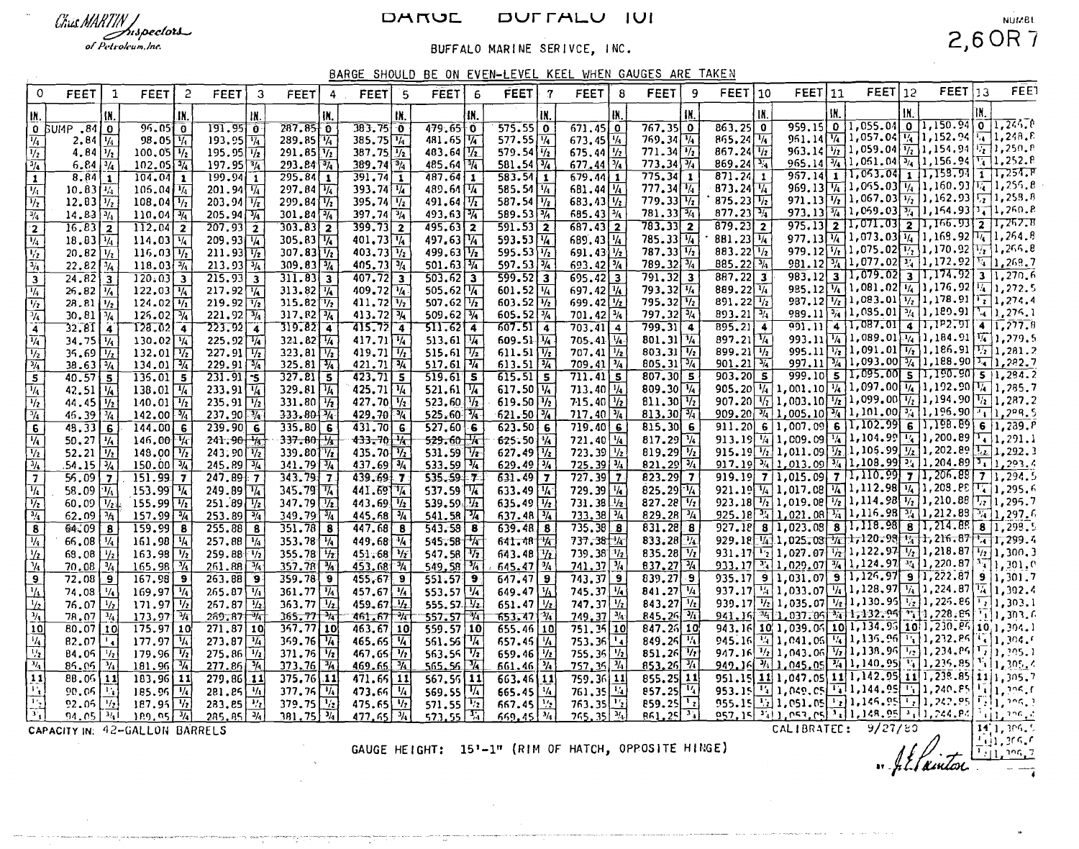### DARUL DUFFALU IUI

# Chús MARTIN Juspectors

of Petroleum, Inc.

## BUFFALO MARINE SERIVCE, INC.

## **NUMBL**  $2,6$  OR 7

BARGE SHOULD BE ON EVEN-LEVEL KEEL WHEN GAUGES ARE TAKEN

| $\circ$                                                                                                                                                                                                                                                                                                               | <b>FEET</b>                                                    | 1                       | FEET                                               | 2   | <b>FEET</b>                                                                                          | 3   | <b>FEET</b>                                                                                     | -4  | FEET 5                                            |     | <b>FEET</b>                                                          | 6   | FEET                                                   | $-7$ | <b>FEET</b>                                   | 8          | <b>FEET</b>                                                          | 9   | $FEET$ 10                                                                                 |     | FEET 11 |     | $FEET$ 12                                                                                                                                                                                              |     | $FEET$ 13                                                         | <b>FEE</b> |
|-----------------------------------------------------------------------------------------------------------------------------------------------------------------------------------------------------------------------------------------------------------------------------------------------------------------------|----------------------------------------------------------------|-------------------------|----------------------------------------------------|-----|------------------------------------------------------------------------------------------------------|-----|-------------------------------------------------------------------------------------------------|-----|---------------------------------------------------|-----|----------------------------------------------------------------------|-----|--------------------------------------------------------|------|-----------------------------------------------|------------|----------------------------------------------------------------------|-----|-------------------------------------------------------------------------------------------|-----|---------|-----|--------------------------------------------------------------------------------------------------------------------------------------------------------------------------------------------------------|-----|-------------------------------------------------------------------|------------|
| IN.                                                                                                                                                                                                                                                                                                                   |                                                                | IN.                     |                                                    | IX. |                                                                                                      | IN. |                                                                                                 | IN. |                                                   | tN, |                                                                      | łN, |                                                        | IN.  |                                               | IX.        |                                                                      | IN. |                                                                                           | IN. |         | IN. |                                                                                                                                                                                                        | IX. |                                                                   |            |
|                                                                                                                                                                                                                                                                                                                       | 0 BUMP .81 0                                                   |                         | $96.05$ <sup>0</sup>                               |     | 191.95 0                                                                                             |     | $287.85$ 0                                                                                      |     | $383.75$ 0                                        |     | $479.65$ 0                                                           |     | $\frac{575.55}{577.55}$                                |      | $671.45$ 0                                    |            | $767.35$ 0                                                           |     | $\begin{array}{ c c c }\n\hline\n863.25 & 0 \\ \hline\n865.24 & \frac{1}{4}\n\end{array}$ |     |         |     | 959.15 0 1,055.04 0 1,150.94 0 1,244.0                                                                                                                                                                 |     |                                                                   |            |
| $\overline{\mathcal{H}}$                                                                                                                                                                                                                                                                                              | $2.84 \mid 1/4$                                                |                         | $98.05\sqrt{1/4}$                                  |     | $193.95\sqrt{14}$                                                                                    |     | 289.85 4                                                                                        |     | 385.75 14                                         |     | 481.65 14                                                            |     |                                                        |      | $673.45$ $45$                                 |            | $769.34\sqrt{\frac{1}{4}}$                                           |     |                                                                                           |     |         |     | 951.14 1.057.04 1.152.94 1.1248.8                                                                                                                                                                      |     |                                                                   |            |
| $\overline{\frac{1}{2}}$                                                                                                                                                                                                                                                                                              | 4.84 $\sqrt{1/2}$                                              |                         | $100.05\frac{1}{2}$                                |     | $195.95\sqrt{1/2}$                                                                                   |     | $291.85$ $\frac{1}{2}$                                                                          |     | $387.75 \overline{1/2}$                           |     | 483.64 1/2                                                           |     | $579.54\sqrt{1/2}$                                     |      | 675.44 $\frac{1}{2}$                          |            | 771.34                                                               |     | $867.24\sqrt{1/2}$                                                                        |     |         |     | 963.14 $\frac{1}{12}$ 1,059.04 $\frac{1}{12}$ 1,154.94 $\frac{1}{12}$ 1,250.8<br>$965.14\sqrt[3]{4}1.051.04\sqrt[3]{4}1.156.94\sqrt[3]{4}1.252.8$                                                      |     |                                                                   |            |
| $\frac{3}{4}$                                                                                                                                                                                                                                                                                                         | $6.84\sqrt{3/4}$                                               |                         | $102.05\sqrt{3}/4$                                 |     | $197.95$ $\frac{1}{4}$                                                                               |     | 293.84 34<br>$295.84$ 1                                                                         |     | 389.74 34                                         |     | 485.64 4<br>$487.64$ 1                                               |     | $581.54\overline{3}/4$<br>$583.54$ 1                   |      | $677.44\sqrt{3/4}$                            |            | $775.34$ 1                                                           |     | $869.24\sqrt[3]{4}$<br>$871.24$ 1                                                         |     |         |     | $957.14$ 1 1,063.04 1 1,158.94 1 1,254.P                                                                                                                                                               |     |                                                                   |            |
| $\overline{\mathbf{1}}$                                                                                                                                                                                                                                                                                               | 8.8411<br>$10.83\sqrt{1/4}$                                    |                         | $104.04$ 1<br>$106.04\sqrt{1/4}$                   |     | $199.94$ 1<br>$201.94\sqrt{1/4}$                                                                     |     | 297.84 $\sqrt{1/4}$                                                                             |     | $\overline{391.74}$ 1<br>393.74 1/4               |     | 489.64 14                                                            |     | 585.54 14                                              |      | $679.44$ 1<br>681.44 14                       |            |                                                                      |     | 873.24 $\frac{1}{4}$                                                                      |     |         |     | 969.13 $\frac{1}{4}$ 1,055.03 $\frac{1}{4}$ 1,160.93 $\frac{1}{4}$ 1,255.8                                                                                                                             |     |                                                                   |            |
| ν,<br>$\overline{V_2}$                                                                                                                                                                                                                                                                                                | $12.83\frac{1}{2}$                                             |                         | $108.04\sqrt{1/2}$                                 |     | $203.94$ $\sqrt{7}$                                                                                  |     | $299.84\sqrt[1]{2}$                                                                             |     | 395.74 $\sqrt{1/2}$                               |     | 491.64 $\sqrt{7}$                                                    |     | 587.54 $\sqrt{1/2}$                                    |      | $683.43\sqrt{1/2}$                            |            | 777.34                                                               |     | 875.23 $\frac{1}{12}$                                                                     |     |         |     | 971.13 $\frac{1}{72}$ 1, 067.03 $\frac{1}{72}$ 1, 162.93 $\frac{1}{72}$ 1, 258.8                                                                                                                       |     |                                                                   |            |
| $\frac{3}{4}$                                                                                                                                                                                                                                                                                                         | $14.83\sqrt{3}/1$                                              |                         | $110.04$ $\frac{3}{4}$                             |     | $205.94\sqrt{3/4}$                                                                                   |     | 301.84 $\sqrt[3]{4}$                                                                            |     | $397.74\sqrt[3]{4}$                               |     | $493.63$ $\frac{3}{4}$                                               |     | 589.53 34                                              |      | 685.43 $\frac{1}{4}$                          |            | 781.33 34                                                            |     | 877.23 $\frac{1}{4}$                                                                      |     |         |     | 973. 13 $\frac{3}{4}$ 1, 069. 03 $\frac{3}{4}$ 1, 164. 93 $\frac{3}{4}$ 1, 260. 8                                                                                                                      |     |                                                                   |            |
| $\overline{2}$                                                                                                                                                                                                                                                                                                        | $16.83$ 2                                                      |                         | $\overline{112.04}$ 2                              |     | $\overline{207.93}$ 2                                                                                |     | $303.83$ 2                                                                                      |     | $399.73$ 2                                        |     | $495.63$ 2                                                           |     | $591.53$ 2                                             |      | $687.43$ 2                                    |            | $783.33$ 2                                                           |     | $\overline{879.23}$ 2                                                                     |     |         |     | $975.13$ 2 1,071.03 2 1,166.93 2 1,267.8                                                                                                                                                               |     |                                                                   |            |
| $\overline{V_4}$                                                                                                                                                                                                                                                                                                      | $18.83\frac{1}{4}$                                             |                         | $114.03\sqrt{14}$                                  |     | $209.93\sqrt{4}$                                                                                     |     | $305.83\sqrt{1/4}$                                                                              |     | 401.73 $\sqrt{14}$                                |     | 497.63 14                                                            |     | 593.53 $\sqrt{4}$                                      |      | $689.43\sqrt{14}$                             |            | $785.33\sqrt{14}$                                                    |     | 881.23 $\sqrt{1/4}$                                                                       |     |         |     | 977.13 $\frac{1}{4}$ 1,073.03 $\frac{1}{4}$ 1,168.92 $\frac{1}{4}$ 1,264.8                                                                                                                             |     |                                                                   |            |
| $\frac{1/2}{3/4}$                                                                                                                                                                                                                                                                                                     | $20.82$ $V_2$                                                  |                         | $116.03\frac{V_2}{V_2}$                            |     | $211.93\sqrt{1/2}$                                                                                   |     | $307.83\sqrt{12}$                                                                               |     | 403.73 $\sqrt{V_2}$                               |     | $499.63 \frac{1}{2}$<br>501.63 $\frac{3}{4}$                         |     | 595.53 $\sqrt{1/2}$                                    |      | 691.43 $\frac{1}{2}$                          |            | $787.33\overline{1/2}$                                               |     | 883.22 $\sqrt{1/2}$                                                                       |     |         |     | 979.12 $\frac{1}{12}$ 1,075.02 $\frac{1}{2}$ 1,170.92 $\frac{1}{2}$ 1,266.8                                                                                                                            |     |                                                                   |            |
|                                                                                                                                                                                                                                                                                                                       | $22.82$ $\sqrt[3]{4}$                                          |                         | $118.03\sqrt[3]{4}$                                |     | $213.93\sqrt{34}$                                                                                    |     | $309.83\sqrt[3]{4}$                                                                             |     | $405.73\sqrt[3]{4}$                               |     |                                                                      |     | $597.53\sqrt{3}/4$                                     |      | 693.42 3/4                                    |            | 789.32 $\sqrt{3/4}$                                                  |     | 885.22 3/4                                                                                |     |         |     | $981.12\frac{34}{4}\left[1,077.02\left[1,172.92\right]\right]\frac{1}{4}\left[1,268.7\right]$                                                                                                          |     |                                                                   |            |
|                                                                                                                                                                                                                                                                                                                       | $\overline{24.82}$ $\overline{3}$                              |                         | $\boxed{120.03}$ 3                                 |     | $\overline{215.93}$ 3                                                                                |     | $311.83 \overline{3}$                                                                           |     | $407.72$ 3                                        |     | $503.62$ 3                                                           |     | $599.52$ 3                                             |      | $695.42$ 3                                    |            | $\overline{791.32}$ $\overline{3}$                                   |     | $887.22$ 3                                                                                |     |         |     | 983.12 3 1,079.02 3 1,174.92 3 1,270.6<br>985.12 $\frac{1}{14}$ 1.081.02 $\frac{1}{14}$ 1.176.92 $\frac{1}{4}$ 1.272.5                                                                                 |     |                                                                   |            |
| $\overline{\mathcal{U}}$                                                                                                                                                                                                                                                                                              | $26.82\sqrt{1/4}$                                              |                         | 122.03 $\sqrt{1/4}$                                |     | $217.92\sqrt{14}$                                                                                    |     | 313.82 $\sqrt{4}$<br>$315.82\sqrt{7_2}$                                                         |     | $409.72\sqrt{4}$                                  |     | $505.62$ $\sqrt{4}$<br>507.62 $\frac{1}{\sqrt{2}}$                   |     | 601.52 $\sqrt{1/4}$<br>$603.52\sqrt{1/2}$              |      | $697.42\frac{1}{4}$<br>$699.42$ $\frac{1}{2}$ |            | $793.32\sqrt{1/4}$<br>795.32 1/2                                     |     | 889.22 14<br>891.22 $\frac{1}{12}$                                                        |     |         |     | 987.12 $\boxed{1/2}$ 1,083.01 $\boxed{1/2}$ 1,178.91 $\boxed{1/2}$ 1,274.4                                                                                                                             |     |                                                                   |            |
|                                                                                                                                                                                                                                                                                                                       | $28.81$ $\frac{1}{2}$<br>$30.81\sqrt{\frac{3}{4}}$             |                         | $124.02\sqrt{11}$<br>$125.02\sqrt{1/4}$            |     | $219.92\sqrt{12}$<br>$221.92\sqrt{3}/4$                                                              |     | $317.82\sqrt{3/4}$                                                                              |     | 411.72 $\sqrt{v_2}$<br>413.72 $\sqrt{3}/\sqrt{4}$ |     | $509.62\sqrt{34}$                                                    |     | 605.52 $\sqrt[3]{4}$                                   |      | $701.42\sqrt[3]{4}$                           |            | $797.32\boxed{^{3/4}}$                                               |     | 893.21 $\sqrt{3/4}$                                                                       |     |         |     | 989.11 $\frac{1}{24}$ 1,085.01 $\frac{1}{24}$ 1,180.91 $\frac{1}{4}$ 1,276.1                                                                                                                           |     |                                                                   |            |
| $\frac{1/2}{1/4}$                                                                                                                                                                                                                                                                                                     | 32.8114                                                        |                         | $T28.02 - 4$                                       |     | $723.92 \mid 4$                                                                                      |     | $319.82 - 4$                                                                                    |     | $715.72$ 4                                        |     | $511.62 \mid 4$                                                      |     | $607.51$ 4                                             |      | $703.41$ 4                                    |            | $799.31$ 4                                                           |     | $\overline{895.21}$ 4                                                                     |     |         |     | $\frac{991.11}{4}$ 4 1,087.01 4 1,1P2.91 4 1, 777.8                                                                                                                                                    |     |                                                                   |            |
| $\overline{1/4}^-$                                                                                                                                                                                                                                                                                                    | $34.75$ $\frac{1}{4}$                                          |                         | $130.02\sqrt{4}$                                   |     | $225.92\sqrt{4}$                                                                                     |     | $321.82$ $\frac{1}{4}$                                                                          |     | $417.71\sqrt{4}$                                  |     |                                                                      |     | 609.51 环                                               |      | $705.41$ $V$                                  |            | $801.31\sqrt[3]{4}$                                                  |     | $897.21\sqrt[1]{4}$                                                                       |     |         |     | 993.11 $\frac{1}{4}$ 1,089.01 $\frac{1}{4}$ 1,184.91 $\frac{1}{4}$ 1,279.5                                                                                                                             |     |                                                                   |            |
| $\frac{1}{2}$                                                                                                                                                                                                                                                                                                         | $35.69$ $\frac{1}{2}$                                          |                         |                                                    |     |                                                                                                      |     | $323.81\sqrt{1/2}$                                                                              |     | 419.71 $\sqrt{1/2}$                               |     |                                                                      |     | 611.51 $\frac{1}{2}$<br>613.51 $\frac{3}{4}$           |      | $707.41$ $1/2$                                |            | 803.31 $\sqrt{1/2}$                                                  |     | 899.21 $\sqrt{1/2}$                                                                       |     |         |     | 995.11 $\frac{1}{\frac{1}{2}}$ 1,091.01 $\frac{1}{\frac{1}{2}}$ 1,186.91 $\frac{1}{\frac{1}{2}}$ 1,281.2<br>997.11 $\frac{1}{4}$ 1,093.00 $\frac{1}{4}$ 1,188.90 $\frac{1}{4}$ 1,282.7                 |     |                                                                   |            |
| $\frac{3}{4}$                                                                                                                                                                                                                                                                                                         | $38.63\overline{3}/4$                                          |                         | $\frac{132.01}{134.01}$                            |     | $227.91 \overline{1/2}$<br>229.91 $\overline{3/4}$                                                   |     | $325.81$ $\sqrt{3}/\sqrt{4}$                                                                    |     | $421.71$ $\sqrt{34}$                              |     | 513.61 $\frac{1}{4}$<br>515.61 $\frac{1}{2}$<br>517.61 $\frac{1}{4}$ |     |                                                        |      | $709.41$ $\boxed{^{3/4}}$                     |            | $805.31\overline{3}/4$                                               |     | $901.21$ %                                                                                |     |         |     |                                                                                                                                                                                                        |     |                                                                   |            |
| $\overline{\mathbf{s}}$                                                                                                                                                                                                                                                                                               | $40.57$ 5                                                      |                         | $135.01$ 5                                         |     | $231.91 - 5$                                                                                         |     | 327.815                                                                                         |     | $423.71$ 5                                        |     | 519.615                                                              |     | 615.515                                                |      | 711.415                                       |            | 807.305                                                              |     | $\overline{903.20}$ 5                                                                     |     |         |     | $\frac{999.10}{5}$ 5 1,095.00 5 1,190.90 5 1,294.2                                                                                                                                                     |     |                                                                   |            |
| $\frac{1}{4}$                                                                                                                                                                                                                                                                                                         | 42.51 $\sqrt{1/4}$                                             |                         | 138.01 $\sqrt{1/4}$                                |     | $233.91\sqrt{4}$                                                                                     |     | 329.81 $\sqrt{1/4}$                                                                             |     | 425.71 $\sqrt{1/4}$                               |     | 521.61 $\frac{1}{2}$<br>523.60 $\frac{1}{2}$                         |     | $617.50\sqrt{4}$                                       |      | $713.40\frac{1}{4}$                           |            | 809.30 $\sqrt{1/4}$                                                  |     |                                                                                           |     |         |     | 905.20 $\frac{1}{4}$ 1,001.10 $\frac{1}{4}$ 1,097.00 $\frac{1}{4}$ 1,192.90 $\frac{1}{4}$ 1,285.7<br>907.20 $\frac{1}{4}$ 1,003.10 $\frac{1}{2}$ 1,099.00 $\frac{1}{4}$ 1,194.90 $\frac{1}{4}$ 1,287.2 |     |                                                                   |            |
| $\frac{1}{2}$                                                                                                                                                                                                                                                                                                         | 44.45 $\frac{1}{2}$                                            |                         | $140.01$ $\frac{1}{2}$<br>$142.00\sqrt[3]{4}$      |     | 235.91 $\sqrt{1/2}$<br>237.90 $\sqrt{4}$                                                             |     | 331.80 $\sqrt{1/2}$<br>$333.80\sqrt[3]{4}$                                                      |     | 427.70 $\sqrt{1/2}$                               |     | 525.60 7                                                             |     | $619.50 \frac{1}{2}$<br>$621.50\sqrt{74}$              |      | $715.40$ $\frac{1}{2}$<br>$717.40\sqrt[3]{4}$ |            | $811.30\sqrt{1/2}$<br>$813.30\sqrt[3]{4}$                            |     |                                                                                           |     |         |     | 909.20 $\frac{1}{4}$ 1,005.10 $\frac{1}{4}$ 1,101.00 $\frac{1}{4}$ 1,196.90 $\frac{1}{4}$ 1,209.5                                                                                                      |     |                                                                   |            |
| $\frac{1}{4}$<br>6                                                                                                                                                                                                                                                                                                    | $45.39\sqrt[3]{4}$<br>$48.33$ 6                                |                         | $144.00$ 6                                         |     | $239.90$ 6                                                                                           |     | 335.806                                                                                         |     | $429.70$ $\frac{3}{4}$<br>$\overline{431.70}$ 6   |     | 527.606                                                              |     | 623.506                                                |      | 719.406                                       |            | 815.306                                                              |     |                                                                                           |     |         |     | 911.20 6 1,007.09 6 1,102.99 6 1,198.89 6 1,239. $\overline{P}$                                                                                                                                        |     |                                                                   |            |
| $\overline{V_4}$                                                                                                                                                                                                                                                                                                      | 50.27 $\frac{1}{4}$                                            |                         | $146.00 \frac{1}{4}$                               |     | $241.90\frac{1}{8}$                                                                                  |     | $337 - 80$ $\frac{1}{4}$                                                                        |     | $433 - 70$ $\frac{1}{6}$                          |     | 529.60                                                               |     | 625.50 1/4                                             |      | 721.40 $\frac{1}{4}$                          |            | $817.29\sqrt{14}$                                                    |     |                                                                                           |     |         |     | 913.19 1 1, 009.09 4 1, 104.99 4 1, 200.89 4 1, 291.1                                                                                                                                                  |     |                                                                   |            |
|                                                                                                                                                                                                                                                                                                                       |                                                                |                         | 148.00 $\boxed{1/2}$                               |     |                                                                                                      |     | 339.80 $\sqrt{V_2}$                                                                             |     | $435.70\sqrt{12}$                                 |     | $531.59$ $\sqrt{7}$                                                  |     |                                                        |      | $723.39$ $\frac{1}{2}$                        |            |                                                                      |     |                                                                                           |     |         |     | 915.19 $\frac{1}{2}$ 1,011.09 $\frac{1}{2}$ 1,105.99 $\frac{1}{2}$ 1,202.89 $\frac{1}{2}$ 1,292.3                                                                                                      |     |                                                                   |            |
| $\frac{1/2}{3/4}$                                                                                                                                                                                                                                                                                                     | 52.21 $\frac{1}{\frac{1}{2}}$<br>54.15 $\frac{1}{\frac{3}{4}}$ |                         | $150.00$ $\frac{3}{4}$                             |     | 243.90 $\frac{1}{2}$<br>245.89 $\frac{1}{2}$                                                         |     | 341.79 3/4                                                                                      |     | $437.69$ $\sqrt{3}/\sqrt{2}$                      |     | 533.59 1/4                                                           |     | $627.49$ $\frac{1}{2}$<br>629.49 $\frac{1}{2}$         |      | 725.39 3/4                                    |            | $819.29\frac{1}{2}$<br>$821.29\frac{3}{4}$                           |     |                                                                                           |     |         |     | 917.19 $\frac{1}{24}$ 1, 013.09 $\frac{3}{4}$ 1, 108.99 $\frac{3}{4}$ 1, 204.89 $\frac{1}{4}$ 1, 293.4                                                                                                 |     |                                                                   |            |
| $\overline{7}$                                                                                                                                                                                                                                                                                                        | 56.097                                                         |                         | 151.9977                                           |     | 247.8977                                                                                             |     | $343.79 - 7$                                                                                    |     | 439.6977                                          |     | $535.59 - 7$                                                         |     | 631.497                                                |      | $727.39$ 7                                    |            | 823.2977                                                             |     |                                                                                           |     |         |     | 919.19 7 1.015.09 7 1.110.99 7 1.206.89 7 1.294.5                                                                                                                                                      |     |                                                                   |            |
| $\overline{\mathcal{H}_4}$                                                                                                                                                                                                                                                                                            | 58.09 $\frac{1}{4}$                                            |                         | $153.99\sqrt{14}$                                  |     | $249.89\sqrt{14}$                                                                                    |     | 345.79 $\sqrt{74}$                                                                              |     | 441.69 74                                         |     | 537.59 74                                                            |     | 633.49 $\frac{1}{4}$                                   |      | $729.39$ $\frac{1}{4}$                        |            | $825.29$ $\sqrt[1]{4}$                                               |     |                                                                                           |     |         |     | 921.19 14 1,017.08 14 1,112.98 14 1,209.88 17 1,295.6                                                                                                                                                  |     |                                                                   |            |
| $\overline{V_2}$                                                                                                                                                                                                                                                                                                      | $60.09$ $\sqrt{124}$                                           |                         | $155.99$ $\frac{1}{2}$                             |     | $251.89 \overline{1/2}$<br>$253.89 \overline{3/4}$                                                   |     | 347.79 $\sqrt{1/2}$                                                                             |     | 443.69 $\sqrt{1/2}$                               |     |                                                                      |     | 635.49 $\frac{1}{2}$                                   |      | $731.38$ $\frac{1}{2}$                        |            | 827.28 $\sqrt{V_2}$                                                  |     |                                                                                           |     |         |     | 923.18 $\frac{1}{12}$ 1, 019.08 $\frac{1}{2}$ 1, 114.98 $\frac{1}{2}$ 1, 210.88 $\frac{1}{12}$ 1, 295.7                                                                                                |     |                                                                   |            |
| $\frac{3/4}{\sqrt{2}}$                                                                                                                                                                                                                                                                                                | $62.09$ $\frac{3}{4}$                                          |                         | $157.99\sqrt{3/4}$                                 |     |                                                                                                      |     | $349.79$ $\frac{1}{4}$                                                                          |     | $445.68$ $\sqrt[3]{4}$                            |     | 541.58 $\frac{1}{4}$                                                 |     | $637.48\overline{3}/\frac{1}{4}$                       |      | $733.38\sqrt{34}$                             |            | $829.28$ $\sqrt[3]{4}$                                               |     |                                                                                           |     |         |     | 925.18 34 1, 021.08 34 1, 116.98 34 1, 212.83 34 1, 297.6<br>927.18 8 1,023.08 8 1,118.98 8 1,214.88 8 1,298.5                                                                                         |     |                                                                   |            |
| $\overline{\mathbf{8}}$                                                                                                                                                                                                                                                                                               | 64.09                                                          | $\overline{\mathbf{8}}$ | $159.99$ 8<br>$161.98\sqrt{4}$                     |     | $\overline{255.88}$ 8                                                                                |     | $351.78$ 8<br>$353.78\sqrt{14}$                                                                 |     | $447.68$ 8                                        |     | $543.58$ 8                                                           |     | $639.48$ $8$                                           |      | 735.38 8<br>737.38 14                         |            | $831.28$ 8<br>$833.28$ $\sqrt{4}$                                    |     |                                                                                           |     |         |     | 929.18 1.025.08 7 1, 120.98 1. 1, 216.87 1, 1, 299.4                                                                                                                                                   |     |                                                                   |            |
| $\frac{1}{4}$                                                                                                                                                                                                                                                                                                         | $66,08$ $\frac{1}{4}$<br>68.08 $\frac{1}{2}$                   |                         | 163.98 $\frac{1}{2}$                               |     | 257.88 $\frac{1}{4}$<br>259.88 $\frac{1}{2}$                                                         |     | 355.78 $\sqrt{1/2}$                                                                             |     | 449.68 14<br>$451.68$ $\frac{1}{7}$               |     | 545.58 74<br>547.58 $72$                                             |     | $641.48$ $\frac{1}{4}$<br>$643.48 \frac{1}{22}$        |      | 739.38 7/2                                    |            | 835.28 $\boxed{V_2}$                                                 |     |                                                                                           |     |         |     |                                                                                                                                                                                                        |     |                                                                   |            |
| $\frac{1}{2}$                                                                                                                                                                                                                                                                                                         | $70.08$ $\frac{3}{4}$                                          |                         | $165.98$ $\frac{1}{4}$                             |     | 261.88                                                                                               |     | $357.78$ $\frac{3}{4}$                                                                          |     | 453.68 %                                          |     | 549,58 %                                                             |     | $645.47\frac{3}{4}$                                    |      | $741.37\frac{3}{4}$                           |            | $837.27$ $\sqrt{34}$                                                 |     |                                                                                           |     |         |     | $\frac{931.17^{11.2}_{12}}{935.17^{11.2}_{13}}\frac{1,027.07^{11.2}_{12}}{1,029.07^{10.2}_{14}}\frac{1,122.97^{11.2}_{13}}{1,220.87^{11.2}_{14}}\frac{1,200.3}{1,201.0}$                               |     |                                                                   |            |
| $\overline{9}$                                                                                                                                                                                                                                                                                                        | $72,08$ 9                                                      |                         | $167.98$ 9                                         |     | $263.88$ 9                                                                                           |     | $359.78$ 9                                                                                      |     | 455.679                                           |     | 551.579                                                              |     | $647.47$ 9                                             |      | $743.37$ 9                                    |            | 839.279                                                              |     |                                                                                           |     |         |     |                                                                                                                                                                                                        |     |                                                                   |            |
| $\frac{1/4}{1/2}$<br>$\frac{1/2}{1/4}$<br>10                                                                                                                                                                                                                                                                          | 74.08 $\frac{1}{4}$                                            |                         | $169.97\sqrt{14}$                                  |     | 265.87 $\frac{1}{4}$<br>267.87 $\frac{1}{2}$<br>269.87 $\frac{1}{4}$                                 |     | $361.77$ $\frac{1}{4}$                                                                          |     | $457.67$ $\frac{1}{4}$                            |     |                                                                      |     |                                                        |      | $745.37$ $\sqrt{1/4}$                         |            | 841.27 $\sqrt{4}$                                                    |     |                                                                                           |     |         |     | 937.17 $\frac{1}{4}$ 1,033.07 $\frac{1}{4}$ 1,128.97 $\frac{1}{4}$ 1,224.87 $\frac{1}{4}$ 1,302.4                                                                                                      |     |                                                                   |            |
|                                                                                                                                                                                                                                                                                                                       | 76.07 $\frac{1}{2}$                                            |                         | $171.97\frac{1}{2}$                                |     |                                                                                                      |     | $363.77$ $\frac{1}{2}$<br>365.77 $\frac{1}{2}$                                                  |     | $459.67$ $\sqrt{1/2}$                             |     | 553.57 $\frac{1}{4}$<br>555.57 $\frac{1}{2}$                         |     | $649.47 \frac{V_1}{1/2}$                               |      | 747.37 $\frac{1}{2}$                          |            | 843.27 $\frac{1}{2}$                                                 |     |                                                                                           |     |         |     | 939.17 1.035.07 1.130.95 1.1226.66 1.130.1<br>941.16 34 1.037.06 34 1.132.96 31 1.228.66 1.1.303.1<br>943.16 10 1.039.06 10 1.134.95 10 1.230.66 10 1.304.1                                            |     |                                                                   |            |
|                                                                                                                                                                                                                                                                                                                       | $78.07$ $\frac{1}{4}$                                          |                         | 173.97 14                                          |     |                                                                                                      |     |                                                                                                 |     | 461.67 14                                         |     | <u>557.57 M</u>                                                      |     | $653.47\frac{1}{11}$                                   |      | $749.37$ $\frac{3}{4}$                        |            | 845.26 7                                                             |     |                                                                                           |     |         |     |                                                                                                                                                                                                        |     |                                                                   |            |
|                                                                                                                                                                                                                                                                                                                       | $80.07$ 10                                                     |                         | $\overline{175.97}$ 10                             |     | $\boxed{271.87}$ 10                                                                                  |     | $357.77$ 10                                                                                     |     | $463.67$ 10                                       |     | $559.57$ 10                                                          |     | $655.46$ 10                                            |      | 751.35 10                                     |            | $847.26$ 10                                                          |     |                                                                                           |     |         |     |                                                                                                                                                                                                        |     |                                                                   |            |
|                                                                                                                                                                                                                                                                                                                       | $82.07$ $\sqrt{4}$                                             |                         | $177.97$ $\sqrt{4}$                                |     |                                                                                                      |     | $369.76\sqrt{4}$                                                                                |     | $465.65$ $\frac{1}{4}$                            |     | 561.56 $\frac{1}{4}$<br>563.56 $\frac{1}{2}$<br>565.56 $\frac{3}{4}$ |     | 657.46 $\frac{1}{4}$                                   |      | 753.36                                        | $\sqrt{2}$ | 849.25 14<br>851.26 12                                               |     | 945.16<br>947.16                                                                          |     |         |     | $\frac{1}{1/2}$ 1, 041, 05 $\frac{1}{1/2}$ 1, 135, 96 $\frac{1}{1/2}$ 1, 232, 86 $\frac{1}{1/2}$ 1, 304, 6                                                                                             |     |                                                                   |            |
|                                                                                                                                                                                                                                                                                                                       | $84.05$ $\frac{1}{2}$<br>$85.05$ $\sqrt[3]{4}$                 |                         | $179.96 \frac{V_2}{V_1}$<br>$181.96$ $\frac{7}{4}$ |     |                                                                                                      |     | $\frac{371.76}{373.76}$                                                                         |     | 467.65 $\sqrt{1/2}$<br>$469.65$ $\sqrt[3]{4}$     |     |                                                                      |     | 659.46 $\frac{1}{2}$<br>$661.46$ %                     |      | 755.36<br>757.35 V                            |            | $853.26$ $\frac{1}{4}$                                               |     |                                                                                           |     |         |     | 949.16 3/1.045.05 3/1.140.95 1. 1.235.85 5 1.205.4                                                                                                                                                     |     |                                                                   |            |
|                                                                                                                                                                                                                                                                                                                       | $88.05$ [11]                                                   |                         | $183,96$ 11                                        |     |                                                                                                      |     | $375.76$ 11                                                                                     |     | $471.65$ 11                                       |     | $567.56$ 11                                                          |     | $663.46$ 11                                            |      | 759.36 11                                     |            | $855.25$ 11                                                          |     |                                                                                           |     |         |     | 951.15 11 1,047.05 11 1,142.95 11 1,238.85 11 1,305.7                                                                                                                                                  |     |                                                                   |            |
|                                                                                                                                                                                                                                                                                                                       | $90.05$ $\boxed{11}$                                           |                         | 185.96 $\frac{1}{4}$                               |     |                                                                                                      |     | $377.76$ $\sqrt{4}$                                                                             |     | 473.66 $\sqrt{4}$                                 |     | 569.55 $\sqrt[1]{4}$                                                 |     | 665.45 $\frac{1}{4}$                                   |      | 761.35                                        |            |                                                                      |     | 953.15                                                                                    |     |         |     | $\boxed{14}$ 1, 049, 05 $\boxed{14}$ 1, 144, 95 $\boxed{14}$ 1, 240, 85 $\boxed{14}$ 1, 206, f                                                                                                         |     |                                                                   |            |
| $\frac{1}{\left \frac{1}{\alpha}\right }\frac{\left \frac{1}{\alpha}\right }{\left \frac{1}{\alpha}\right }\frac{\left \frac{1}{\alpha}\right }{\left \frac{1}{\alpha}\right }\frac{\left \frac{1}{\alpha}\right }{\left \frac{1}{\alpha}\right }\frac{\left \frac{1}{\alpha}\right }{\left \frac{1}{\alpha}\right }$ | $92.05$ $\boxed{1/2}$                                          |                         | $187.95$ <sup>1</sup> / <sub>2</sub>               |     |                                                                                                      |     |                                                                                                 |     | $475.65$ $\frac{1}{2}$                            |     | $\frac{571.55}{573.55}$                                              |     |                                                        |      |                                               |            |                                                                      |     |                                                                                           |     |         |     | 955.15 1: 1, 051.05 12 1, 146.95 1, 1, 242.95 1, 1, 206.3                                                                                                                                              |     |                                                                   |            |
|                                                                                                                                                                                                                                                                                                                       | $94.05 \overline{341}$                                         |                         | 189.05 $\frac{3}{4}$                               |     | 271.87 14<br>273.87 14<br>275.86 14<br>277.86 14<br>281.85 14<br>281.85 14<br>283.85 14<br>285.85 14 |     | $\begin{array}{ c c c }\n 379.75 & \frac{1}{2} \\  \hline\n 381.75 & \frac{3}{4}\n \end{array}$ |     | $477.65$ $\sqrt[3]{4}$                            |     | 573.55                                                               |     | 667.45 $\frac{1}{2}$<br>669.45 $\frac{3}{4}$<br>669.45 |      | 763.35 $\frac{1}{3}$                          |            | 857.25 $\frac{1}{1}$<br>859.25 $\frac{1}{1}$<br>861.25 $\frac{3}{1}$ |     |                                                                                           |     |         |     | 057.15 34 1.053.05 34 1.148.05 34 1.244.84 34 1.306.4                                                                                                                                                  |     |                                                                   |            |
|                                                                                                                                                                                                                                                                                                                       | CAPACITY IN: 42-GALLON BARRELS                                 |                         |                                                    |     |                                                                                                      |     |                                                                                                 |     |                                                   |     |                                                                      |     |                                                        |      |                                               |            |                                                                      |     |                                                                                           |     |         |     |                                                                                                                                                                                                        |     | $\frac{9}{27/85}$<br>$\frac{14}{1,366.5}$<br>$\frac{11}{1,366.7}$ |            |
|                                                                                                                                                                                                                                                                                                                       |                                                                |                         |                                                    |     |                                                                                                      |     |                                                                                                 |     |                                                   |     |                                                                      |     | GAUGE HEIGHT: 15'-1" (RIM OF HATCH, OPPOSITE HINGE)    |      |                                               |            |                                                                      |     |                                                                                           |     |         |     |                                                                                                                                                                                                        |     |                                                                   |            |
|                                                                                                                                                                                                                                                                                                                       |                                                                |                         |                                                    |     |                                                                                                      |     |                                                                                                 |     |                                                   |     |                                                                      |     |                                                        |      |                                               |            |                                                                      |     |                                                                                           |     |         |     |                                                                                                                                                                                                        |     |                                                                   |            |
|                                                                                                                                                                                                                                                                                                                       |                                                                |                         |                                                    |     |                                                                                                      |     |                                                                                                 |     |                                                   |     |                                                                      |     |                                                        |      |                                               |            |                                                                      |     |                                                                                           |     |         |     |                                                                                                                                                                                                        |     |                                                                   |            |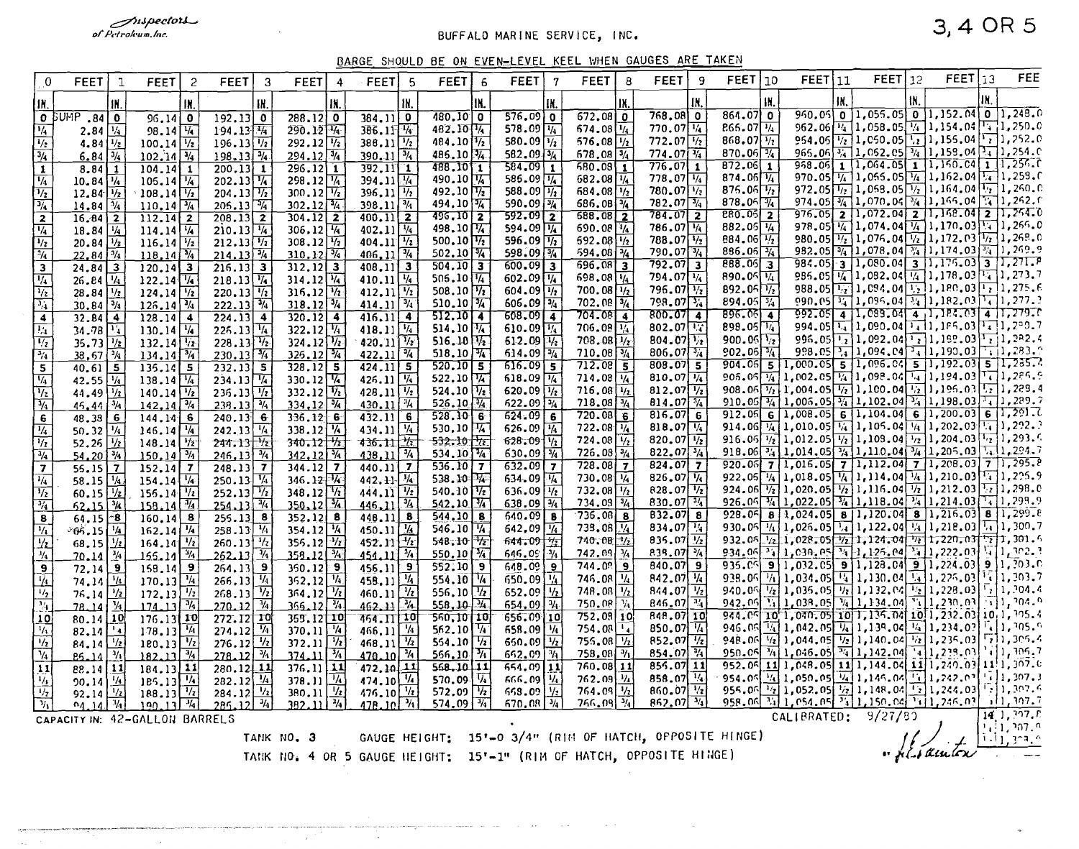mspectors...<br>of Petroleum.lnc.

### BUFFALO MARINE SERVICE, INC.

### BARGE SHOULD BE ON EVEN-LEVEL KEEL WHEN GAUGES ARE TAKEN

| $\mathbf 0$                                  | <b>FEET</b>                                                                                                                                                                                       | $\mathbf{I}$              | <b>FEET</b>                                      | 2   | <b>FEET</b><br>3                                     | <b>FEET</b>                                      | <b>FEET</b><br>5                                             | <b>FEET</b>                                 | 6 | <b>FEET</b>                                | <b>FEET</b>                            | 8                         | <b>FEET</b><br>9                              | FEET 110                                                                                                                                                                                               | <b>FEET</b> 11                                                                                                             | FEET 12                                                                    |     | FEET 13                                             |     | FEE                            |
|----------------------------------------------|---------------------------------------------------------------------------------------------------------------------------------------------------------------------------------------------------|---------------------------|--------------------------------------------------|-----|------------------------------------------------------|--------------------------------------------------|--------------------------------------------------------------|---------------------------------------------|---|--------------------------------------------|----------------------------------------|---------------------------|-----------------------------------------------|--------------------------------------------------------------------------------------------------------------------------------------------------------------------------------------------------------|----------------------------------------------------------------------------------------------------------------------------|----------------------------------------------------------------------------|-----|-----------------------------------------------------|-----|--------------------------------|
| IK.                                          |                                                                                                                                                                                                   | IN.                       |                                                  | IX. | IN.                                                  | IN.                                              | fN.                                                          | IN.                                         |   |                                            |                                        | IX                        | IN.                                           | IN.                                                                                                                                                                                                    | Ш.                                                                                                                         |                                                                            | tN. |                                                     | IN. |                                |
|                                              | O BUMP<br>.84                                                                                                                                                                                     | l 0                       | $96.14$ 0                                        |     | $192, 13$ 0                                          | $288.12$ 0                                       | 384.110                                                      | $\sqrt{480.10}$ 0                           |   | $576.09$ 0                                 | $672.08$ 0                             |                           | $768.08$ 0                                    | $864.07$ 0                                                                                                                                                                                             |                                                                                                                            | 950.05 0 1.055.05 0 1.152.04 0 1.248.0                                     |     |                                                     |     |                                |
| $\overline{V_4}$                             | 2.84 $\frac{1}{4}$                                                                                                                                                                                |                           | $98.14\sqrt{14}$                                 |     | $194.13\sqrt{4}$                                     | $290.12\sqrt{14}$                                | $386.11\sqrt[4]{ }$                                          | $482.10\sqrt[4]{ }$                         |   | $578.09\sqrt{14}$                          | $674.08\sqrt{1/4}$                     |                           | 770.07 1/4                                    | $866.07\sqrt{14}$                                                                                                                                                                                      |                                                                                                                            | 962.06 $\frac{1}{4}$ 1,058.05 $\frac{1}{4}$ 1,154.04 $\frac{1}{4}$ 1,250.0 |     |                                                     |     |                                |
| $\overline{\frac{1}{2}}$                     | 4.84 $\sqrt{1/2}$                                                                                                                                                                                 |                           | $100.14$ $\frac{1}{2}$                           |     | $196.13\sqrt{12}$                                    | $292.12\sqrt{12}$                                | $388.11$ $\frac{1}{2}$                                       | $484.10\sqrt[1]{2}$                         |   | 580.09 $\sqrt{1/2}$                        | 576,08                                 | $\frac{1}{2}$             | $772.07\frac{1}{2}$                           | $868.07\frac{1}{2}$                                                                                                                                                                                    | 954.05 $\sqrt{2}$ 1,050.05 $\sqrt{2}$ 1,155.04 $\sqrt{2}$ 1,252.0                                                          |                                                                            |     |                                                     |     |                                |
| $\frac{3/4}{1}$                              | 6.84                                                                                                                                                                                              | $\overline{\frac{3}{4}}$  | $102.14\sqrt[3]{4}$                              |     | $198.13\sqrt[3]{4}$                                  | $294.12\sqrt[3]{4}$                              | $390.11$ $\frac{3}{4}$                                       | $486, 10$ $\sqrt{4}$                        |   | 582.09 $\sqrt{3/4}$                        | 678.08                                 | $\frac{3}{4}$             | $774.07\sqrt[3]{4}$                           | 870.06 $\frac{3}{4}$<br>$\overline{872.06}$ 1                                                                                                                                                          | 965.06 $\frac{3}{4}$ 1,062.05 $\frac{3}{4}$ 1,159.04 $\frac{1}{4}$ 1,254.0<br>958.06 1 1,064.05 1 1,150.04 1 1,256.0       |                                                                            |     |                                                     |     |                                |
|                                              | $8.84$ 1                                                                                                                                                                                          |                           | $104.14$   1                                     |     | $200.13$ 1                                           | $296.12$ 1                                       | 392.11 1<br>$394.11\sqrt{14}$                                | 488.10 1<br>490.10 14                       |   | $584.09$ 1<br>585.09 1/4                   | 580.03<br>$682.08\sqrt{1/4}$           | $\mathbf{1}$              | $776.07$ 1<br>$778.07\sqrt{14}$               | 874.06 $\sqrt{1/4}$                                                                                                                                                                                    | 970.05 $\frac{1}{4}$ 1,055.05 $\frac{1}{4}$ 1,152.04 $\frac{1}{4}$ 1,259.0                                                 |                                                                            |     |                                                     |     |                                |
| $\overline{V_4}$<br>$\overline{\frac{1}{2}}$ | $10.84$ $\frac{1}{4}$<br>$12.84$ $\frac{1}{2}$                                                                                                                                                    |                           | $105.14\sqrt{14}$<br>$108.14\sqrt{1/2}$          |     | $202.13\sqrt{4}$<br>$204.13\sqrt{1/2}$               | $298.12\sqrt{1/4}$<br>$300.12\sqrt{12}$          | $396.11\frac{1}{2}$                                          | 492.10 $\Pi_2$                              |   | 588.09 $\sqrt{1/2}$                        | 684.08                                 | $^{1/2}$                  | $780.07\sqrt{12}$                             | $876.06\sqrt{1/2}$                                                                                                                                                                                     | 972.05 $\boxed{1/2}$ 1,058.05 $\boxed{1/2}$ 1,164.04 $\boxed{1/2}$ 1,250.0                                                 |                                                                            |     |                                                     |     |                                |
|                                              | $14.84$ $\frac{1}{4}$                                                                                                                                                                             |                           | $110.14\sqrt{^{3}/4}$                            |     | $205.13\sqrt{4}$                                     | $302.12\sqrt[3]{4}$                              | $398.11\sqrt[3]{4}$                                          | $494.10\frac{1}{4}$                         |   | 590.09 3/4                                 | 686.081%                               |                           | $782.07\sqrt{3/4}$                            | 878.06 $\frac{1}{4}$                                                                                                                                                                                   | 974.05 $\frac{1}{4}$ 1,070.04 $\frac{3}{4}$ 1,165.04 $\frac{1}{4}$ 1,262.6                                                 |                                                                            |     |                                                     |     |                                |
| $\frac{1}{2}$                                | $16.84$   2                                                                                                                                                                                       |                           | $112.14$ 2                                       |     | $\overline{208.13}$ 2                                | $304.12$ 2                                       | $400.11$ $2$                                                 | $496.10$ 2                                  |   | $592.09$ 2                                 | 688,08                                 | $\overline{2}$            | $784.07$ 2                                    | $\overline{280.05}$ 2                                                                                                                                                                                  | $976.05$ 2 1,072.04 2 1,168.04 2 1,264.0                                                                                   |                                                                            |     |                                                     |     |                                |
| $\overline{V_4}$                             | $18.84$ $\frac{1}{4}$                                                                                                                                                                             |                           | $114.14\sqrt{14}$                                |     | $210.13\sqrt{1/4}$                                   | $306.12\sqrt{4}$                                 | $402.11$ $\frac{1}{4}$                                       | 498.10 $\sqrt{4}$                           |   | 594.09 1/4                                 | 690.08 1/4                             |                           | $786.07\sqrt{14}$                             | 882.05 $\sqrt{4}$                                                                                                                                                                                      | 978.05 $\frac{1}{4}$ 1,074.04 $\frac{1}{4}$ 1,170.03 $\frac{1}{4}$ 1,266.0                                                 |                                                                            |     |                                                     |     |                                |
| $\overline{V_2}$                             | $20.84$ $\frac{1}{2}$                                                                                                                                                                             |                           | $116.14$ $\frac{1}{2}$                           |     | $212.13\sqrt{1/2}$                                   | $308.12\sqrt{17}$                                | $404.11$ $\frac{1}{2}$                                       | 500.10 $\sqrt{V_2}$                         |   | 596.09 $\sqrt{1/2}$                        | $692.08\sqrt{1/2}$                     |                           | $788.07\sqrt{1/2}$                            | 884.06 $\frac{1}{2}$<br>$886.05\sqrt{^{4}4}$                                                                                                                                                           | 980.05 $\frac{1}{2}$ 1,076.04 $\frac{1}{2}$ 1,172.03 $\frac{1}{2}$ 1,268.0<br>982.05 3/4 1,078.04 3/4 1,174.03 3/4 1,269.9 |                                                                            |     |                                                     |     |                                |
| $\frac{1}{4}$                                | $22, 84$ $\sqrt[3]{4}$                                                                                                                                                                            |                           | $118.14\sqrt[3]{4}$                              |     | $214.13\sqrt[3]{4}$                                  | $310.12\sqrt[3]{4}$                              | $406, 11$ $\sqrt[3]{4}$                                      | $502.10$ $\sqrt[3]{4}$                      |   | 598.09 3/4<br>$600.09$ 3                   | $594.08\frac{1}{4}$<br>$696.08$ 3      |                           | $790.07$ $\frac{3}{4}$<br>792.07 3            | $888.06$ 3                                                                                                                                                                                             | 984.05 3 1.080.04 3 1.175.03 3 1.271.P                                                                                     |                                                                            |     |                                                     |     |                                |
| $\overline{\mathbf{3}}$                      | $24.84$ 3                                                                                                                                                                                         |                           | $120.14$ 3                                       |     | $\overline{216.13}$ 3                                | $312.12$ 3<br>$314.12\sqrt{4}$                   | $408.11$ 3<br>410.11 $\frac{1}{4}$                           | $504.10$ 3<br>506.10 $\sqrt{1/4}$           |   | 602.09 1/4                                 | $698.08\sqrt{14}$                      |                           | $794.07\sqrt{1/4}$                            | 890.05 $\frac{1}{4}$                                                                                                                                                                                   |                                                                                                                            | 986.05 $\frac{1}{4}$ 1,082.04 $\frac{1}{4}$ 1,178.03 $\frac{1}{4}$ 1,273.7 |     |                                                     |     |                                |
| $\frac{1}{4}$<br>$\frac{1}{2}$               | $26.84$ $\frac{1}{4}$                                                                                                                                                                             | $\frac{1}{2}$             | $122.14$ $\frac{1}{4}$<br>$124.14$ $\frac{1}{2}$ |     | $218.13\sqrt{4}$<br>$220.13\sqrt{1/2}$               | $316.12\sqrt{h}$                                 | $412.11$ $\frac{1}{2}$                                       | $508.10$ $\sqrt{72}$                        |   | 604.09 $\sqrt{1/2}$                        | $700.08\sqrt{1/2}$                     |                           | $796.07\sqrt{1/2}$                            | 892.05 $\sqrt{1/2}$                                                                                                                                                                                    | 988.05 $\frac{1}{2}$ 1, 094.04 $\frac{1}{2}$ 1, 180.03 $\frac{1}{2}$ 1, 275.6                                              |                                                                            |     |                                                     |     |                                |
|                                              | 28.84<br>$30.84\overline{3}/\sqrt{3}$                                                                                                                                                             |                           | $126.14\sqrt[3]{4}$                              |     | $222.13\sqrt[3]{4}$                                  | $318.12\sqrt[3]{4}$                              | $414.11\sqrt[3]{4}$                                          | $510.10$ $\sqrt{4}$                         |   | $606.09\sqrt{3/4}$                         | $702.08$ $\frac{3}{4}$                 |                           | $798.07\frac{3}{4}$                           | $894.05\overline{3/4}$                                                                                                                                                                                 | 090.05 $\frac{1}{24}$ 1,096.04 $\frac{1}{24}$ 1,182.03 $\frac{1}{4}$ 1,277.2                                               |                                                                            |     |                                                     |     |                                |
| $\frac{1}{4}$                                | $32.84$   4                                                                                                                                                                                       |                           | $128.14$ 4                                       |     | $\overline{224.13}$ 4                                | $320.12$ 4                                       | $416.11$ 4                                                   | 512.1074                                    |   | $608.09$ 4                                 | $704.08$ 4                             |                           | 800.0714                                      | 896.0514                                                                                                                                                                                               | 992.05 4 1.089.04 4 1.184.03 4 1.279.0                                                                                     |                                                                            |     |                                                     |     |                                |
| $\overline{\mathbb{E}_1}$                    | 34.78                                                                                                                                                                                             | $\mathbf{F}_4$            | $130.14$ $\frac{1}{4}$                           |     | $226.13\sqrt{14}$                                    | $322.12\sqrt{14}$                                | $418.11$ $\sqrt{4}$                                          | 514.10 $\sqrt{4}$                           |   | 610.09 $\sqrt{1/4}$                        | $706.08\sqrt{14}$                      |                           | 802.07                                        | 898.05 14                                                                                                                                                                                              | 994.05 14 1,090.04 1,1 1,1 P5.03 1, 1, 200.7                                                                               |                                                                            |     |                                                     |     |                                |
| $\overline{V_2}$                             | $35.73$ $1/z$                                                                                                                                                                                     |                           | 132.14                                           |     | $228.13\sqrt[4]{x}$                                  | $324.12\sqrt{12}$                                | $420.11$ $\sqrt[1]{x}$                                       | $516.10\sqrt{12}$                           |   | 612.09 $\sqrt{1/2}$                        | $708.08\sqrt{1/z}$                     |                           | $804.07\frac{1}{2}$                           | 900.06 $\sqrt{2}$                                                                                                                                                                                      | 996.05 $\frac{1}{2}$ 1,092.04 $\frac{1}{2}$ 1,199.03 $\frac{1}{2}$ 1,282.4                                                 |                                                                            |     |                                                     |     |                                |
| $\overline{\mathcal{H}_1}$                   | 38,67 %                                                                                                                                                                                           |                           | $134.14$ $\frac{3}{4}$                           |     | $230.13\frac{3}{4}$                                  | $325.12\sqrt[3]{4}$                              | $422.11$ $\frac{3}{4}$                                       | 518.10 $\sqrt{4}$                           |   | $614.09\sqrt{3/4}$                         | $710.08\frac{1}{4}$                    |                           | 806.07 $\sqrt{3/4}$                           | $902.06$ %                                                                                                                                                                                             |                                                                                                                            | 998.05 $\frac{1}{34}$ 1,094.04 $\frac{1}{34}$ 1,190.03                     |     |                                                     |     | $T_{11}$ , 283.0               |
| $\overline{\mathbf{5}}$                      | $40.61$ 5                                                                                                                                                                                         |                           | $135.14$ 5                                       |     | $232.13$ 5                                           | $328.12$ 5                                       | $424.11$ 5                                                   | $520.10$ 5                                  |   | $616.09$ 5                                 | $712.08$ 5                             |                           | $808.07$ 5                                    | 904.06 5 1,000.05 5 1,096.04 5 1,192.03 5 1,235.<br>906.06 $\frac{1}{4}$ 1,002.05 $\frac{1}{4}$ 1,098.04 $\frac{1}{4}$ 1,194.03 $\boxed{1}$ ,286.9                                                     |                                                                                                                            |                                                                            |     |                                                     |     |                                |
| $\sqrt{4}$                                   | 42.55 $\sqrt{1/4}$                                                                                                                                                                                |                           | $138.14\sqrt{14}$                                |     | $234.13\sqrt{4}$                                     | 330.12                                           | $426.11$ $\frac{1}{6}$                                       | 522.10 $\sqrt{4}$                           |   | 618.09 $\sqrt{1/4}$<br>620.09 $\sqrt{1/2}$ | $714.08\sqrt{4}$                       |                           | 810.07 $\sqrt{1/4}$<br>$812.07\sqrt{1/2}$     | 908.06 $\frac{1}{2}$ 1,004.05 $\frac{1}{2}$ 1,100.04 $\frac{1}{2}$ 1,196.03 $\frac{1}{2}$ 1,229.4                                                                                                      |                                                                                                                            |                                                                            |     |                                                     |     |                                |
| $\overline{\mathcal{V}_2}$                   | 44.49 $\frac{1}{2}$                                                                                                                                                                               | $\overline{\frac{3}{4}}$  | $140.14\sqrt[1]{2}$<br>$142, 14$ $\sqrt[3]{4}$   |     | $236.13\sqrt{12}$<br>$238.13\sqrt[3]{4}$             | $332.12\sqrt[4]{2}$<br>$334, 12$ $\sqrt[3]{4}$   | $428.11$ $\sqrt[1]{2}$<br>$430.11$ $\frac{1}{4}$             | 524.10 $\sqrt{2}$<br>526.10 $\frac{1}{4}$   |   | $622.09\sqrt{3/4}$                         | $716.08$ $1/2$<br>$718.08 \frac{1}{4}$ |                           | 814.07 $\sqrt[3]{4}$                          | 910.06 $\frac{3}{4}$ 1,006.05 $\frac{3}{4}$ 1,102.04 $\frac{3}{4}$ 1,198.03 $\frac{1}{4}$ 1,289.7                                                                                                      |                                                                                                                            |                                                                            |     |                                                     |     |                                |
| $\frac{1}{4}$<br>$\overline{6}$              | 46.44<br>$48.38$ 6                                                                                                                                                                                |                           | 144.146                                          |     | 240.136                                              | 336.126                                          | 432.11<br>$6^{\circ}$                                        | $528.10$ 6                                  |   | 624.096                                    | 720.086                                |                           | $816.07$ 6                                    | 912.06 6 1,008.05 6 1,104.04 6 1,200.03 6 1,291.0                                                                                                                                                      |                                                                                                                            |                                                                            |     |                                                     |     |                                |
| $\overline{\frac{1}{4}}$                     | 50.32                                                                                                                                                                                             | $\frac{1}{4}$             | $146.14$ $\frac{1}{4}$                           |     | 242.13 $\sqrt{1/4}$                                  | 338.12 $\sqrt{1/4}$                              | 434.11 $\frac{1}{4}$                                         | 530.10 $\sqrt{14}$                          |   | $626.09$ $\frac{1}{4}$                     | 722.08   1/4                           |                           | 818.07 $\sqrt{4}$                             | 914.06 $\frac{1}{4}$ 1,010.05 $\frac{1}{4}$ 1,105.04 $\frac{1}{4}$ 1,202.03 $\frac{1}{4}$ 1,292.                                                                                                       |                                                                                                                            |                                                                            |     |                                                     |     |                                |
| $\overline{V_2}$                             | 52.26                                                                                                                                                                                             | $\overline{V_2}$          | $148.14$ $\frac{1}{2}$                           |     | $244.13\sqrt{12}$                                    | $340.12\sqrt[4]{2}$                              | 436.11                                                       | $532.10$ $\sqrt{2}$                         |   | $628.09\sqrt{12}$                          | 724.08                                 | $\overline{V_2}$          | 820.07 $\sqrt{1/2}$                           | 916.06 $\frac{1}{2}$ 1,012.05 $\frac{1}{2}$ 1,108.04 $\frac{1}{2}$ 1,204.03 $\frac{1}{2}$ 1,293.6                                                                                                      |                                                                                                                            |                                                                            |     |                                                     |     |                                |
| $\frac{3}{4}$                                | $54.20\sqrt{^{3}/4}$                                                                                                                                                                              |                           | $150, 14$ $\frac{3}{4}$                          |     | $246, 13\frac{3}{4}$                                 | $342.12^{3/4}$                                   | $438.11$ $\frac{3}{4}$                                       | $534.10$ $4$                                |   | $630.09$ $\frac{3}{4}$                     | $726.08\sqrt{3}/4$                     |                           | 822.07 $\sqrt[3]{4}$                          | 918.06 $\frac{3}{4}$ 1, 014.05 $\frac{3}{4}$ 1, 110.04 $\frac{3}{4}$ 1, 205.03 $\frac{3}{4}$ 1, 224.7                                                                                                  |                                                                                                                            |                                                                            |     |                                                     |     |                                |
| $\vert$ 7                                    | $56.15$ 7                                                                                                                                                                                         |                           | $152.14$ 7                                       |     | $248.13$ 7                                           | $344.12$ 7                                       | $440.11$ $7$                                                 | $536.10$ 7                                  |   | $632.09$ 7                                 | 728.08                                 | 7 <sub>2</sub>            | $824.07$ 7                                    | 920.06 7 1,016.05 7 1,112.04 7 1,208.03 7 1,295.0                                                                                                                                                      |                                                                                                                            |                                                                            |     |                                                     |     |                                |
| $\overline{\frac{1}{4}}$                     | 58.15                                                                                                                                                                                             | $\frac{1}{4}$             | 154.14                                           |     | $250.13\sqrt{4}$                                     | $346.12\sqrt{14}$                                | $442.11 - \frac{1}{4}$                                       | $538.10$ $\sqrt{4}$                         |   | 634.09 $ \bar{V}_4 $                       | $730.08$ $\sqrt{4}$                    |                           | $826.07\sqrt{14}$                             | 922, 05 $\frac{1}{4}$ 1, 018. 05 $\frac{1}{4}$ 1, 114. 04 $\frac{1}{4}$ 1, 210. 03 $\frac{1}{4}$ 1, 225. 9                                                                                             |                                                                                                                            |                                                                            |     |                                                     |     |                                |
| $\overline{\frac{1}{2}}$                     | $60.15 \frac{1}{2}$                                                                                                                                                                               |                           | $156.14\sqrt[1]{2}$                              |     | $252.13\sqrt{1/2}$                                   | $348.12\sqrt{17}$                                | $444.11$ $\frac{1}{2}$                                       | $540.10$ $\sqrt{72}$                        |   | $636.09\sqrt{1/2}$                         | $732.08$ $1/2$                         |                           | $828.07$ $\frac{1}{2}$<br>$830.07\sqrt[3]{4}$ | 924.06 $\frac{1}{2}$ 1,020.05 $\frac{1}{2}$ 1,116.04 $\frac{1}{2}$ 1,212.03 $\frac{1}{2}$ 1,298.0<br>926.06 $\frac{3}{4}$ 1,022.05 $\frac{3}{4}$ 1,118.04 $\frac{3}{4}$ 1,214.03 $\frac{1}{4}$ 1,299.9 |                                                                                                                            |                                                                            |     |                                                     |     |                                |
| $\overline{\frac{3\%}{14}}$                  | $52.15$ $\frac{3}{4}$                                                                                                                                                                             |                           | $158.14$ $\frac{3}{4}$                           |     | $254.13\sqrt[3]{4}$                                  | $350.12$ $\frac{1}{4}$                           | $\frac{3}{4}$<br>446.11<br>8                                 | $542.10$ $\sqrt[3]{4}$<br>$544.10$   8      |   | $638.09$ $\frac{1}{4}$<br>$640.09$ 8       | $734.09\,$ $\frac{3}{4}$<br>736.08     | 8                         | $832.07$ 8                                    | $928.06$ 8 1,024.05 8 1,120.04 8 1,216.03 8 1,299.8                                                                                                                                                    |                                                                                                                            |                                                                            |     |                                                     |     |                                |
| 8                                            | $64, 15$ $-8$<br>$865.15$ $\frac{1}{4}$                                                                                                                                                           |                           | $160.14$ 8<br>$162.14\sqrt{4}$                   |     | $255.13$ 8<br>$258.13$ $\frac{1}{4}$                 | $352.12$ 8<br>354.12 $\frac{1}{4}$               | 448.11<br>$450.11$ $\frac{1}{4}$                             | $546.10 \overline{14}$                      |   | $642,09$ $\overline{14}$                   | $735.08\sqrt{14}$                      |                           | 834.07 $\frac{1}{4}$                          | 930.05 $\frac{1}{4}$ 1,026.05 $\frac{1}{4}$ 1,122.04 $\frac{1}{4}$ 1,218.03 $\frac{1}{4}$ 1,300.7                                                                                                      |                                                                                                                            |                                                                            |     |                                                     |     |                                |
| $\frac{1}{4}$<br>$\overline{y_2}$            | 68.15 $\frac{1}{2}$                                                                                                                                                                               |                           | $164.14\sqrt{\frac{1}{2}}$                       |     | $260.13$ <sup>1</sup> /z                             | $356.12 \frac{1}{2}$                             | $452.11 \frac{1}{2}$                                         | $548:10$ $\sqrt{72}$                        |   | $644.09\frac{1}{12}$                       | $740.08$ $\frac{1}{2}$                 |                           | $835.07\frac{1}{2}$                           | 932.06 $\frac{1}{2}$ 1,028.05 $\frac{1}{2}$ 1,124.04 $\frac{1}{2}$ 1,220.03 $\frac{1}{2}$ 1,301.6                                                                                                      |                                                                                                                            |                                                                            |     |                                                     |     |                                |
| $\frac{M_4}{M_4}$                            | 20.14                                                                                                                                                                                             | $\mathcal{H}$             | $155.14$ $\frac{3}{4}$                           |     | $\overline{\frac{3}{4}}$<br>262.13                   | $\frac{1}{2}$<br>358.12                          | $^{1/4}$<br>451.11                                           | 550.10 $\sqrt[3]{4}$                        |   | $\frac{1}{2}$<br>646.09                    | 742.09                                 | $\frac{1}{4}$             | 839.07 %                                      | 934.06 $\frac{3}{4}$ 1,030.05 $\frac{3}{4}$ 1,125.04 $\frac{3}{4}$ 1,222.03 $\frac{1}{4}$ 1,302.3                                                                                                      |                                                                                                                            |                                                                            |     |                                                     |     |                                |
|                                              | 72,14                                                                                                                                                                                             | 9                         | $158.14$ 9                                       |     | $\overline{\mathbf{e}}$<br>264.13                    | $350.12$ $9$                                     | 456.11<br>9                                                  | $552.10$ 9                                  |   | $648.09$ 9                                 | 744.09                                 | 9                         | 840.079                                       | 935.05                                                                                                                                                                                                 | $9 1,032.05 $ 9 1, 128.04 9 1, 224.03 9 1, 203.0                                                                           |                                                                            |     |                                                     |     |                                |
| $\frac{1}{2}$                                | $74.14 \frac{1}{1}$                                                                                                                                                                               |                           | $170.13\frac{1}{4}$                              |     | 266.13                                               | $362.12$ $\frac{1}{4}$                           | $\overline{u}$<br>458.11                                     | 554.10 1/4                                  |   | $650.09$ $\frac{1}{4}$                     | 746.08                                 | $\overline{\mathcal{H}}$  | $842.07\sqrt{k}$                              | 938.06 $\boxed{7_1}$ 1,034.05 $\boxed{1_4}$ 1,130.04 $\boxed{1_4}$ 1,226.03 $\boxed{1_5}$ 1, 303.7                                                                                                     |                                                                                                                            |                                                                            |     |                                                     |     |                                |
|                                              | $76.14$ $\frac{1}{2}$                                                                                                                                                                             |                           | $172.13$ $\frac{1}{2}$                           |     | $268.13$ <sup>1</sup> / <sub>2</sub>                 | $364.12$ $\frac{1}{2}$                           | $\overline{\mathcal{H}}$<br>460.11                           | 556.10 $\sqrt{1/2}$                         |   | $652.09$ $\frac{1}{2}$                     | 748.08                                 | $\overline{V_2}$          | $844.07$ $\sqrt{1/2}$                         | 940.06 $\frac{1}{2}$ 1,035.05 $\frac{1}{2}$ 1,132.04                                                                                                                                                   |                                                                                                                            |                                                                            |     | $\overline{V_2}$ 1,228,03 $\overline{V_2}$ 1, 204,4 |     |                                |
| $\overline{34}$                              | 78.14                                                                                                                                                                                             | $\mathcal{H}$             | 174.13                                           |     | $\overline{u}$<br>270.12                             | $\frac{1}{2}$<br>366.12                          | $\frac{3}{4}$<br>462.11                                      | $558.10$ $\frac{1}{4}$                      |   | 654, 09 $\sqrt[3]{4}$                      | 750.08                                 | $V_{\rm A}$               | $846.07$ $\frac{1}{4}$                        | $942.09$ 1, 038.05 $\sqrt{4}$ 1, 134.04<br>944.05 10 1,040.05 10 1,135.04 10 1,232.03 10, 1, 205.4                                                                                                     |                                                                                                                            |                                                                            |     | $T_{1}$ 1, 210, 03                                  |     | $\sqrt{11.204.9}$              |
| 10                                           | $80.14$ $10$                                                                                                                                                                                      |                           | $176.13$ 10                                      |     | 272.12 10                                            | 365.12 10                                        | 464.IT 10                                                    | $560.10$ $10$                               |   | 656.09110                                  | $752,08$ 10                            |                           | 848.07 10<br>850.07 $\sqrt[3]{4}$             | 946.06 $\frac{1}{4}$ 1, 042.05 $\frac{1}{4}$ 1, 138.04 $\frac{1}{4}$ 1, 234.02                                                                                                                         |                                                                                                                            |                                                                            |     |                                                     |     | <b>1.1.205.0</b>               |
| $\sqrt{4}$<br>$V_2$                          | $82,14$ $\frac{1}{4}$                                                                                                                                                                             |                           | $178.13$ $\frac{1}{4}$                           |     | $274.12$ $\sqrt{41}$                                 | $370.11$ $4$                                     | 466.11                                                       | 562.10 $\sqrt[1]{4}$<br>554.10 $\sqrt{1/2}$ |   | 658.09 14<br>650.09 $\sqrt{\frac{1}{2}}$   | 754.08<br>755.08                       | $\mathbf{1}_{4}$<br>$V_2$ | $852.07\sqrt{1/2}$                            | 948.06 $\frac{1}{2}$ 1,044.05 $\frac{1}{2}$ 1,140.04 $\frac{1}{2}$ 1,235.03 $\boxed{7}$ 1,305.4                                                                                                        |                                                                                                                            |                                                                            |     |                                                     |     |                                |
| $\sqrt{v_4}$                                 | 84.14                                                                                                                                                                                             | $\frac{1}{2}$<br>$\eta_1$ | $180.13$ $\frac{1}{2}$<br>$182.11$ $\frac{3}{4}$ |     | $276.12$ $\frac{1}{2}$<br>$\overline{3/4}$<br>278.12 | $372.11$ $\frac{1}{2}$<br>$374.11$ $\frac{3}{4}$ | $468.11$ $\frac{1}{2}$<br>$\overline{\mathcal{H}}$<br>470.10 | 566.10 $\sqrt[3]{4}$                        |   | $652.09$ $\sqrt[3]{4}$                     | 758.08                                 | $\frac{1}{2}$             | 854.07 M                                      | 950.06 $\frac{1}{4}$ 1, 046.05 $\frac{1}{4}$ 1, 142.04                                                                                                                                                 |                                                                                                                            |                                                                            |     | $T_{4}$ 1, 239.03 $T_{4}$ 1, 306.7                  |     |                                |
| $\overline{11}$                              | <b>25.14</b><br>$88.14$ $11$                                                                                                                                                                      |                           | $184.13$ 11                                      |     | $280.12$ 11                                          | $376.11$ 11                                      | 11<br>472.10                                                 | $568.10$ $11$                               |   | $654.09$   11                              | 760.08 11                              |                           | 856.07 11                                     | 952.06 11 1,048.05 11 1,144.04 11 1,240.03 11 1,307.0                                                                                                                                                  |                                                                                                                            |                                                                            |     |                                                     |     |                                |
| $\frac{1}{4}$                                | 90, 14                                                                                                                                                                                            | $\frac{1}{4}$             | $185.13$ $\frac{1}{4}$                           |     | 282.12 $\frac{1}{4}$                                 | $378.11$ $\frac{1}{4}$                           | 474.10                                                       | 570.09 $\sqrt{4}$                           |   | $666.09$ $\frac{1}{4}$                     | 762.09                                 | $\eta_4$                  | 858.07 14                                     | 954.05 $\frac{1}{4}$ 1,050.05 $\frac{1}{4}$ 1,145.04 $\frac{1}{4}$ 1,242.02 $\frac{1}{4}$ 1, 207.3                                                                                                     |                                                                                                                            |                                                                            |     |                                                     |     |                                |
| $\overline{V_2}$                             | 92.14                                                                                                                                                                                             | $\frac{1}{2}$             | $188.13$ $\frac{1}{2}$                           |     | $284.12\frac{1}{2}$                                  | $\frac{380.11}{382.11}$ $\frac{V_2}{V_4}$        | $\frac{476.10}{476.10}$                                      | $572.09$ $\sqrt{12}$                        |   | 668.09 $\frac{1}{2}$                       | 764.09                                 | $\overline{V_2}$          | $860.07$ $\frac{1}{2}$                        | 955.06 $\frac{1}{2}$ 1,052.05 $\frac{1}{2}$ 1,148.04 $\frac{1}{2}$ 1,244.03                                                                                                                            |                                                                                                                            |                                                                            |     |                                                     |     | $\lceil \cdot \rceil$ 1, 307.6 |
| $\eta_1$                                     | 04.14                                                                                                                                                                                             | $\frac{1}{4}$             | $190.13$ <sup><math>\frac{1}{4}</math></sup>     |     | $285.12$ $\frac{1}{4}$                               |                                                  |                                                              | 574.09 $\sqrt[3]{4}$                        |   | $670.08$ $\sqrt{3}/4$                      | 766.09                                 | $\overrightarrow{v_4}$    | $862.07$ $\sqrt[3]{4}$                        | 958.06 34 1, 054.05 34 1, 150.04 34 1, 246.03                                                                                                                                                          |                                                                                                                            |                                                                            |     |                                                     |     | 11.307.7                       |
|                                              |                                                                                                                                                                                                   |                           |                                                  |     |                                                      |                                                  |                                                              |                                             |   |                                            |                                        |                           |                                               |                                                                                                                                                                                                        |                                                                                                                            |                                                                            |     |                                                     |     |                                |
|                                              | 14.1777.0<br>CALIBRATED: 9/27/80<br>CAPACITY IN: 42-GALLON BARRELS<br>$\frac{1}{\sqrt{\left(1+\frac{307}{2}\right)}}$<br>15'-0 3/4" (RIM OF HATCH, OFPOSITE HINGE)<br>TANK NO. 3<br>GAUGE HEIGHT: |                           |                                                  |     |                                                      |                                                  |                                                              |                                             |   |                                            |                                        |                           |                                               |                                                                                                                                                                                                        |                                                                                                                            |                                                                            |     |                                                     |     |                                |
|                                              |                                                                                                                                                                                                   |                           |                                                  |     |                                                      | TANK NO. 4 OR 5 GAUGE HEIGHT:                    |                                                              |                                             |   |                                            |                                        |                           | 15'-1" (RIM OF HATCH, OPPOSITE HINGE)         |                                                                                                                                                                                                        |                                                                                                                            |                                                                            |     |                                                     |     |                                |

TANK NO. 3 GAUGE HEIGHT: 15'-0 3/4" (RIM OF HATCH, OFPOSITE HINGE) TANK NO. 4 OR 5 GAUGE HEIGHT: 15'-1" (RIM OF HATCH, OPPOSITE HINGE)

 $\sim 10^{11}$  mass  $^{-1}$ 

 $\alpha$  ,  $\alpha$  ,  $\alpha$ 

considerably and considerably and the

.<br>The construction of the complete production of the contract of the contract of the contract of the contract of

1977)<br>1970

 $\sim 100$